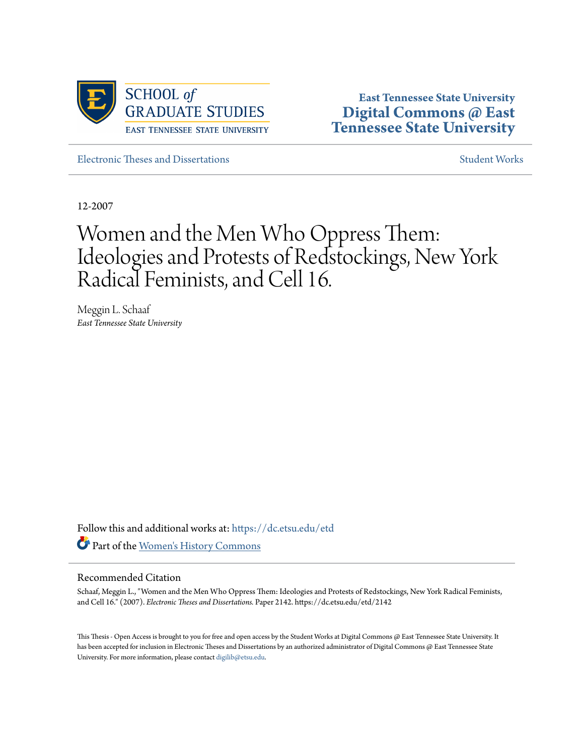

**East Tennessee State University [Digital Commons @ East](https://dc.etsu.edu?utm_source=dc.etsu.edu%2Fetd%2F2142&utm_medium=PDF&utm_campaign=PDFCoverPages) [Tennessee State University](https://dc.etsu.edu?utm_source=dc.etsu.edu%2Fetd%2F2142&utm_medium=PDF&utm_campaign=PDFCoverPages)**

[Electronic Theses and Dissertations](https://dc.etsu.edu/etd?utm_source=dc.etsu.edu%2Fetd%2F2142&utm_medium=PDF&utm_campaign=PDFCoverPages) [Student Works](https://dc.etsu.edu/student-works?utm_source=dc.etsu.edu%2Fetd%2F2142&utm_medium=PDF&utm_campaign=PDFCoverPages) Student Works Student Works

12-2007

# Women and the Men Who Oppress Them: Ideologies and Protests of Redstockings, New York Radical Feminists, and Cell 16.

Meggin L. Schaaf *East Tennessee State University*

Follow this and additional works at: [https://dc.etsu.edu/etd](https://dc.etsu.edu/etd?utm_source=dc.etsu.edu%2Fetd%2F2142&utm_medium=PDF&utm_campaign=PDFCoverPages) Part of the [Women's History Commons](http://network.bepress.com/hgg/discipline/507?utm_source=dc.etsu.edu%2Fetd%2F2142&utm_medium=PDF&utm_campaign=PDFCoverPages)

#### Recommended Citation

Schaaf, Meggin L., "Women and the Men Who Oppress Them: Ideologies and Protests of Redstockings, New York Radical Feminists, and Cell 16." (2007). *Electronic Theses and Dissertations.* Paper 2142. https://dc.etsu.edu/etd/2142

This Thesis - Open Access is brought to you for free and open access by the Student Works at Digital Commons @ East Tennessee State University. It has been accepted for inclusion in Electronic Theses and Dissertations by an authorized administrator of Digital Commons @ East Tennessee State University. For more information, please contact [digilib@etsu.edu.](mailto:digilib@etsu.edu)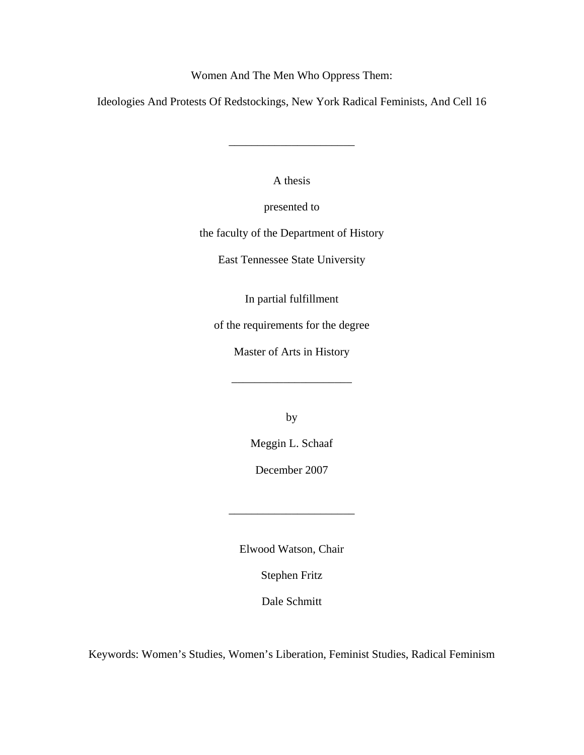Women And The Men Who Oppress Them:

Ideologies And Protests Of Redstockings, New York Radical Feminists, And Cell 16

\_\_\_\_\_\_\_\_\_\_\_\_\_\_\_\_\_\_\_\_\_\_

A thesis

presented to

the faculty of the Department of History

East Tennessee State University

In partial fulfillment

of the requirements for the degree

Master of Arts in History

\_\_\_\_\_\_\_\_\_\_\_\_\_\_\_\_\_\_\_\_\_

by

Meggin L. Schaaf

December 2007

\_\_\_\_\_\_\_\_\_\_\_\_\_\_\_\_\_\_\_\_\_\_

Elwood Watson, Chair

Stephen Fritz

Dale Schmitt

Keywords: Women's Studies, Women's Liberation, Feminist Studies, Radical Feminism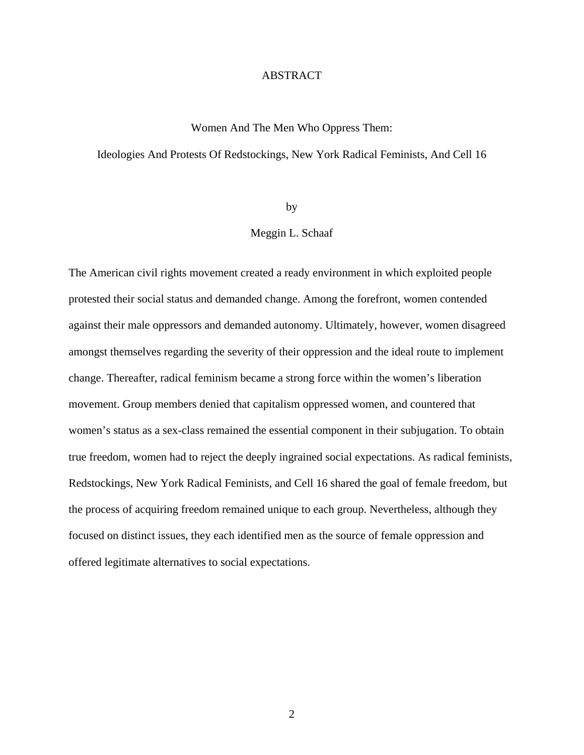### ABSTRACT

### Women And The Men Who Oppress Them:

### Ideologies And Protests Of Redstockings, New York Radical Feminists, And Cell 16

by

### Meggin L. Schaaf

The American civil rights movement created a ready environment in which exploited people protested their social status and demanded change. Among the forefront, women contended against their male oppressors and demanded autonomy. Ultimately, however, women disagreed amongst themselves regarding the severity of their oppression and the ideal route to implement change. Thereafter, radical feminism became a strong force within the women's liberation movement. Group members denied that capitalism oppressed women, and countered that women's status as a sex-class remained the essential component in their subjugation. To obtain true freedom, women had to reject the deeply ingrained social expectations. As radical feminists, Redstockings, New York Radical Feminists, and Cell 16 shared the goal of female freedom, but the process of acquiring freedom remained unique to each group. Nevertheless, although they focused on distinct issues, they each identified men as the source of female oppression and offered legitimate alternatives to social expectations.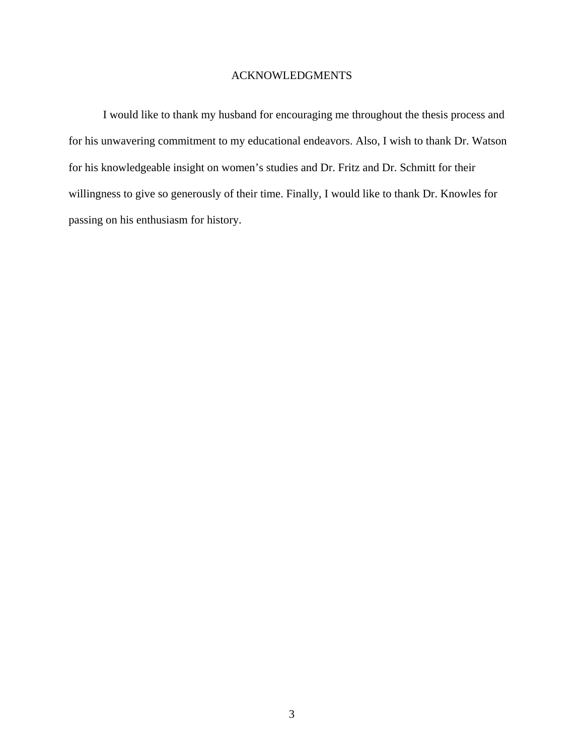### ACKNOWLEDGMENTS

 I would like to thank my husband for encouraging me throughout the thesis process and for his unwavering commitment to my educational endeavors. Also, I wish to thank Dr. Watson for his knowledgeable insight on women's studies and Dr. Fritz and Dr. Schmitt for their willingness to give so generously of their time. Finally, I would like to thank Dr. Knowles for passing on his enthusiasm for history.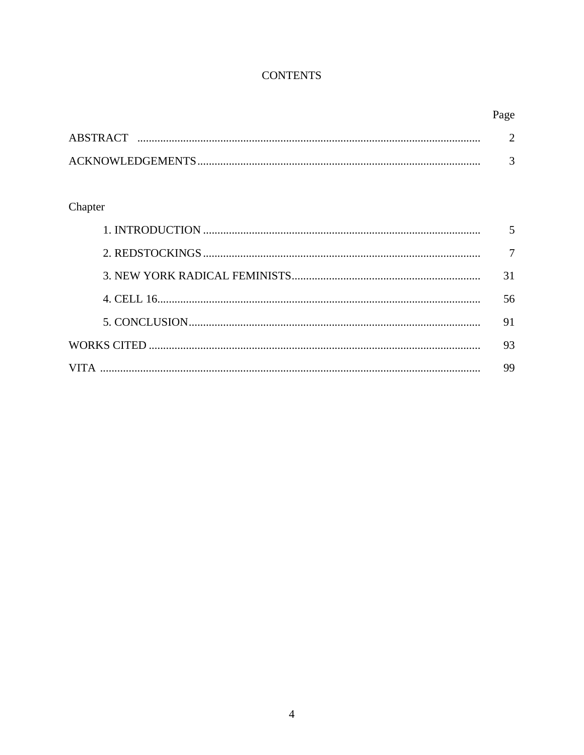### **CONTENTS**

|           | Page |
|-----------|------|
| ABSTRACT. |      |
|           |      |

## Chapter

| 56 |
|----|
| 91 |
| 93 |
| 99 |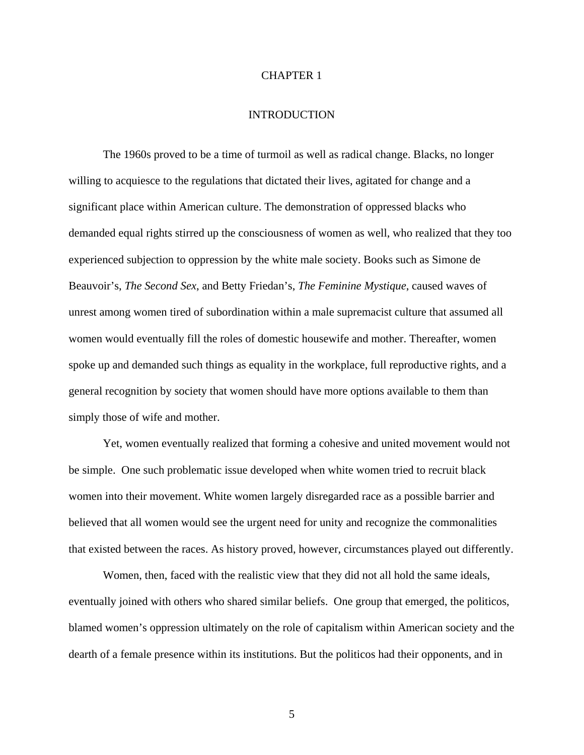### CHAPTER 1

### INTRODUCTION

The 1960s proved to be a time of turmoil as well as radical change. Blacks, no longer willing to acquiesce to the regulations that dictated their lives, agitated for change and a significant place within American culture. The demonstration of oppressed blacks who demanded equal rights stirred up the consciousness of women as well, who realized that they too experienced subjection to oppression by the white male society. Books such as Simone de Beauvoir's, *The Second Sex*, and Betty Friedan's, *The Feminine Mystique*, caused waves of unrest among women tired of subordination within a male supremacist culture that assumed all women would eventually fill the roles of domestic housewife and mother. Thereafter, women spoke up and demanded such things as equality in the workplace, full reproductive rights, and a general recognition by society that women should have more options available to them than simply those of wife and mother.

 Yet, women eventually realized that forming a cohesive and united movement would not be simple. One such problematic issue developed when white women tried to recruit black women into their movement. White women largely disregarded race as a possible barrier and believed that all women would see the urgent need for unity and recognize the commonalities that existed between the races. As history proved, however, circumstances played out differently.

Women, then, faced with the realistic view that they did not all hold the same ideals, eventually joined with others who shared similar beliefs. One group that emerged, the politicos, blamed women's oppression ultimately on the role of capitalism within American society and the dearth of a female presence within its institutions. But the politicos had their opponents, and in

5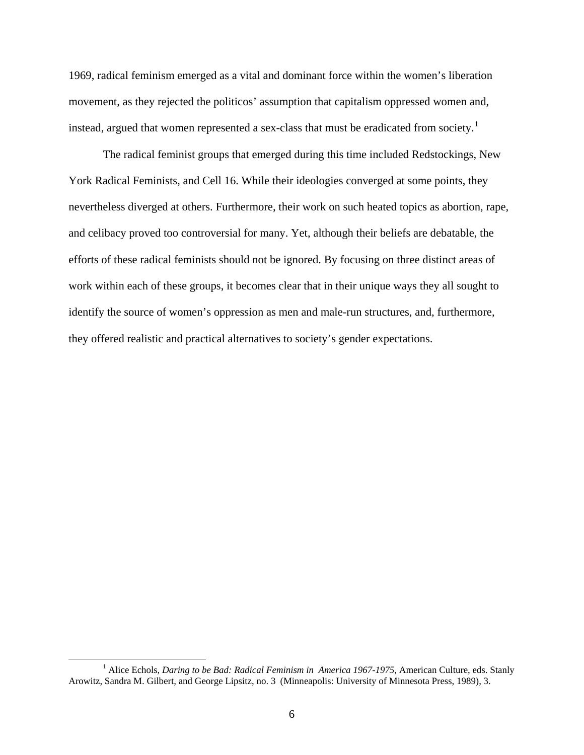1969, radical feminism emerged as a vital and dominant force within the women's liberation movement, as they rejected the politicos' assumption that capitalism oppressed women and, instead, argued that women represented a sex-class that must be eradicated from society.<sup>[1](#page-6-0)</sup>

The radical feminist groups that emerged during this time included Redstockings, New York Radical Feminists, and Cell 16. While their ideologies converged at some points, they nevertheless diverged at others. Furthermore, their work on such heated topics as abortion, rape, and celibacy proved too controversial for many. Yet, although their beliefs are debatable, the efforts of these radical feminists should not be ignored. By focusing on three distinct areas of work within each of these groups, it becomes clear that in their unique ways they all sought to identify the source of women's oppression as men and male-run structures, and, furthermore, they offered realistic and practical alternatives to society's gender expectations.

<span id="page-6-0"></span> $\frac{1}{1}$ <sup>1</sup> Alice Echols, *Daring to be Bad: Radical Feminism in America 1967-1975*, American Culture, eds. Stanly Arowitz, Sandra M. Gilbert, and George Lipsitz, no. 3 (Minneapolis: University of Minnesota Press, 1989), 3.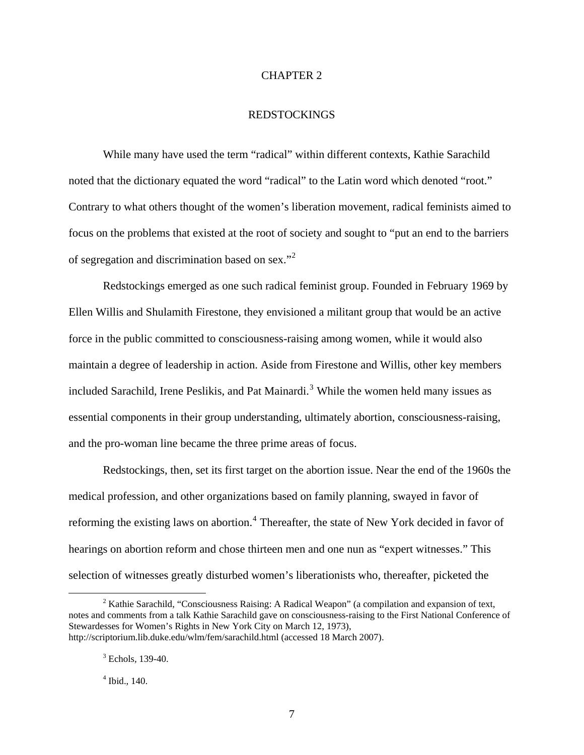### CHAPTER 2

### REDSTOCKINGS

While many have used the term "radical" within different contexts, Kathie Sarachild noted that the dictionary equated the word "radical" to the Latin word which denoted "root." Contrary to what others thought of the women's liberation movement, radical feminists aimed to focus on the problems that existed at the root of society and sought to "put an end to the barriers of segregation and discrimination based on sex."<sup>[2](#page-7-0)</sup>

Redstockings emerged as one such radical feminist group. Founded in February 1969 by Ellen Willis and Shulamith Firestone, they envisioned a militant group that would be an active force in the public committed to consciousness-raising among women, while it would also maintain a degree of leadership in action. Aside from Firestone and Willis, other key members included Sarachild, Irene Peslikis, and Pat Mainardi.<sup>[3](#page-7-1)</sup> While the women held many issues as essential components in their group understanding, ultimately abortion, consciousness-raising, and the pro-woman line became the three prime areas of focus.

Redstockings, then, set its first target on the abortion issue. Near the end of the 1960s the medical profession, and other organizations based on family planning, swayed in favor of reforming the existing laws on abortion.<sup>[4](#page-7-2)</sup> Thereafter, the state of New York decided in favor of hearings on abortion reform and chose thirteen men and one nun as "expert witnesses." This selection of witnesses greatly disturbed women's liberationists who, thereafter, picketed the

<span id="page-7-1"></span><span id="page-7-0"></span> $\overline{\phantom{a}}$  $2$  Kathie Sarachild, "Consciousness Raising: A Radical Weapon" (a compilation and expansion of text, notes and comments from a talk Kathie Sarachild gave on consciousness-raising to the First National Conference of Stewardesses for Women's Rights in New York City on March 12, 1973), http://scriptorium.lib.duke.edu/wlm/fem/sarachild.html (accessed 18 March 2007).

<sup>3</sup> Echols*,* 139-40.

<span id="page-7-2"></span><sup>4</sup> Ibid., 140.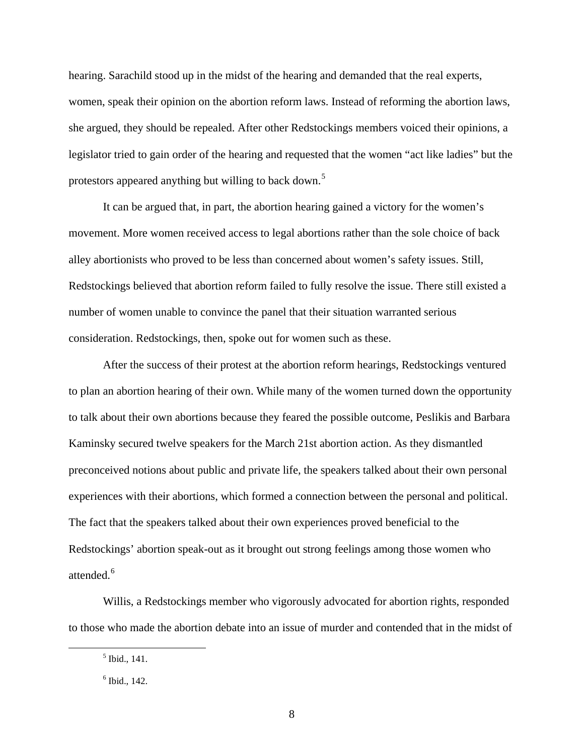hearing. Sarachild stood up in the midst of the hearing and demanded that the real experts, women, speak their opinion on the abortion reform laws. Instead of reforming the abortion laws, she argued, they should be repealed. After other Redstockings members voiced their opinions, a legislator tried to gain order of the hearing and requested that the women "act like ladies" but the protestors appeared anything but willing to back down.<sup>[5](#page-8-0)</sup>

It can be argued that, in part, the abortion hearing gained a victory for the women's movement. More women received access to legal abortions rather than the sole choice of back alley abortionists who proved to be less than concerned about women's safety issues. Still, Redstockings believed that abortion reform failed to fully resolve the issue. There still existed a number of women unable to convince the panel that their situation warranted serious consideration. Redstockings, then, spoke out for women such as these.

After the success of their protest at the abortion reform hearings, Redstockings ventured to plan an abortion hearing of their own. While many of the women turned down the opportunity to talk about their own abortions because they feared the possible outcome, Peslikis and Barbara Kaminsky secured twelve speakers for the March 21st abortion action. As they dismantled preconceived notions about public and private life, the speakers talked about their own personal experiences with their abortions, which formed a connection between the personal and political. The fact that the speakers talked about their own experiences proved beneficial to the Redstockings' abortion speak-out as it brought out strong feelings among those women who attended.<sup>[6](#page-8-1)</sup>

Willis, a Redstockings member who vigorously advocated for abortion rights, responded to those who made the abortion debate into an issue of murder and contended that in the midst of

<span id="page-8-1"></span><span id="page-8-0"></span> $\frac{1}{5}$  $<sup>5</sup>$  Ibid., 141.</sup>

 $<sup>6</sup>$  Ibid., 142.</sup>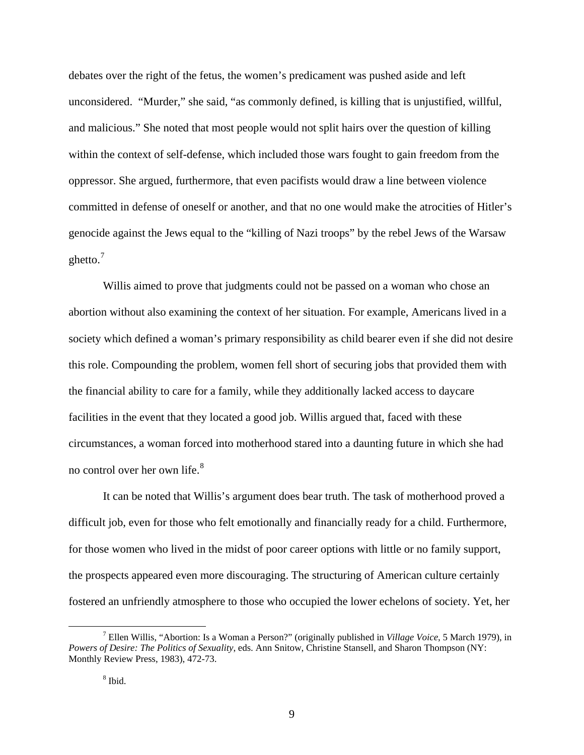debates over the right of the fetus, the women's predicament was pushed aside and left unconsidered. "Murder," she said, "as commonly defined, is killing that is unjustified, willful, and malicious." She noted that most people would not split hairs over the question of killing within the context of self-defense, which included those wars fought to gain freedom from the oppressor. She argued, furthermore, that even pacifists would draw a line between violence committed in defense of oneself or another, and that no one would make the atrocities of Hitler's genocide against the Jews equal to the "killing of Nazi troops" by the rebel Jews of the Warsaw ghetto. $<sup>7</sup>$  $<sup>7</sup>$  $<sup>7</sup>$ </sup>

Willis aimed to prove that judgments could not be passed on a woman who chose an abortion without also examining the context of her situation. For example, Americans lived in a society which defined a woman's primary responsibility as child bearer even if she did not desire this role. Compounding the problem, women fell short of securing jobs that provided them with the financial ability to care for a family, while they additionally lacked access to daycare facilities in the event that they located a good job. Willis argued that, faced with these circumstances, a woman forced into motherhood stared into a daunting future in which she had no control over her own life.[8](#page-9-1)

It can be noted that Willis's argument does bear truth. The task of motherhood proved a difficult job, even for those who felt emotionally and financially ready for a child. Furthermore, for those women who lived in the midst of poor career options with little or no family support, the prospects appeared even more discouraging. The structuring of American culture certainly fostered an unfriendly atmosphere to those who occupied the lower echelons of society. Yet, her

<span id="page-9-1"></span><span id="page-9-0"></span> <sup>7</sup> Ellen Willis, "Abortion: Is a Woman a Person?" (originally published in *Village Voice*, 5 March 1979), in *Powers of Desire: The Politics of Sexuality*, eds. Ann Snitow, Christine Stansell, and Sharon Thompson (NY: Monthly Review Press, 1983), 472-73.

<sup>8</sup> Ibid.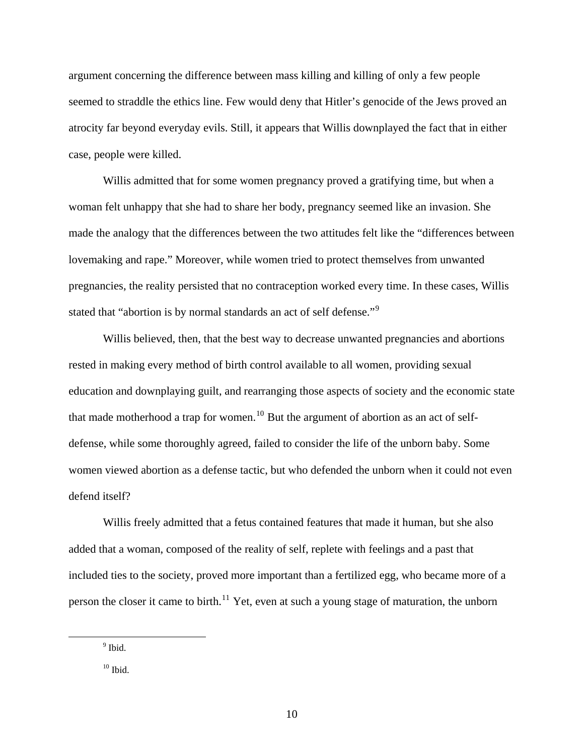argument concerning the difference between mass killing and killing of only a few people seemed to straddle the ethics line. Few would deny that Hitler's genocide of the Jews proved an atrocity far beyond everyday evils. Still, it appears that Willis downplayed the fact that in either case, people were killed.

Willis admitted that for some women pregnancy proved a gratifying time, but when a woman felt unhappy that she had to share her body, pregnancy seemed like an invasion. She made the analogy that the differences between the two attitudes felt like the "differences between lovemaking and rape." Moreover, while women tried to protect themselves from unwanted pregnancies, the reality persisted that no contraception worked every time. In these cases, Willis stated that "abortion is by normal standards an act of self defense."<sup>[9](#page-10-0)</sup>

Willis believed, then, that the best way to decrease unwanted pregnancies and abortions rested in making every method of birth control available to all women, providing sexual education and downplaying guilt, and rearranging those aspects of society and the economic state that made motherhood a trap for women.<sup>[10](#page-10-1)</sup> But the argument of abortion as an act of selfdefense, while some thoroughly agreed, failed to consider the life of the unborn baby. Some women viewed abortion as a defense tactic, but who defended the unborn when it could not even defend itself?

Willis freely admitted that a fetus contained features that made it human, but she also added that a woman, composed of the reality of self, replete with feelings and a past that included ties to the society, proved more important than a fertilized egg, who became more of a person the closer it came to birth.<sup>[11](#page-10-2)</sup> Yet, even at such a young stage of maturation, the unborn

<span id="page-10-2"></span><span id="page-10-1"></span><span id="page-10-0"></span> $\overline{a}$ 

<sup>&</sup>lt;sup>9</sup> Ibid.

 $10$  Ibid.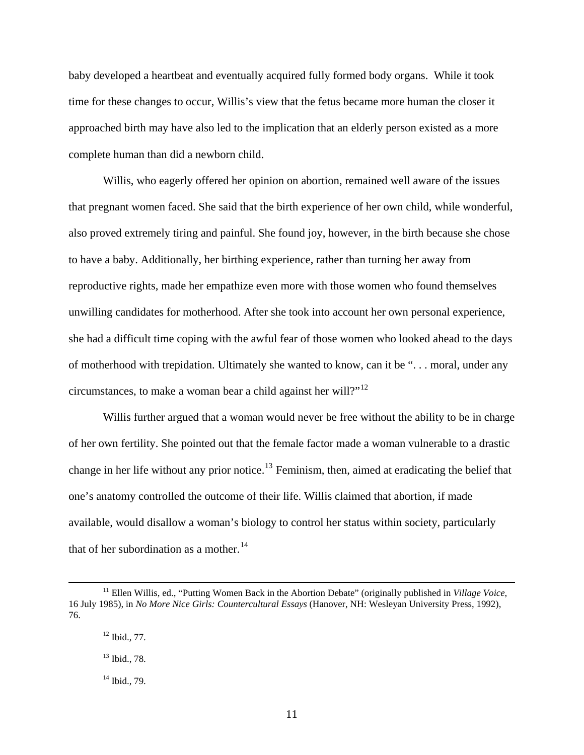baby developed a heartbeat and eventually acquired fully formed body organs. While it took time for these changes to occur, Willis's view that the fetus became more human the closer it approached birth may have also led to the implication that an elderly person existed as a more complete human than did a newborn child.

Willis, who eagerly offered her opinion on abortion, remained well aware of the issues that pregnant women faced. She said that the birth experience of her own child, while wonderful, also proved extremely tiring and painful. She found joy, however, in the birth because she chose to have a baby. Additionally, her birthing experience, rather than turning her away from reproductive rights, made her empathize even more with those women who found themselves unwilling candidates for motherhood. After she took into account her own personal experience, she had a difficult time coping with the awful fear of those women who looked ahead to the days of motherhood with trepidation. Ultimately she wanted to know, can it be ". . . moral, under any circumstances, to make a woman bear a child against her will?"[12](#page-11-0)

Willis further argued that a woman would never be free without the ability to be in charge of her own fertility. She pointed out that the female factor made a woman vulnerable to a drastic change in her life without any prior notice.[13](#page-11-1) Feminism, then, aimed at eradicating the belief that one's anatomy controlled the outcome of their life. Willis claimed that abortion, if made available, would disallow a woman's biology to control her status within society, particularly that of her subordination as a mother.<sup>[14](#page-11-2)</sup>

<span id="page-11-1"></span><span id="page-11-0"></span><sup>&</sup>lt;sup>11</sup> Ellen Willis, ed., "Putting Women Back in the Abortion Debate" (originally published in *Village Voice*, 16 July 1985), in *No More Nice Girls: Countercultural Essays* (Hanover, NH: Wesleyan University Press, 1992), 76.

 $12$  Ibid., 77.

<sup>13</sup> Ibid., 78.

<span id="page-11-2"></span> $14$  Ibid., 79.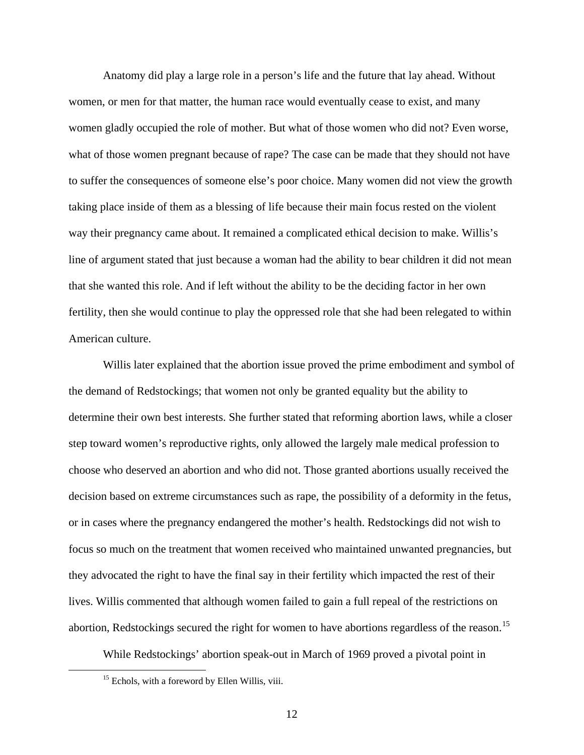Anatomy did play a large role in a person's life and the future that lay ahead. Without women, or men for that matter, the human race would eventually cease to exist, and many women gladly occupied the role of mother. But what of those women who did not? Even worse, what of those women pregnant because of rape? The case can be made that they should not have to suffer the consequences of someone else's poor choice. Many women did not view the growth taking place inside of them as a blessing of life because their main focus rested on the violent way their pregnancy came about. It remained a complicated ethical decision to make. Willis's line of argument stated that just because a woman had the ability to bear children it did not mean that she wanted this role. And if left without the ability to be the deciding factor in her own fertility, then she would continue to play the oppressed role that she had been relegated to within American culture.

Willis later explained that the abortion issue proved the prime embodiment and symbol of the demand of Redstockings; that women not only be granted equality but the ability to determine their own best interests. She further stated that reforming abortion laws, while a closer step toward women's reproductive rights, only allowed the largely male medical profession to choose who deserved an abortion and who did not. Those granted abortions usually received the decision based on extreme circumstances such as rape, the possibility of a deformity in the fetus, or in cases where the pregnancy endangered the mother's health. Redstockings did not wish to focus so much on the treatment that women received who maintained unwanted pregnancies, but they advocated the right to have the final say in their fertility which impacted the rest of their lives. Willis commented that although women failed to gain a full repeal of the restrictions on abortion, Redstockings secured the right for women to have abortions regardless of the reason.<sup>[15](#page-12-0)</sup>

While Redstockings' abortion speak-out in March of 1969 proved a pivotal point in

<span id="page-12-0"></span><sup>&</sup>lt;sup>15</sup> Echols, with a foreword by Ellen Willis, viii.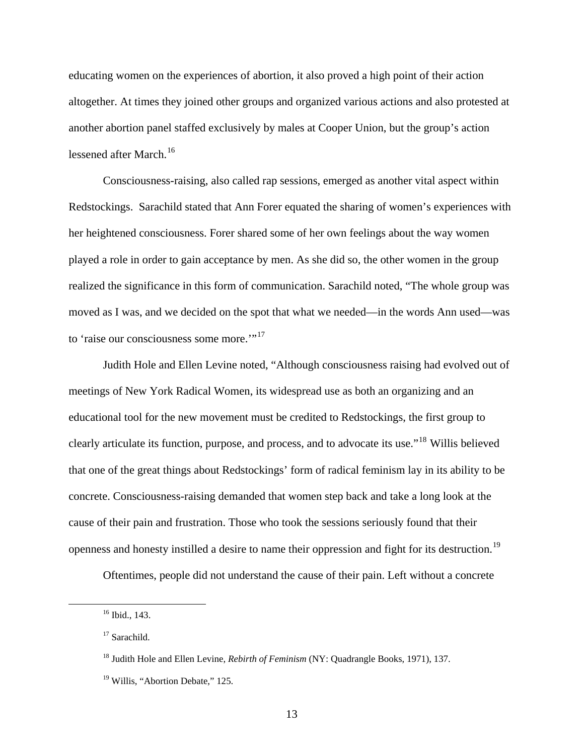educating women on the experiences of abortion, it also proved a high point of their action altogether. At times they joined other groups and organized various actions and also protested at another abortion panel staffed exclusively by males at Cooper Union, but the group's action lessened after March.<sup>[16](#page-13-0)</sup>

Consciousness-raising, also called rap sessions, emerged as another vital aspect within Redstockings. Sarachild stated that Ann Forer equated the sharing of women's experiences with her heightened consciousness. Forer shared some of her own feelings about the way women played a role in order to gain acceptance by men. As she did so, the other women in the group realized the significance in this form of communication. Sarachild noted, "The whole group was moved as I was, and we decided on the spot that what we needed—in the words Ann used—was to 'raise our consciousness some more."<sup>[17](#page-13-1)</sup>

Judith Hole and Ellen Levine noted, "Although consciousness raising had evolved out of meetings of New York Radical Women, its widespread use as both an organizing and an educational tool for the new movement must be credited to Redstockings, the first group to clearly articulate its function, purpose, and process, and to advocate its use."[18](#page-13-2) Willis believed that one of the great things about Redstockings' form of radical feminism lay in its ability to be concrete. Consciousness-raising demanded that women step back and take a long look at the cause of their pain and frustration. Those who took the sessions seriously found that their openness and honesty instilled a desire to name their oppression and fight for its destruction.<sup>[19](#page-13-3)</sup>

Oftentimes, people did not understand the cause of their pain. Left without a concrete

<span id="page-13-0"></span><sup>&</sup>lt;sup>16</sup> Ibid., 143.

<span id="page-13-1"></span><sup>&</sup>lt;sup>17</sup> Sarachild.

<span id="page-13-2"></span><sup>18</sup> Judith Hole and Ellen Levine, *Rebirth of Feminism* (NY: Quadrangle Books, 1971), 137.

<span id="page-13-3"></span><sup>&</sup>lt;sup>19</sup> Willis, "Abortion Debate," 125.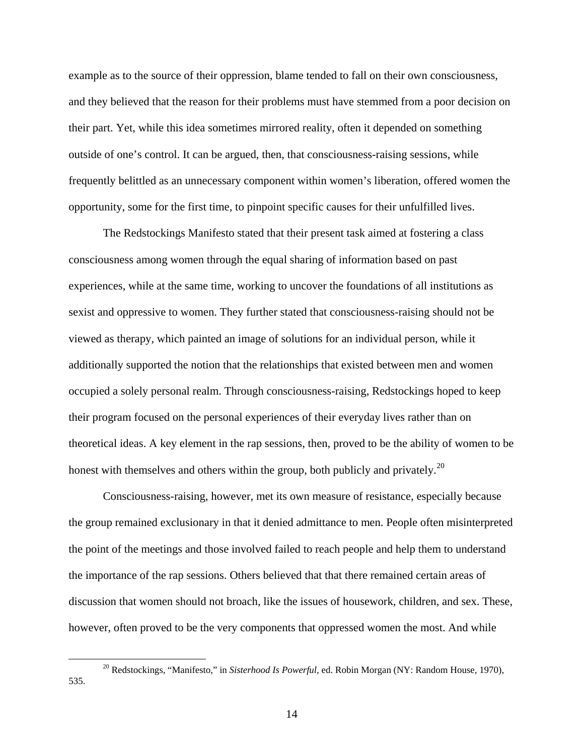example as to the source of their oppression, blame tended to fall on their own consciousness, and they believed that the reason for their problems must have stemmed from a poor decision on their part. Yet, while this idea sometimes mirrored reality, often it depended on something outside of one's control. It can be argued, then, that consciousness-raising sessions, while frequently belittled as an unnecessary component within women's liberation, offered women the opportunity, some for the first time, to pinpoint specific causes for their unfulfilled lives.

The Redstockings Manifesto stated that their present task aimed at fostering a class consciousness among women through the equal sharing of information based on past experiences, while at the same time, working to uncover the foundations of all institutions as sexist and oppressive to women. They further stated that consciousness-raising should not be viewed as therapy, which painted an image of solutions for an individual person, while it additionally supported the notion that the relationships that existed between men and women occupied a solely personal realm. Through consciousness-raising, Redstockings hoped to keep their program focused on the personal experiences of their everyday lives rather than on theoretical ideas. A key element in the rap sessions, then, proved to be the ability of women to be honest with themselves and others within the group, both publicly and privately.<sup>[20](#page-14-0)</sup>

Consciousness-raising, however, met its own measure of resistance, especially because the group remained exclusionary in that it denied admittance to men. People often misinterpreted the point of the meetings and those involved failed to reach people and help them to understand the importance of the rap sessions. Others believed that that there remained certain areas of discussion that women should not broach, like the issues of housework, children, and sex. These, however, often proved to be the very components that oppressed women the most. And while

<span id="page-14-0"></span> <sup>20</sup> Redstockings, "Manifesto," in *Sisterhood Is Powerful*, ed. Robin Morgan (NY: Random House, 1970), 535.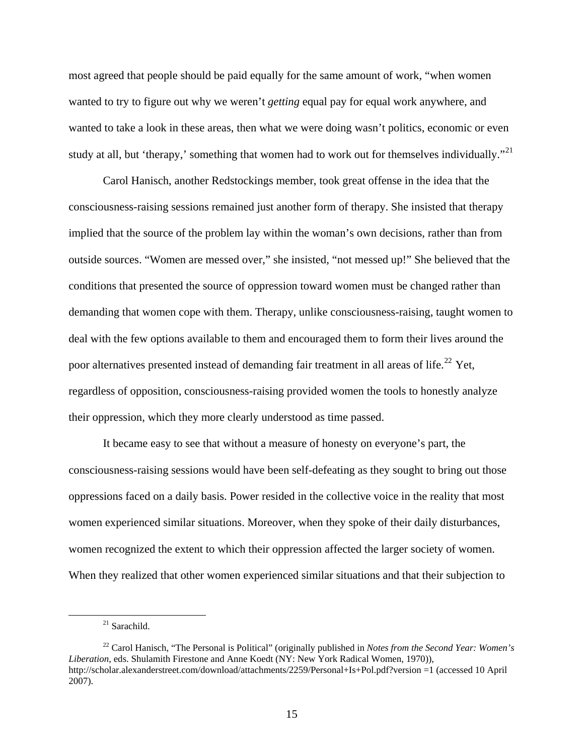most agreed that people should be paid equally for the same amount of work, "when women wanted to try to figure out why we weren't *getting* equal pay for equal work anywhere, and wanted to take a look in these areas, then what we were doing wasn't politics, economic or even study at all, but 'therapy,' something that women had to work out for themselves individually."<sup>[21](#page-15-0)</sup>

Carol Hanisch, another Redstockings member, took great offense in the idea that the consciousness-raising sessions remained just another form of therapy. She insisted that therapy implied that the source of the problem lay within the woman's own decisions, rather than from outside sources. "Women are messed over," she insisted, "not messed up!" She believed that the conditions that presented the source of oppression toward women must be changed rather than demanding that women cope with them. Therapy, unlike consciousness-raising, taught women to deal with the few options available to them and encouraged them to form their lives around the poor alternatives presented instead of demanding fair treatment in all areas of life.<sup>[22](#page-15-1)</sup> Yet, regardless of opposition, consciousness-raising provided women the tools to honestly analyze their oppression, which they more clearly understood as time passed.

It became easy to see that without a measure of honesty on everyone's part, the consciousness-raising sessions would have been self-defeating as they sought to bring out those oppressions faced on a daily basis. Power resided in the collective voice in the reality that most women experienced similar situations. Moreover, when they spoke of their daily disturbances, women recognized the extent to which their oppression affected the larger society of women. When they realized that other women experienced similar situations and that their subjection to

 $21$  Sarachild.

<span id="page-15-1"></span><span id="page-15-0"></span><sup>22</sup> Carol Hanisch, "The Personal is Political" (originally published in *Notes from the Second Year: Women's Liberation*, eds. Shulamith Firestone and Anne Koedt (NY: New York Radical Women, 1970)), http://scholar.alexanderstreet.com/download/attachments/2259/Personal+Is+Pol.pdf?version =1 (accessed 10 April 2007).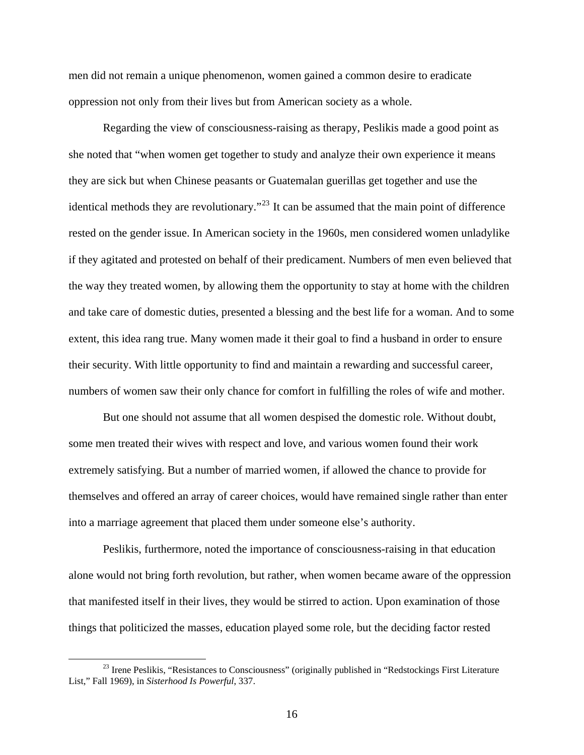men did not remain a unique phenomenon, women gained a common desire to eradicate oppression not only from their lives but from American society as a whole.

Regarding the view of consciousness-raising as therapy, Peslikis made a good point as she noted that "when women get together to study and analyze their own experience it means they are sick but when Chinese peasants or Guatemalan guerillas get together and use the identical methods they are revolutionary."[23](#page-16-0) It can be assumed that the main point of difference rested on the gender issue. In American society in the 1960s, men considered women unladylike if they agitated and protested on behalf of their predicament. Numbers of men even believed that the way they treated women, by allowing them the opportunity to stay at home with the children and take care of domestic duties, presented a blessing and the best life for a woman. And to some extent, this idea rang true. Many women made it their goal to find a husband in order to ensure their security. With little opportunity to find and maintain a rewarding and successful career, numbers of women saw their only chance for comfort in fulfilling the roles of wife and mother.

But one should not assume that all women despised the domestic role. Without doubt, some men treated their wives with respect and love, and various women found their work extremely satisfying. But a number of married women, if allowed the chance to provide for themselves and offered an array of career choices, would have remained single rather than enter into a marriage agreement that placed them under someone else's authority.

Peslikis, furthermore, noted the importance of consciousness-raising in that education alone would not bring forth revolution, but rather, when women became aware of the oppression that manifested itself in their lives, they would be stirred to action. Upon examination of those things that politicized the masses, education played some role, but the deciding factor rested

<span id="page-16-0"></span><sup>&</sup>lt;sup>23</sup> Irene Peslikis, "Resistances to Consciousness" (originally published in "Redstockings First Literature List," Fall 1969), in *Sisterhood Is Powerful*, 337.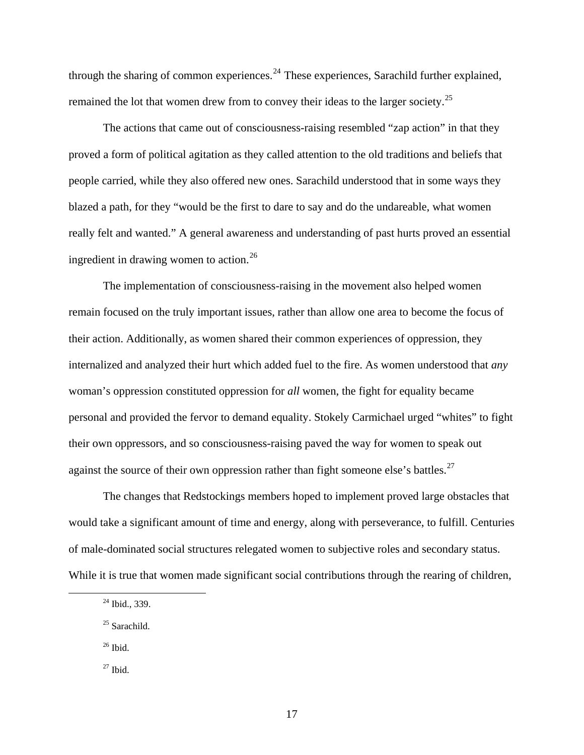through the sharing of common experiences.<sup>[24](#page-17-0)</sup> These experiences, Sarachild further explained, remained the lot that women drew from to convey their ideas to the larger society.<sup>[25](#page-17-1)</sup>

The actions that came out of consciousness-raising resembled "zap action" in that they proved a form of political agitation as they called attention to the old traditions and beliefs that people carried, while they also offered new ones. Sarachild understood that in some ways they blazed a path, for they "would be the first to dare to say and do the undareable, what women really felt and wanted." A general awareness and understanding of past hurts proved an essential ingredient in drawing women to action.<sup>[26](#page-17-2)</sup>

The implementation of consciousness-raising in the movement also helped women remain focused on the truly important issues, rather than allow one area to become the focus of their action. Additionally, as women shared their common experiences of oppression, they internalized and analyzed their hurt which added fuel to the fire. As women understood that *any* woman's oppression constituted oppression for *all* women, the fight for equality became personal and provided the fervor to demand equality. Stokely Carmichael urged "whites" to fight their own oppressors, and so consciousness-raising paved the way for women to speak out against the source of their own oppression rather than fight someone else's battles.<sup>[27](#page-17-3)</sup>

The changes that Redstockings members hoped to implement proved large obstacles that would take a significant amount of time and energy, along with perseverance, to fulfill. Centuries of male-dominated social structures relegated women to subjective roles and secondary status. While it is true that women made significant social contributions through the rearing of children,

<span id="page-17-2"></span>26 Ibid.

<span id="page-17-3"></span> $27$  Ibid.

<span id="page-17-0"></span><sup>&</sup>lt;sup>24</sup> Ibid., 339.

<span id="page-17-1"></span><sup>&</sup>lt;sup>25</sup> Sarachild.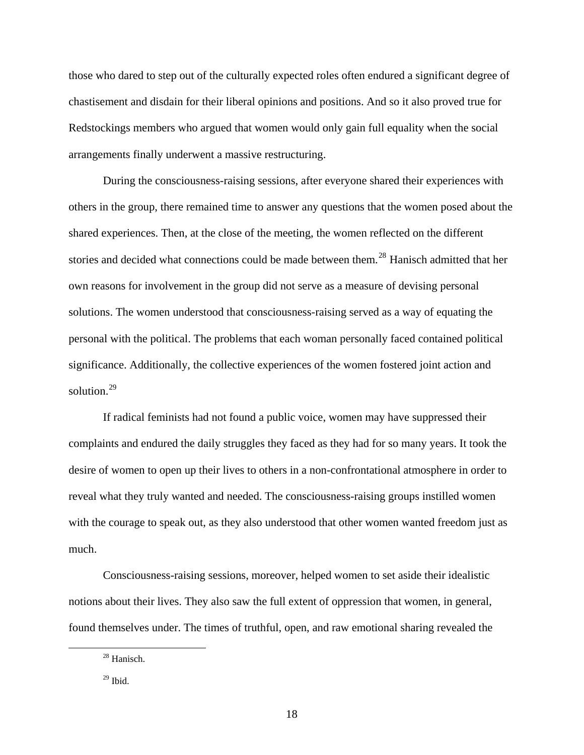those who dared to step out of the culturally expected roles often endured a significant degree of chastisement and disdain for their liberal opinions and positions. And so it also proved true for Redstockings members who argued that women would only gain full equality when the social arrangements finally underwent a massive restructuring.

During the consciousness-raising sessions, after everyone shared their experiences with others in the group, there remained time to answer any questions that the women posed about the shared experiences. Then, at the close of the meeting, the women reflected on the different stories and decided what connections could be made between them.<sup>[28](#page-18-0)</sup> Hanisch admitted that her own reasons for involvement in the group did not serve as a measure of devising personal solutions. The women understood that consciousness-raising served as a way of equating the personal with the political. The problems that each woman personally faced contained political significance. Additionally, the collective experiences of the women fostered joint action and solution.<sup>[29](#page-18-1)</sup>

If radical feminists had not found a public voice, women may have suppressed their complaints and endured the daily struggles they faced as they had for so many years. It took the desire of women to open up their lives to others in a non-confrontational atmosphere in order to reveal what they truly wanted and needed. The consciousness-raising groups instilled women with the courage to speak out, as they also understood that other women wanted freedom just as much.

Consciousness-raising sessions, moreover, helped women to set aside their idealistic notions about their lives. They also saw the full extent of oppression that women, in general, found themselves under. The times of truthful, open, and raw emotional sharing revealed the

<span id="page-18-0"></span> <sup>28</sup> Hanisch.

<span id="page-18-1"></span> $29$  Ibid.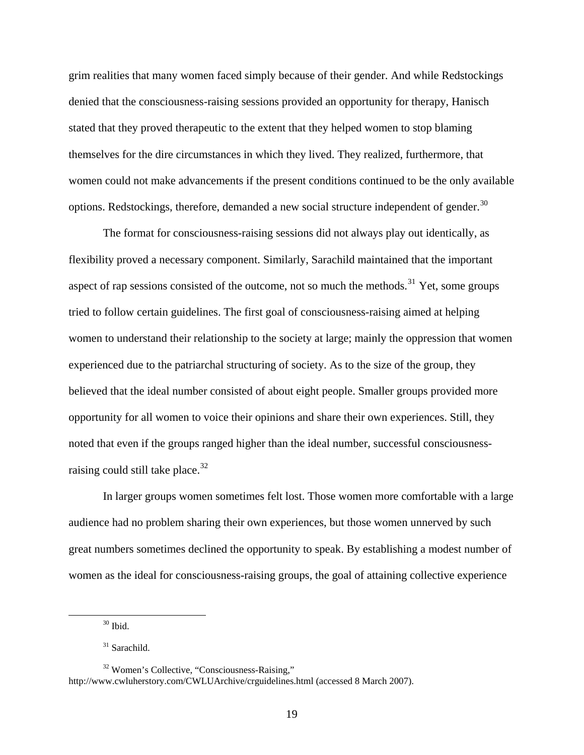grim realities that many women faced simply because of their gender. And while Redstockings denied that the consciousness-raising sessions provided an opportunity for therapy, Hanisch stated that they proved therapeutic to the extent that they helped women to stop blaming themselves for the dire circumstances in which they lived. They realized, furthermore, that women could not make advancements if the present conditions continued to be the only available options. Redstockings, therefore, demanded a new social structure independent of gender.<sup>[30](#page-19-0)</sup>

The format for consciousness-raising sessions did not always play out identically, as flexibility proved a necessary component. Similarly, Sarachild maintained that the important aspect of rap sessions consisted of the outcome, not so much the methods.<sup>[31](#page-19-1)</sup> Yet, some groups tried to follow certain guidelines. The first goal of consciousness-raising aimed at helping women to understand their relationship to the society at large; mainly the oppression that women experienced due to the patriarchal structuring of society. As to the size of the group, they believed that the ideal number consisted of about eight people. Smaller groups provided more opportunity for all women to voice their opinions and share their own experiences. Still, they noted that even if the groups ranged higher than the ideal number, successful consciousnessraising could still take place. $32$ 

In larger groups women sometimes felt lost. Those women more comfortable with a large audience had no problem sharing their own experiences, but those women unnerved by such great numbers sometimes declined the opportunity to speak. By establishing a modest number of women as the ideal for consciousness-raising groups, the goal of attaining collective experience

 $30$  Ibid.

<sup>&</sup>lt;sup>31</sup> Sarachild.

<span id="page-19-2"></span><span id="page-19-1"></span><span id="page-19-0"></span><sup>32</sup> Women's Collective, "Consciousness-Raising," http://www.cwluherstory.com/CWLUArchive/crguidelines.html (accessed 8 March 2007).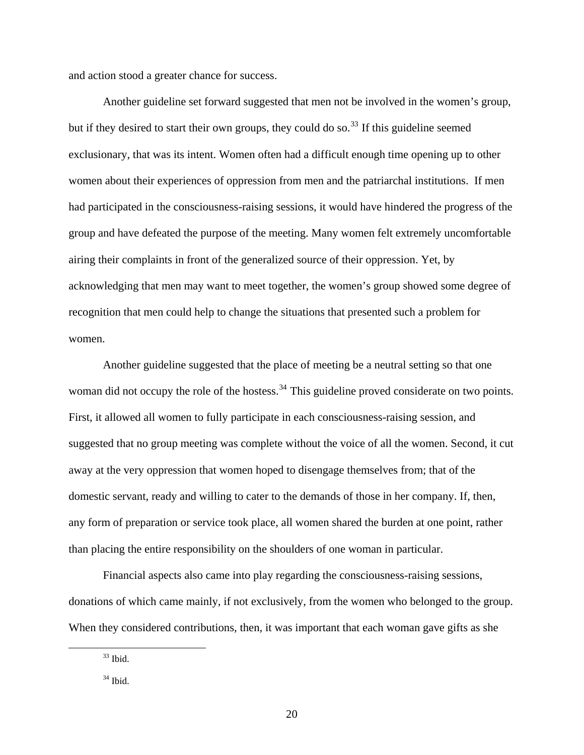and action stood a greater chance for success.

Another guideline set forward suggested that men not be involved in the women's group, but if they desired to start their own groups, they could do so.<sup>[33](#page-20-0)</sup> If this guideline seemed exclusionary, that was its intent. Women often had a difficult enough time opening up to other women about their experiences of oppression from men and the patriarchal institutions. If men had participated in the consciousness-raising sessions, it would have hindered the progress of the group and have defeated the purpose of the meeting. Many women felt extremely uncomfortable airing their complaints in front of the generalized source of their oppression. Yet, by acknowledging that men may want to meet together, the women's group showed some degree of recognition that men could help to change the situations that presented such a problem for women.

Another guideline suggested that the place of meeting be a neutral setting so that one woman did not occupy the role of the hostess.<sup>[34](#page-20-1)</sup> This guideline proved considerate on two points. First, it allowed all women to fully participate in each consciousness-raising session, and suggested that no group meeting was complete without the voice of all the women. Second, it cut away at the very oppression that women hoped to disengage themselves from; that of the domestic servant, ready and willing to cater to the demands of those in her company. If, then, any form of preparation or service took place, all women shared the burden at one point, rather than placing the entire responsibility on the shoulders of one woman in particular.

Financial aspects also came into play regarding the consciousness-raising sessions, donations of which came mainly, if not exclusively, from the women who belonged to the group. When they considered contributions, then, it was important that each woman gave gifts as she

<span id="page-20-0"></span> $33$  Ibid.

<span id="page-20-1"></span> $34$  Ibid.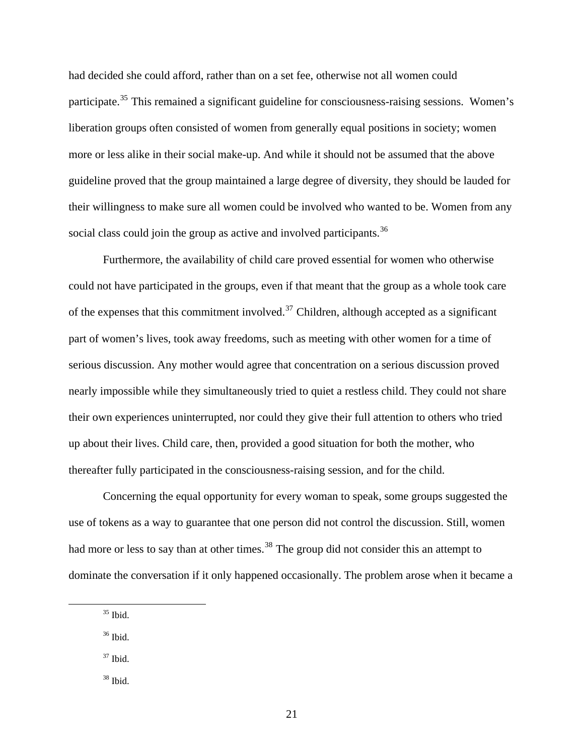had decided she could afford, rather than on a set fee, otherwise not all women could participate.<sup>[35](#page-21-0)</sup> This remained a significant guideline for consciousness-raising sessions. Women's liberation groups often consisted of women from generally equal positions in society; women more or less alike in their social make-up. And while it should not be assumed that the above guideline proved that the group maintained a large degree of diversity, they should be lauded for their willingness to make sure all women could be involved who wanted to be. Women from any social class could join the group as active and involved participants.<sup>[36](#page-21-1)</sup>

Furthermore, the availability of child care proved essential for women who otherwise could not have participated in the groups, even if that meant that the group as a whole took care of the expenses that this commitment involved.<sup>[37](#page-21-2)</sup> Children, although accepted as a significant part of women's lives, took away freedoms, such as meeting with other women for a time of serious discussion. Any mother would agree that concentration on a serious discussion proved nearly impossible while they simultaneously tried to quiet a restless child. They could not share their own experiences uninterrupted, nor could they give their full attention to others who tried up about their lives. Child care, then, provided a good situation for both the mother, who thereafter fully participated in the consciousness-raising session, and for the child.

Concerning the equal opportunity for every woman to speak, some groups suggested the use of tokens as a way to guarantee that one person did not control the discussion. Still, women had more or less to say than at other times.<sup>[38](#page-21-3)</sup> The group did not consider this an attempt to dominate the conversation if it only happened occasionally. The problem arose when it became a

- <span id="page-21-2"></span> $37$  Ibid.
- <span id="page-21-3"></span> $38$  Ibid.

<span id="page-21-0"></span> $35$  Ibid.

<span id="page-21-1"></span> $36$  Ibid.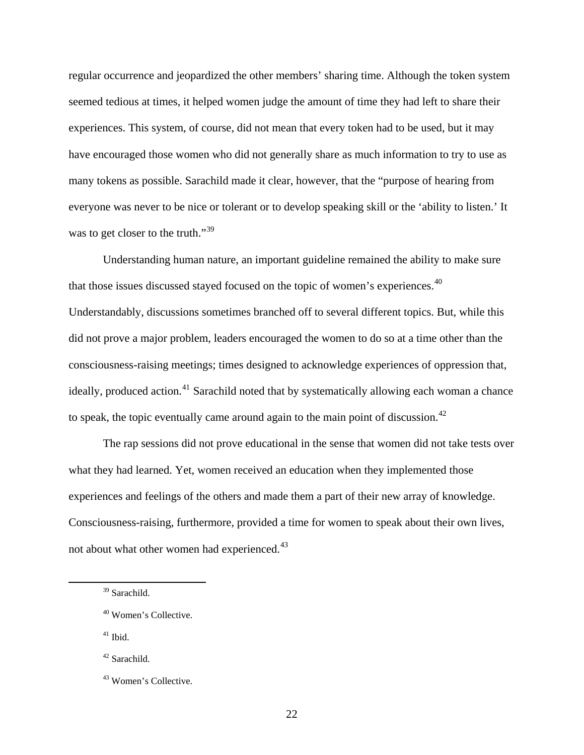regular occurrence and jeopardized the other members' sharing time. Although the token system seemed tedious at times, it helped women judge the amount of time they had left to share their experiences. This system, of course, did not mean that every token had to be used, but it may have encouraged those women who did not generally share as much information to try to use as many tokens as possible. Sarachild made it clear, however, that the "purpose of hearing from everyone was never to be nice or tolerant or to develop speaking skill or the 'ability to listen.' It was to get closer to the truth."<sup>[39](#page-22-0)</sup>

Understanding human nature, an important guideline remained the ability to make sure that those issues discussed stayed focused on the topic of women's experiences.<sup>[40](#page-22-1)</sup> Understandably, discussions sometimes branched off to several different topics. But, while this did not prove a major problem, leaders encouraged the women to do so at a time other than the consciousness-raising meetings; times designed to acknowledge experiences of oppression that, ideally, produced action.<sup>[41](#page-22-2)</sup> Sarachild noted that by systematically allowing each woman a chance to speak, the topic eventually came around again to the main point of discussion.<sup>[42](#page-22-3)</sup>

The rap sessions did not prove educational in the sense that women did not take tests over what they had learned. Yet, women received an education when they implemented those experiences and feelings of the others and made them a part of their new array of knowledge. Consciousness-raising, furthermore, provided a time for women to speak about their own lives, not about what other women had experienced.<sup>[43](#page-22-4)</sup>

<span id="page-22-2"></span> $41$  Ibid.

<span id="page-22-3"></span>42 Sarachild.

<span id="page-22-0"></span> <sup>39</sup> Sarachild.

<span id="page-22-1"></span><sup>40</sup> Women's Collective.

<span id="page-22-4"></span><sup>43</sup> Women's Collective.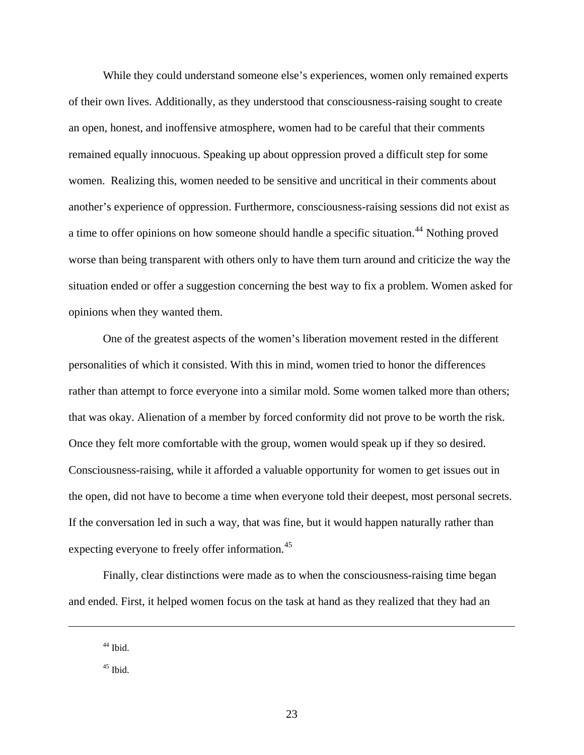While they could understand someone else's experiences, women only remained experts of their own lives. Additionally, as they understood that consciousness-raising sought to create an open, honest, and inoffensive atmosphere, women had to be careful that their comments remained equally innocuous. Speaking up about oppression proved a difficult step for some women. Realizing this, women needed to be sensitive and uncritical in their comments about another's experience of oppression. Furthermore, consciousness-raising sessions did not exist as a time to offer opinions on how someone should handle a specific situation.<sup>[44](#page-23-0)</sup> Nothing proved worse than being transparent with others only to have them turn around and criticize the way the situation ended or offer a suggestion concerning the best way to fix a problem. Women asked for opinions when they wanted them.

One of the greatest aspects of the women's liberation movement rested in the different personalities of which it consisted. With this in mind, women tried to honor the differences rather than attempt to force everyone into a similar mold. Some women talked more than others; that was okay. Alienation of a member by forced conformity did not prove to be worth the risk. Once they felt more comfortable with the group, women would speak up if they so desired. Consciousness-raising, while it afforded a valuable opportunity for women to get issues out in the open, did not have to become a time when everyone told their deepest, most personal secrets. If the conversation led in such a way, that was fine, but it would happen naturally rather than expecting everyone to freely offer information.<sup>[45](#page-23-1)</sup>

Finally, clear distinctions were made as to when the consciousness-raising time began and ended. First, it helped women focus on the task at hand as they realized that they had an

<span id="page-23-1"></span><span id="page-23-0"></span>1

 $44$  Ibid.

 $45$  Ibid.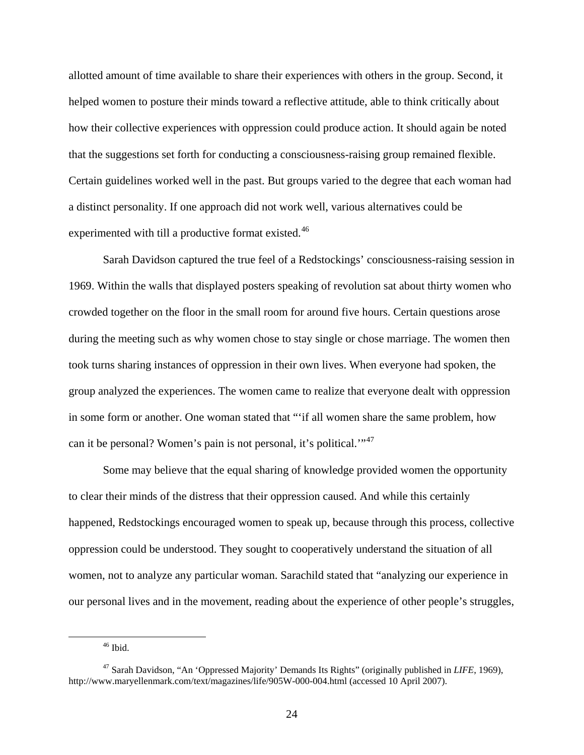allotted amount of time available to share their experiences with others in the group. Second, it helped women to posture their minds toward a reflective attitude, able to think critically about how their collective experiences with oppression could produce action. It should again be noted that the suggestions set forth for conducting a consciousness-raising group remained flexible. Certain guidelines worked well in the past. But groups varied to the degree that each woman had a distinct personality. If one approach did not work well, various alternatives could be experimented with till a productive format existed.<sup>[46](#page-24-0)</sup>

Sarah Davidson captured the true feel of a Redstockings' consciousness-raising session in 1969. Within the walls that displayed posters speaking of revolution sat about thirty women who crowded together on the floor in the small room for around five hours. Certain questions arose during the meeting such as why women chose to stay single or chose marriage. The women then took turns sharing instances of oppression in their own lives. When everyone had spoken, the group analyzed the experiences. The women came to realize that everyone dealt with oppression in some form or another. One woman stated that "'if all women share the same problem, how can it be personal? Women's pain is not personal, it's political."<sup>[47](#page-24-1)</sup>

Some may believe that the equal sharing of knowledge provided women the opportunity to clear their minds of the distress that their oppression caused. And while this certainly happened, Redstockings encouraged women to speak up, because through this process, collective oppression could be understood. They sought to cooperatively understand the situation of all women, not to analyze any particular woman. Sarachild stated that "analyzing our experience in our personal lives and in the movement, reading about the experience of other people's struggles,

 $46$  Ibid.

<span id="page-24-1"></span><span id="page-24-0"></span><sup>47</sup> Sarah Davidson, "An 'Oppressed Majority' Demands Its Rights" (originally published in *LIFE*, 1969), http://www.maryellenmark.com/text/magazines/life/905W-000-004.html (accessed 10 April 2007).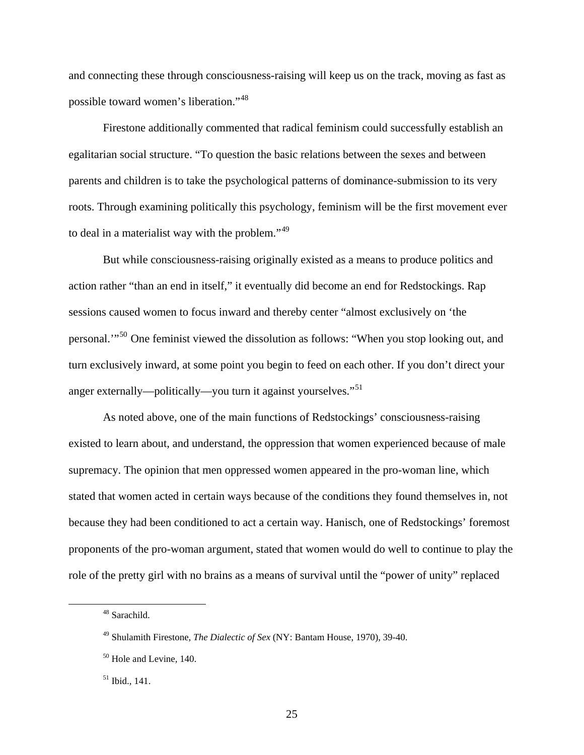and connecting these through consciousness-raising will keep us on the track, moving as fast as possible toward women's liberation."[48](#page-25-0)

Firestone additionally commented that radical feminism could successfully establish an egalitarian social structure. "To question the basic relations between the sexes and between parents and children is to take the psychological patterns of dominance-submission to its very roots. Through examining politically this psychology, feminism will be the first movement ever to deal in a materialist way with the problem."[49](#page-25-1)

But while consciousness-raising originally existed as a means to produce politics and action rather "than an end in itself," it eventually did become an end for Redstockings. Rap sessions caused women to focus inward and thereby center "almost exclusively on 'the personal.'"[50](#page-25-2) One feminist viewed the dissolution as follows: "When you stop looking out, and turn exclusively inward, at some point you begin to feed on each other. If you don't direct your anger externally—politically—you turn it against yourselves."<sup>[51](#page-25-3)</sup>

As noted above, one of the main functions of Redstockings' consciousness-raising existed to learn about, and understand, the oppression that women experienced because of male supremacy. The opinion that men oppressed women appeared in the pro-woman line, which stated that women acted in certain ways because of the conditions they found themselves in, not because they had been conditioned to act a certain way. Hanisch, one of Redstockings' foremost proponents of the pro-woman argument, stated that women would do well to continue to play the role of the pretty girl with no brains as a means of survival until the "power of unity" replaced

<span id="page-25-0"></span> <sup>48</sup> Sarachild.

<span id="page-25-1"></span><sup>49</sup> Shulamith Firestone, *The Dialectic of Sex* (NY: Bantam House, 1970), 39-40.

<span id="page-25-2"></span><sup>50</sup> Hole and Levine*,* 140.

<span id="page-25-3"></span><sup>51</sup> Ibid.*,* 141.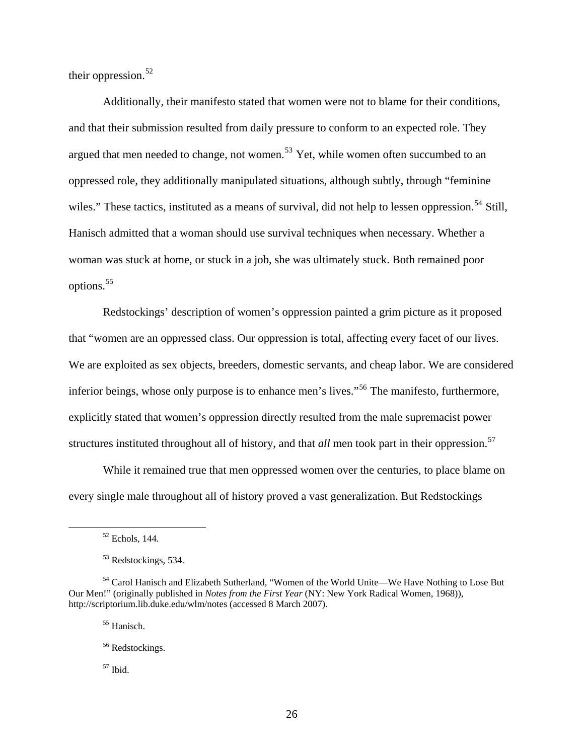their oppression. $52$ 

Additionally, their manifesto stated that women were not to blame for their conditions, and that their submission resulted from daily pressure to conform to an expected role. They argued that men needed to change, not women.<sup>[53](#page-26-1)</sup> Yet, while women often succumbed to an oppressed role, they additionally manipulated situations, although subtly, through "feminine wiles." These tactics, instituted as a means of survival, did not help to lessen oppression.<sup>[54](#page-26-2)</sup> Still, Hanisch admitted that a woman should use survival techniques when necessary. Whether a woman was stuck at home, or stuck in a job, she was ultimately stuck. Both remained poor options.[55](#page-26-3)

Redstockings' description of women's oppression painted a grim picture as it proposed that "women are an oppressed class. Our oppression is total, affecting every facet of our lives. We are exploited as sex objects, breeders, domestic servants, and cheap labor. We are considered inferior beings, whose only purpose is to enhance men's lives."<sup>[56](#page-26-4)</sup> The manifesto, furthermore, explicitly stated that women's oppression directly resulted from the male supremacist power structures instituted throughout all of history, and that *all* men took part in their oppression.<sup>[57](#page-26-5)</sup>

While it remained true that men oppressed women over the centuries, to place blame on every single male throughout all of history proved a vast generalization. But Redstockings

55 Hanisch.

<span id="page-26-5"></span> $57$  Ibid.

 <sup>52</sup> Echols*,* 144.

<sup>53</sup> Redstockings, 534.

<span id="page-26-4"></span><span id="page-26-3"></span><span id="page-26-2"></span><span id="page-26-1"></span><span id="page-26-0"></span><sup>54</sup> Carol Hanisch and Elizabeth Sutherland, "Women of the World Unite—We Have Nothing to Lose But Our Men!" (originally published in *Notes from the First Year* (NY: New York Radical Women, 1968)), http://scriptorium.lib.duke.edu/wlm/notes (accessed 8 March 2007).

<sup>56</sup> Redstockings.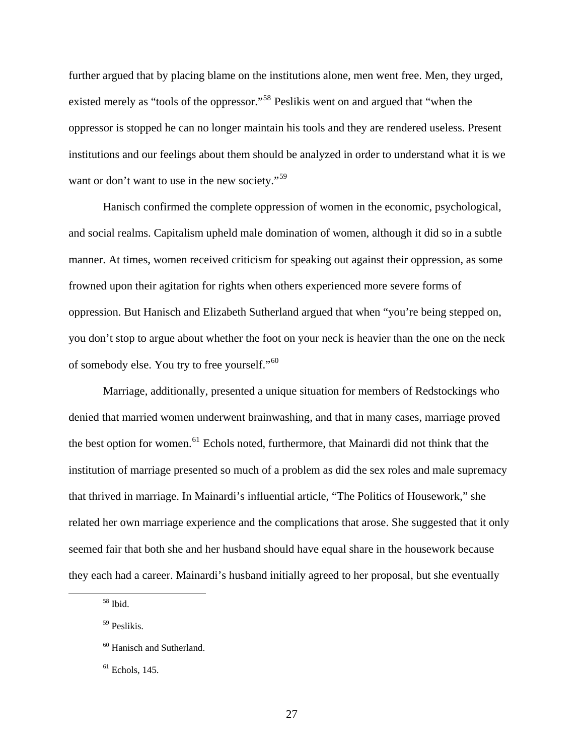further argued that by placing blame on the institutions alone, men went free. Men, they urged, existed merely as "tools of the oppressor."<sup>[58](#page-27-0)</sup> Peslikis went on and argued that "when the oppressor is stopped he can no longer maintain his tools and they are rendered useless. Present institutions and our feelings about them should be analyzed in order to understand what it is we want or don't want to use in the new society."<sup>[59](#page-27-1)</sup>

Hanisch confirmed the complete oppression of women in the economic, psychological, and social realms. Capitalism upheld male domination of women, although it did so in a subtle manner. At times, women received criticism for speaking out against their oppression, as some frowned upon their agitation for rights when others experienced more severe forms of oppression. But Hanisch and Elizabeth Sutherland argued that when "you're being stepped on, you don't stop to argue about whether the foot on your neck is heavier than the one on the neck of somebody else. You try to free yourself."<sup>[60](#page-27-2)</sup>

Marriage, additionally, presented a unique situation for members of Redstockings who denied that married women underwent brainwashing, and that in many cases, marriage proved the best option for women.<sup>[61](#page-27-3)</sup> Echols noted, furthermore, that Mainardi did not think that the institution of marriage presented so much of a problem as did the sex roles and male supremacy that thrived in marriage. In Mainardi's influential article, "The Politics of Housework," she related her own marriage experience and the complications that arose. She suggested that it only seemed fair that both she and her husband should have equal share in the housework because they each had a career. Mainardi's husband initially agreed to her proposal, but she eventually

<span id="page-27-0"></span> <sup>58</sup> Ibid.

<span id="page-27-1"></span><sup>59</sup> Peslikis.

<span id="page-27-2"></span><sup>60</sup> Hanisch and Sutherland.

<span id="page-27-3"></span> $<sup>61</sup>$  Echols, 145.</sup>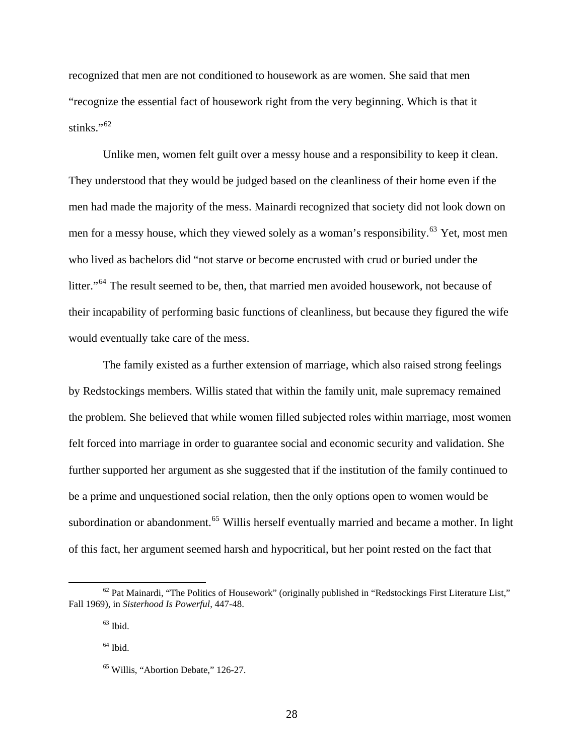recognized that men are not conditioned to housework as are women. She said that men "recognize the essential fact of housework right from the very beginning. Which is that it stinks." $62$ 

Unlike men, women felt guilt over a messy house and a responsibility to keep it clean. They understood that they would be judged based on the cleanliness of their home even if the men had made the majority of the mess. Mainardi recognized that society did not look down on men for a messy house, which they viewed solely as a woman's responsibility.<sup>[63](#page-28-1)</sup> Yet, most men who lived as bachelors did "not starve or become encrusted with crud or buried under the litter."<sup>[64](#page-28-2)</sup> The result seemed to be, then, that married men avoided housework, not because of their incapability of performing basic functions of cleanliness, but because they figured the w ife would eventually take care of the mess.

The family existed as a further extension of marriage, which also raised strong feelings by Redstockings members. Willis stated that within the family unit, male supremacy remained the problem. She believed that while women filled subjected roles within marriage, most women felt forced into marriage in order to guarantee social and economic security and validation. She further supported her argument as she suggested that if the institution of the family continued to be a prime and unquestioned social relation, then the only options open to women would be subordination or abandonment.<sup>[65](#page-28-3)</sup> Willis herself eventually married and became a mother. In light of this fact, her argument seemed harsh and hypocritical, but her point rested on the fact that

 $\overline{a}$ 

<span id="page-28-2"></span><span id="page-28-1"></span><span id="page-28-0"></span><sup>&</sup>lt;sup>62</sup> Pat Mainardi, "The Politics of Housework" (originally published in "Redstockings First Literature List," Fall 1969), in *Sisterhood Is Powerful*, 447-48.

 $63$  Ibid.

 $64$  Ibid.

<span id="page-28-3"></span><sup>65</sup> Willis, "Abortion Debate," 126-27.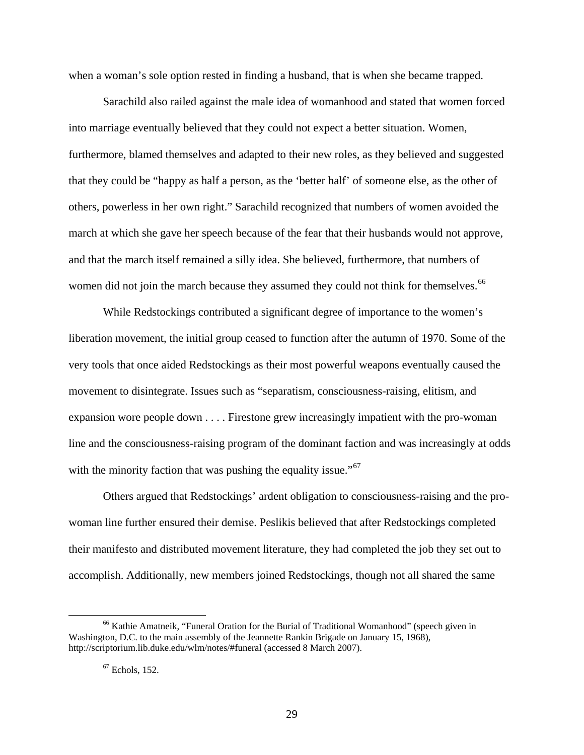when a woman's sole option rested in finding a husband, that is when she became trapped.

Sarachild also railed against the male idea of womanhood and stated that women forced into marriage eventually believed that they could not expect a better situation. Women, furthermore, blamed themselves and adapted to their new roles, as they believed and suggested that they could be "happy as half a person, as the 'better half' of someone else, as the other of others, powerless in her own right." Sarachild recognized that numbers of women avoided the march at which she gave her speech because of the fear that their husbands would not approve, and that the march itself remained a silly idea. She believed, furthermore, that numbers of women did not join the march because they assumed they could not think for themselves.<sup>[66](#page-29-0)</sup>

While Redstockings contributed a significant degree of importance to the women's liberation movement, the initial group ceased to function after the autumn of 1970. Some of the very tools that once aided Redstockings as their most powerful weapons eventually caused the movement to disintegrate. Issues such as "separatism, consciousness-raising, elitism, and expansion wore people down . . . . Firestone grew increasingly impatient with the pro-woman line and the consciousness-raising program of the dominant faction and was increasingly at odds with the minority faction that was pushing the equality issue."<sup>[67](#page-29-1)</sup>

Others argued that Redstockings' ardent obligation to consciousness-raising and the prowoman line further ensured their demise. Peslikis believed that after Redstockings completed their manifesto and distributed movement literature, they had completed the job they set out to accomplish. Additionally, new members joined Redstockings, though not all shared the same

<span id="page-29-1"></span><span id="page-29-0"></span><sup>&</sup>lt;sup>66</sup> Kathie Amatneik, "Funeral Oration for the Burial of Traditional Womanhood" (speech given in Washington, D.C. to the main assembly of the Jeannette Rankin Brigade on January 15, 1968), http://scriptorium.lib.duke.edu/wlm/notes/#funeral (accessed 8 March 2007).

 $67$  Echols, 152.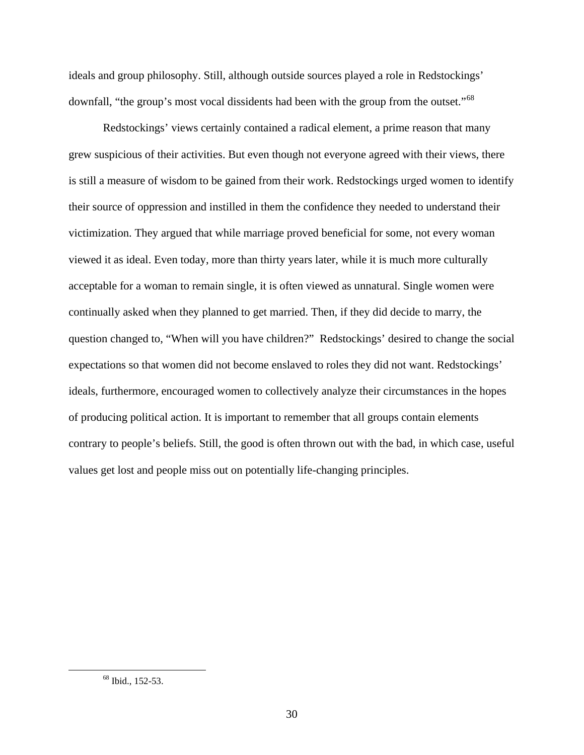ideals and group philosophy. Still, although outside sources played a role in Redstockings' downfall, "the group's most vocal dissidents had been with the group from the outset."<sup>[68](#page-30-0)</sup>

Redstockings' views certainly contained a radical element, a prime reason that many grew suspicious of their activities. But even though not everyone agreed with their views, there is still a measure of wisdom to be gained from their work. Redstockings urged women to identify their source of oppression and instilled in them the confidence they needed to understand their victimization. They argued that while marriage proved beneficial for some, not every woman viewed it as ideal. Even today, more than thirty years later, while it is much more culturally acceptable for a woman to remain single, it is often viewed as unnatural. Single women were continually asked when they planned to get married. Then, if they did decide to marry, the question changed to, "When will you have children?" Redstockings' desired to change the social expectations so that women did not become enslaved to roles they did not want. Redstockings' ideals, furthermore, encouraged women to collectively analyze their circumstances in the hopes of producing political action. It is important to remember that all groups contain elements contrary to people's beliefs. Still, the good is often thrown out with the bad, in which case, useful values get lost and people miss out on potentially life-changing principles.

<span id="page-30-0"></span> <sup>68</sup> Ibid., 152-53.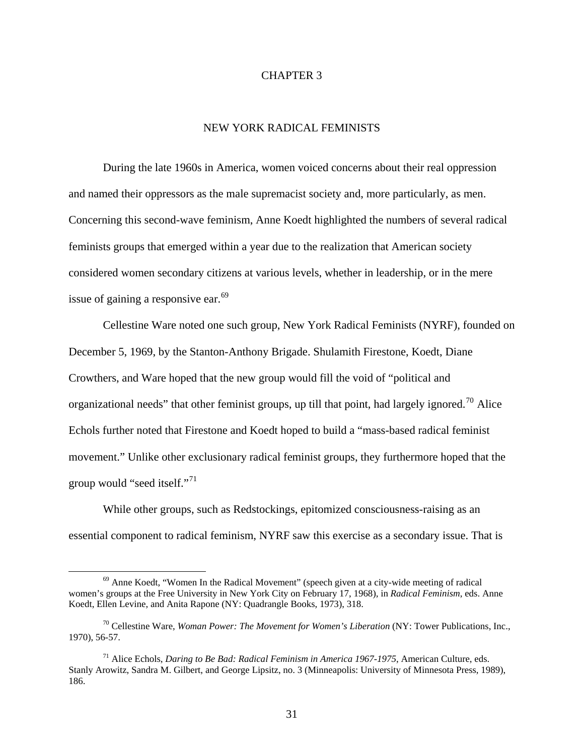### CHAPTER 3

### NEW YORK RADICAL FEMINISTS

During the late 1960s in America, women voiced concerns about their real oppression and named their oppressors as the male supremacist society and, more particularly, as men. Concerning this second-wave feminism, Anne Koedt highlighted the numbers of several radical feminists groups that emerged within a year due to the realization that American society considered women secondary citizens at various levels, whether in leadership, or in the mere issue of gaining a responsive ear.<sup>[69](#page-31-0)</sup>

 Cellestine Ware noted one such group, New York Radical Feminists (NYRF), founded on December 5, 1969, by the Stanton-Anthony Brigade. Shulamith Firestone, Koedt, Diane Crowthers, and Ware hoped that the new group would fill the void of "political and organizational needs" that other feminist groups, up till that point, had largely ignored.<sup>[70](#page-31-1)</sup> Alice Echols further noted that Firestone and Koedt hoped to build a "mass-based radical feminist movement." Unlike other exclusionary radical feminist groups, they furthermore hoped that the group would "seed itself."<sup>[71](#page-31-2)</sup>

 While other groups, such as Redstockings, epitomized consciousness-raising as an essential component to radical feminism, NYRF saw this exercise as a secondary issue. That is

<span id="page-31-0"></span> $69$  Anne Koedt, "Women In the Radical Movement" (speech given at a city-wide meeting of radical women's groups at the Free University in New York City on February 17, 1968), in *Radical Feminism*, eds. Anne Koedt, Ellen Levine, and Anita Rapone (NY: Quadrangle Books, 1973), 318.

<span id="page-31-1"></span><sup>70</sup> Cellestine Ware, *Woman Power: The Movement for Women's Liberation* (NY: Tower Publications, Inc., 1970), 56-57.

<span id="page-31-2"></span><sup>71</sup> Alice Echols, *Daring to Be Bad: Radical Feminism in America 1967-1975*, American Culture, eds. Stanly Arowitz, Sandra M. Gilbert, and George Lipsitz, no. 3 (Minneapolis: University of Minnesota Press, 1989), 186.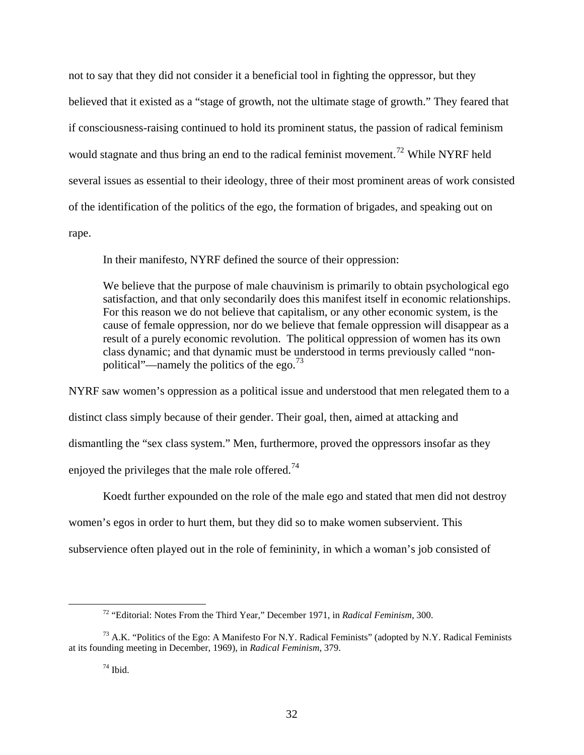not to say that they did not consider it a beneficial tool in fighting the oppressor, but they believed that it existed as a "stage of growth, not the ultimate stage of growth." They feared that if consciousness-raising continued to hold its prominent status, the passion of radical feminism would stagnate and thus bring an end to the radical feminist movement.<sup>[72](#page-32-0)</sup> While NYRF held several issues as essential to their ideology, three of their most prominent areas of work consisted of the identification of the politics of the ego, the formation of brigades, and speaking out on rape.

In their manifesto, NYRF defined the source of their oppression:

We believe that the purpose of male chauvinism is primarily to obtain psychological ego satisfaction, and that only secondarily does this manifest itself in economic relationships. For this reason we do not believe that capitalism, or any other economic system, is the cause of female oppression, nor do we believe that female oppression will disappear as a result of a purely economic revolution. The political oppression of women has its own class dynamic; and that dynamic must be understood in terms previously called "non-political"—namely the politics of the ego.<sup>[73](#page-32-1)</sup>

NYRF saw women's oppression as a political issue and understood that men relegated them to a distinct class simply because of their gender. Their goal, then, aimed at attacking and dismantling the "sex class system." Men, furthermore, proved the oppressors insofar as they enjoyed the privileges that the male role offered.<sup>[74](#page-32-2)</sup>

 Koedt further expounded on the role of the male ego and stated that men did not destroy women's egos in order to hurt them, but they did so to make women subservient. This subservience often played out in the role of femininity, in which a woman's job consisted of

 <sup>72 &</sup>quot;Editorial: Notes From the Third Year," December 1971, in *Radical Feminism*, 300.

<span id="page-32-2"></span><span id="page-32-1"></span><span id="page-32-0"></span> $^{73}$  A.K. "Politics of the Ego: A Manifesto For N.Y. Radical Feminists" (adopted by N.Y. Radical Feminists at its founding meeting in December, 1969), in *Radical Feminism*, 379.

 $74$  Ibid.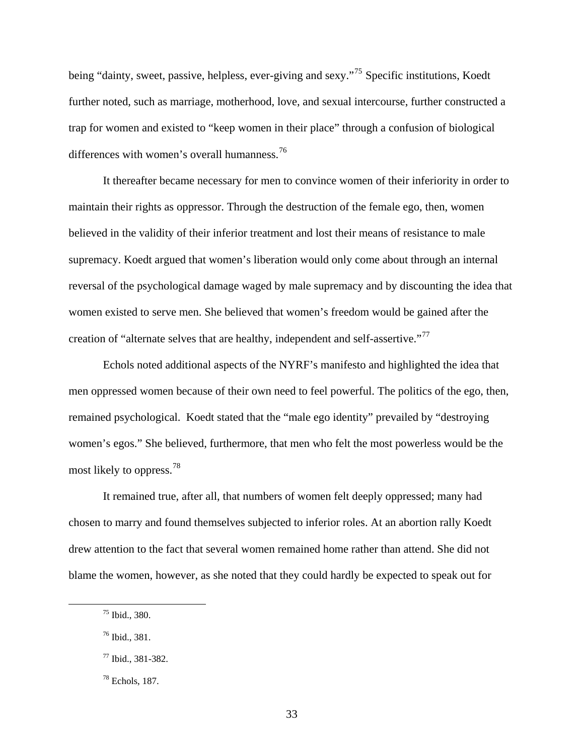being "dainty, sweet, passive, helpless, ever-giving and sexy."<sup>[75](#page-33-0)</sup> Specific institutions, Koedt further noted, such as marriage, motherhood, love, and sexual intercourse, further constructed a trap for women and existed to "keep women in their place" through a confusion of biological differences with women's overall humanness.<sup>[76](#page-33-1)</sup>

 It thereafter became necessary for men to convince women of their inferiority in order to maintain their rights as oppressor. Through the destruction of the female ego, then, women believed in the validity of their inferior treatment and lost their means of resistance to male supremacy. Koedt argued that women's liberation would only come about through an internal reversal of the psychological damage waged by male supremacy and by discounting the idea that women existed to serve men. She believed that women's freedom would be gained after the creation of "alternate selves that are healthy, independent and self-assertive."[77](#page-33-2)

 Echols noted additional aspects of the NYRF's manifesto and highlighted the idea that men oppressed women because of their own need to feel powerful. The politics of the ego, then, remained psychological. Koedt stated that the "male ego identity" prevailed by "destroying women's egos." She believed, furthermore, that men who felt the most powerless would be the most likely to oppress.[78](#page-33-3)

 It remained true, after all, that numbers of women felt deeply oppressed; many had chosen to marry and found themselves subjected to inferior roles. At an abortion rally Koedt drew attention to the fact that several women remained home rather than attend. She did not blame the women, however, as she noted that they could hardly be expected to speak out for

<span id="page-33-0"></span> <sup>75</sup> Ibid., 380.

<span id="page-33-1"></span><sup>76</sup> Ibid., 381.

<span id="page-33-2"></span><sup>77</sup> Ibid., 381-382.

<span id="page-33-3"></span><sup>78</sup> Echols, 187.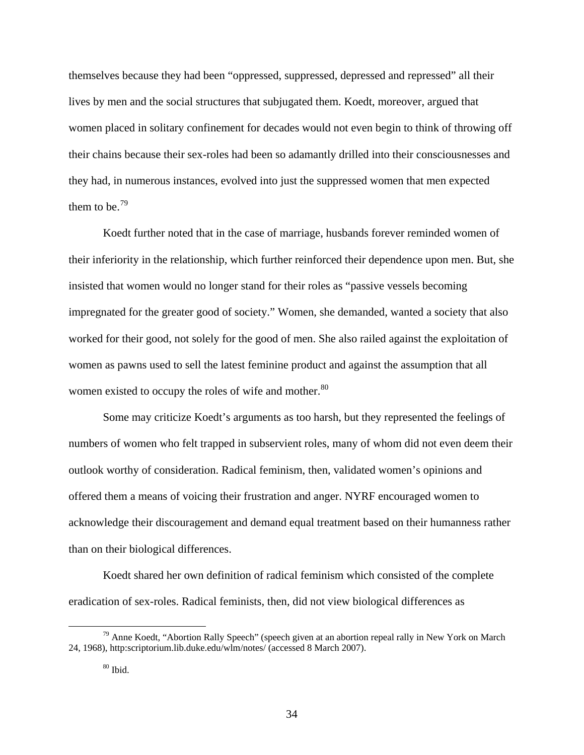themselves because they had been "oppressed, suppressed, depressed and repressed" all their lives by men and the social structures that subjugated them. Koedt, moreover, argued that women placed in solitary confinement for decades would not even begin to think of throwing off their chains because their sex-roles had been so adamantly drilled into their consciousnesses and they had, in numerous instances, evolved into just the suppressed women that men expected them to be.<sup>[79](#page-34-0)</sup>

 Koedt further noted that in the case of marriage, husbands forever reminded women of their inferiority in the relationship, which further reinforced their dependence upon men. But, she insisted that women would no longer stand for their roles as "passive vessels becoming impregnated for the greater good of society." Women, she demanded, wanted a society that also worked for their good, not solely for the good of men. She also railed against the exploitation of women as pawns used to sell the latest feminine product and against the assumption that all women existed to occupy the roles of wife and mother.<sup>[80](#page-34-1)</sup>

 Some may criticize Koedt's arguments as too harsh, but they represented the feelings of numbers of women who felt trapped in subservient roles, many of whom did not even deem their outlook worthy of consideration. Radical feminism, then, validated women's opinions and offered them a means of voicing their frustration and anger. NYRF encouraged women to acknowledge their discouragement and demand equal treatment based on their humanness rather than on their biological differences.

 Koedt shared her own definition of radical feminism which consisted of the complete eradication of sex-roles. Radical feminists, then, did not view biological differences as

<span id="page-34-1"></span><span id="page-34-0"></span> $79$  Anne Koedt, "Abortion Rally Speech" (speech given at an abortion repeal rally in New York on March 24, 1968), http:scriptorium.lib.duke.edu/wlm/notes/ (accessed 8 March 2007).

 $\rm{^{80}}$  Ibid.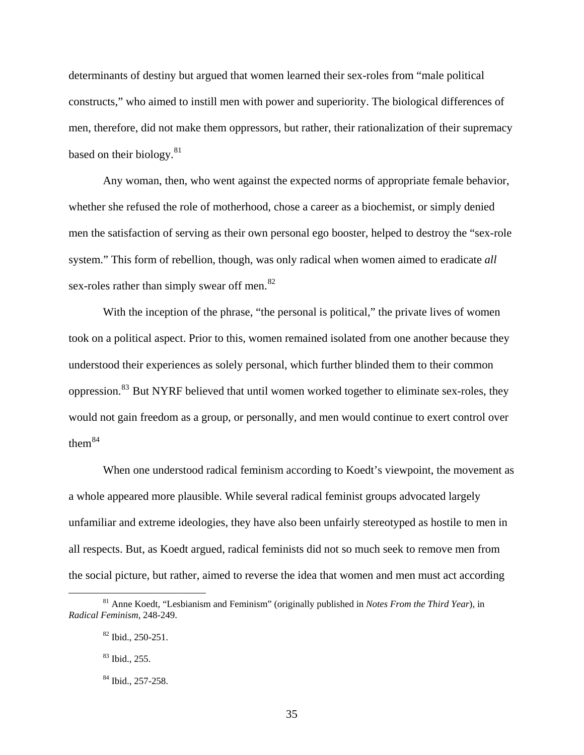determinants of destiny but argued that women learned their sex-roles from "male political constructs," who aimed to instill men with power and superiority. The biological differences of men, therefore, did not make them oppressors, but rather, their rationalization of their supremacy based on their biology. $81$ 

 Any woman, then, who went against the expected norms of appropriate female behavior, whether she refused the role of motherhood, chose a career as a biochemist, or simply denied men the satisfaction of serving as their own personal ego booster, helped to destroy the "sex-role system." This form of rebellion, though, was only radical when women aimed to eradicate *all* sex-roles rather than simply swear off men.<sup>[82](#page-35-1)</sup>

With the inception of the phrase, "the personal is political," the private lives of women took on a political aspect. Prior to this, women remained isolated from one another because they understood their experiences as solely personal, which further blinded them to their common oppression.[83](#page-35-2) But NYRF believed that until women worked together to eliminate sex-roles, they would not gain freedom as a group, or personally, and men would continue to exert control over them $84$ 

When one understood radical feminism according to Koedt's viewpoint, the movement as a whole appeared more plausible. While several radical feminist groups advocated largely unfamiliar and extreme ideologies, they have also been unfairly stereotyped as hostile to men in all respects. But, as Koedt argued, radical feminists did not so much seek to remove men from the social picture, but rather, aimed to reverse the idea that women and men must act according

<span id="page-35-2"></span><span id="page-35-1"></span><span id="page-35-0"></span> <sup>81</sup> Anne Koedt, "Lesbianism and Feminism" (originally published in *Notes From the Third Year*), in *Radical Feminism*, 248-249.

<sup>82</sup> Ibid., 250-251.

<sup>83</sup> Ibid., 255.

<span id="page-35-3"></span><sup>84</sup> Ibid., 257-258.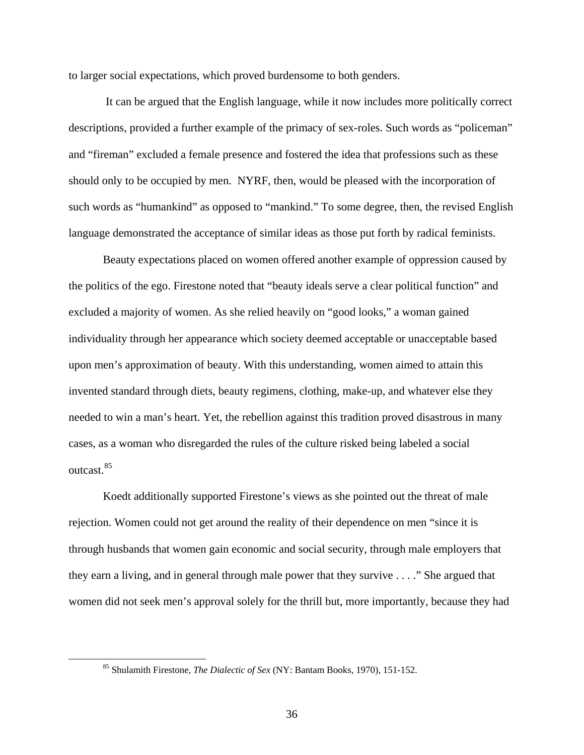to larger social expectations, which proved burdensome to both genders.

 It can be argued that the English language, while it now includes more politically correct descriptions, provided a further example of the primacy of sex-roles. Such words as "policeman" and "fireman" excluded a female presence and fostered the idea that professions such as these should only to be occupied by men. NYRF, then, would be pleased with the incorporation of such words as "humankind" as opposed to "mankind." To some degree, then, the revised English language demonstrated the acceptance of similar ideas as those put forth by radical feminists.

 Beauty expectations placed on women offered another example of oppression caused by the politics of the ego. Firestone noted that "beauty ideals serve a clear political function" and excluded a majority of women. As she relied heavily on "good looks," a woman gained individuality through her appearance which society deemed acceptable or unacceptable based upon men's approximation of beauty. With this understanding, women aimed to attain this invented standard through diets, beauty regimens, clothing, make-up, and whatever else they needed to win a man's heart. Yet, the rebellion against this tradition proved disastrous in many cases, as a woman who disregarded the rules of the culture risked being labeled a social outcast.<sup>[85](#page-36-0)</sup>

 Koedt additionally supported Firestone's views as she pointed out the threat of male rejection. Women could not get around the reality of their dependence on men "since it is through husbands that women gain economic and social security, through male employers that they earn a living, and in general through male power that they survive . . . ." She argued that women did not seek men's approval solely for the thrill but, more importantly, because they had

<span id="page-36-0"></span> <sup>85</sup> Shulamith Firestone, *The Dialectic of Sex* (NY: Bantam Books, 1970), 151-152.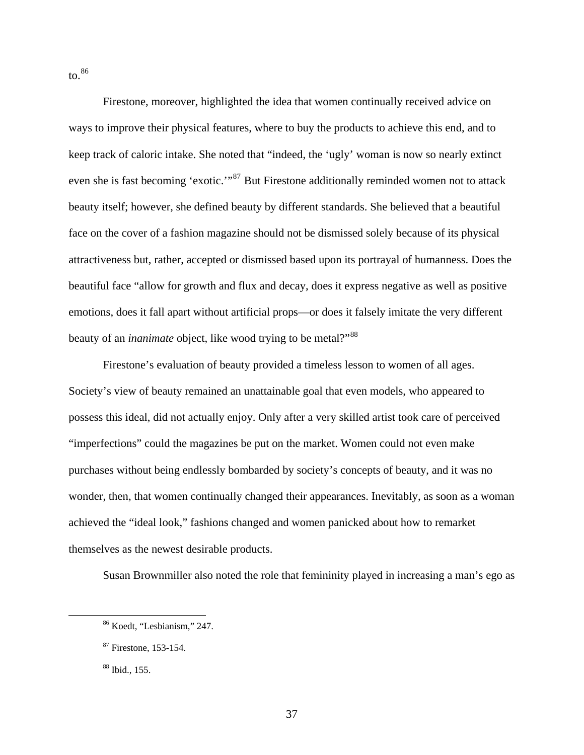$\mathrm{to}$ .[86](#page-37-0)

 Firestone, moreover, highlighted the idea that women continually received advice on ways to improve their physical features, where to buy the products to achieve this end, and to keep track of caloric intake. She noted that "indeed, the 'ugly' woman is now so nearly extinct even she is fast becoming 'exotic.'"[87](#page-37-1) But Firestone additionally reminded women not to attack beauty itself; however, she defined beauty by different standards. She believed that a beautiful face on the cover of a fashion magazine should not be dismissed solely because of its physical attractiveness but, rather, accepted or dismissed based upon its portrayal of humanness. Does the beautiful face "allow for growth and flux and decay, does it express negative as well as positive emotions, does it fall apart without artificial props—or does it falsely imitate the very different beauty of an *inanimate* object, like wood trying to be metal?"<sup>[88](#page-37-2)</sup>

 Firestone's evaluation of beauty provided a timeless lesson to women of all ages. Society's view of beauty remained an unattainable goal that even models, who appeared to possess this ideal, did not actually enjoy. Only after a very skilled artist took care of perceived "imperfections" could the magazines be put on the market. Women could not even make purchases without being endlessly bombarded by society's concepts of beauty, and it was no wonder, then, that women continually changed their appearances. Inevitably, as soon as a woman achieved the "ideal look," fashions changed and women panicked about how to remarket themselves as the newest desirable products.

Susan Brownmiller also noted the role that femininity played in increasing a man's ego as

<span id="page-37-0"></span> <sup>86</sup> Koedt, "Lesbianism," 247.

<span id="page-37-1"></span><sup>87</sup> Firestone, 153-154.

<span id="page-37-2"></span><sup>88</sup> Ibid., 155.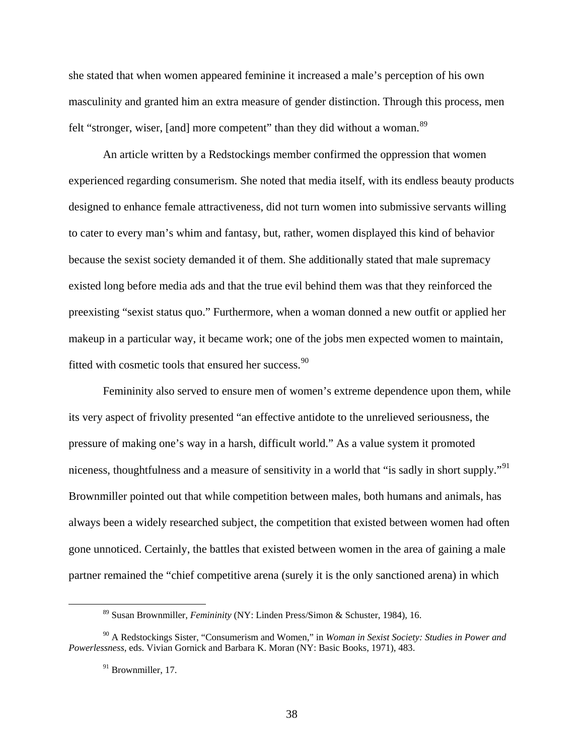she stated that when women appeared feminine it increased a male's perception of his own masculinity and granted him an extra measure of gender distinction. Through this process, men felt "stronger, wiser, [and] more competent" than they did without a woman.<sup>[89](#page-38-0)</sup>

 An article written by a Redstockings member confirmed the oppression that women experienced regarding consumerism. She noted that media itself, with its endless beauty products designed to enhance female attractiveness, did not turn women into submissive servants willing to cater to every man's whim and fantasy, but, rather, women displayed this kind of behavior because the sexist society demanded it of them. She additionally stated that male supremacy existed long before media ads and that the true evil behind them was that they reinforced the preexisting "sexist status quo." Furthermore, when a woman donned a new outfit or applied her makeup in a particular way, it became work; one of the jobs men expected women to maintain, fitted with cosmetic tools that ensured her success.<sup>[90](#page-38-1)</sup>

 Femininity also served to ensure men of women's extreme dependence upon them, while its very aspect of frivolity presented "an effective antidote to the unrelieved seriousness, the pressure of making one's way in a harsh, difficult world." As a value system it promoted niceness, thoughtfulness and a measure of sensitivity in a world that "is sadly in short supply."<sup>[91](#page-38-2)</sup> Brownmiller pointed out that while competition between males, both humans and animals, has always been a widely researched subject, the competition that existed between women had often gone unnoticed. Certainly, the battles that existed between women in the area of gaining a male partner remained the "chief competitive arena (surely it is the only sanctioned arena) in which

 <sup>89</sup> Susan Brownmiller, *Femininity* (NY: Linden Press/Simon & Schuster, 1984), 16.

<span id="page-38-2"></span><span id="page-38-1"></span><span id="page-38-0"></span><sup>90</sup> A Redstockings Sister, "Consumerism and Women," in *Woman in Sexist Society: Studies in Power and Powerlessness*, eds. Vivian Gornick and Barbara K. Moran (NY: Basic Books, 1971), 483.

<sup>&</sup>lt;sup>91</sup> Brownmiller, 17.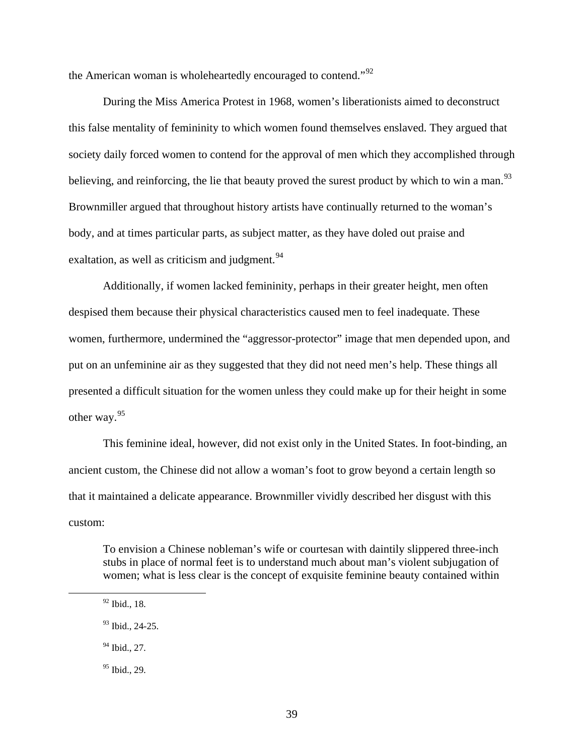the American woman is wholeheartedly encouraged to contend."<sup>[92](#page-39-0)</sup>

 During the Miss America Protest in 1968, women's liberationists aimed to deconstruct this false mentality of femininity to which women found themselves enslaved. They argued that society daily forced women to contend for the approval of men which they accomplished through believing, and reinforcing, the lie that beauty proved the surest product by which to win a man.<sup>[93](#page-39-1)</sup> Brownmiller argued that throughout history artists have continually returned to the woman's body, and at times particular parts, as subject matter, as they have doled out praise and exaltation, as well as criticism and judgment.  $94$ 

 Additionally, if women lacked femininity, perhaps in their greater height, men often despised them because their physical characteristics caused men to feel inadequate. These women, furthermore, undermined the "aggressor-protector" image that men depended upon, and put on an unfeminine air as they suggested that they did not need men's help. These things all presented a difficult situation for the women unless they could make up for their height in some other way.[95](#page-39-3)

 This feminine ideal, however, did not exist only in the United States. In foot-binding, an ancient custom, the Chinese did not allow a woman's foot to grow beyond a certain length so that it maintained a delicate appearance. Brownmiller vividly described her disgust with this custom:

To envision a Chinese nobleman's wife or courtesan with daintily slippered three-inch stubs in place of normal feet is to understand much about man's violent subjugation of women; what is less clear is the concept of exquisite feminine beauty contained within

<span id="page-39-0"></span> <sup>92</sup> Ibid., 18.

<span id="page-39-1"></span><sup>&</sup>lt;sup>93</sup> Ibid., 24-25.

<span id="page-39-2"></span><sup>&</sup>lt;sup>94</sup> Ibid., 27.

<span id="page-39-3"></span> $95$  Ibid., 29.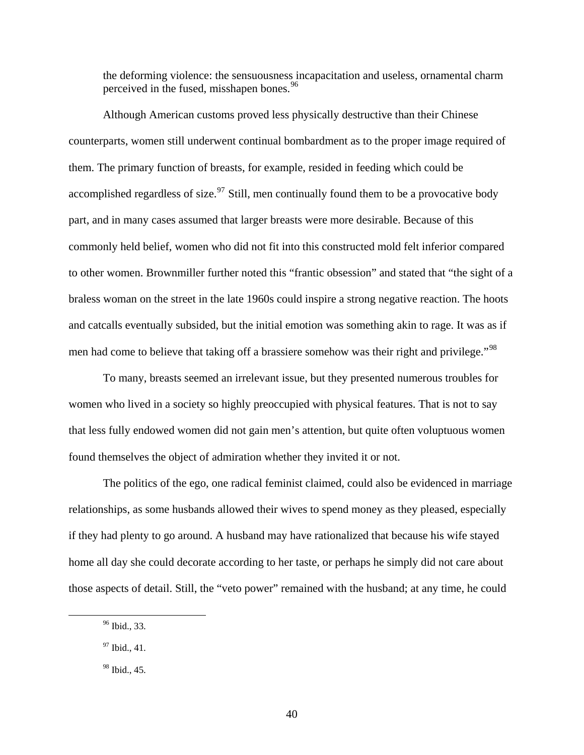the deforming violence: the sensuousness incapacitation and useless, ornamental charm perceived in the fused, misshapen bones.<sup>[96](#page-40-0)</sup>

 Although American customs proved less physically destructive than their Chinese counterparts, women still underwent continual bombardment as to the proper image required of them. The primary function of breasts, for example, resided in feeding which could be accomplished regardless of size.<sup>[97](#page-40-1)</sup> Still, men continually found them to be a provocative body part, and in many cases assumed that larger breasts were more desirable. Because of this commonly held belief, women who did not fit into this constructed mold felt inferior compared to other women. Brownmiller further noted this "frantic obsession" and stated that "the sight of a braless woman on the street in the late 1960s could inspire a strong negative reaction. The hoots and catcalls eventually subsided, but the initial emotion was something akin to rage. It was as if men had come to believe that taking off a brassiere somehow was their right and privilege."<sup>[98](#page-40-2)</sup>

 To many, breasts seemed an irrelevant issue, but they presented numerous troubles for women who lived in a society so highly preoccupied with physical features. That is not to say that less fully endowed women did not gain men's attention, but quite often voluptuous women found themselves the object of admiration whether they invited it or not.

 The politics of the ego, one radical feminist claimed, could also be evidenced in marriage relationships, as some husbands allowed their wives to spend money as they pleased, especially if they had plenty to go around. A husband may have rationalized that because his wife stayed home all day she could decorate according to her taste, or perhaps he simply did not care about those aspects of detail. Still, the "veto power" remained with the husband; at any time, he could

<span id="page-40-0"></span> <sup>96</sup> Ibid., 33.

<span id="page-40-1"></span><sup>97</sup> Ibid., 41.

<span id="page-40-2"></span><sup>98</sup> Ibid., 45.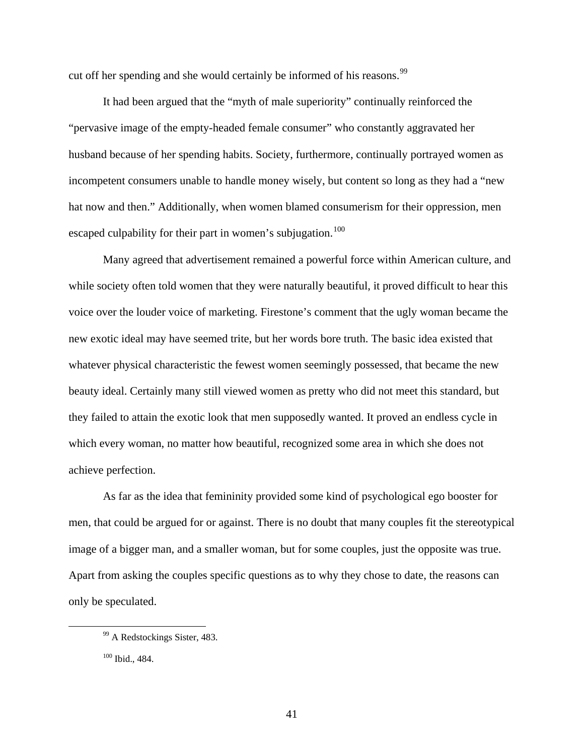cut off her spending and she would certainly be informed of his reasons.<sup>[99](#page-41-0)</sup>

 It had been argued that the "myth of male superiority" continually reinforced the "pervasive image of the empty-headed female consumer" who constantly aggravated her husband because of her spending habits. Society, furthermore, continually portrayed women as incompetent consumers unable to handle money wisely, but content so long as they had a "new hat now and then." Additionally, when women blamed consumerism for their oppression, men escaped culpability for their part in women's subjugation.<sup>[100](#page-41-1)</sup>

 Many agreed that advertisement remained a powerful force within American culture, and while society often told women that they were naturally beautiful, it proved difficult to hear this voice over the louder voice of marketing. Firestone's comment that the ugly woman became the new exotic ideal may have seemed trite, but her words bore truth. The basic idea existed that whatever physical characteristic the fewest women seemingly possessed, that became the new beauty ideal. Certainly many still viewed women as pretty who did not meet this standard, but they failed to attain the exotic look that men supposedly wanted. It proved an endless cycle in which every woman, no matter how beautiful, recognized some area in which she does not achieve perfection.

 As far as the idea that femininity provided some kind of psychological ego booster for men, that could be argued for or against. There is no doubt that many couples fit the stereotypical image of a bigger man, and a smaller woman, but for some couples, just the opposite was true. Apart from asking the couples specific questions as to why they chose to date, the reasons can only be speculated.

<span id="page-41-0"></span><sup>&</sup>lt;sup>99</sup> A Redstockings Sister, 483.

<span id="page-41-1"></span><sup>100</sup> Ibid., 484.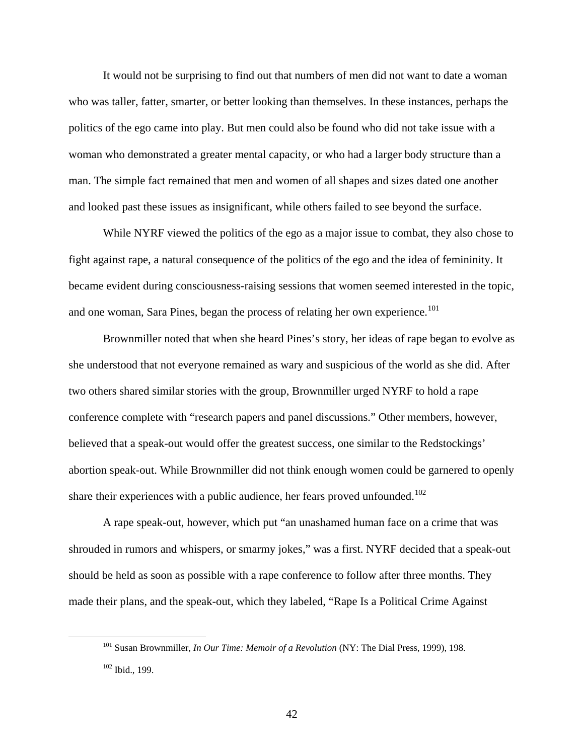It would not be surprising to find out that numbers of men did not want to date a woman who was taller, fatter, smarter, or better looking than themselves. In these instances, perhaps the politics of the ego came into play. But men could also be found who did not take issue with a woman who demonstrated a greater mental capacity, or who had a larger body structure than a man. The simple fact remained that men and women of all shapes and sizes dated one another and looked past these issues as insignificant, while others failed to see beyond the surface.

While NYRF viewed the politics of the ego as a major issue to combat, they also chose to fight against rape, a natural consequence of the politics of the ego and the idea of femininity. It became evident during consciousness-raising sessions that women seemed interested in the topic, and one woman, Sara Pines, began the process of relating her own experience.<sup>[101](#page-42-0)</sup>

 Brownmiller noted that when she heard Pines's story, her ideas of rape began to evolve as she understood that not everyone remained as wary and suspicious of the world as she did. After two others shared similar stories with the group, Brownmiller urged NYRF to hold a rape conference complete with "research papers and panel discussions." Other members, however, believed that a speak-out would offer the greatest success, one similar to the Redstockings' abortion speak-out. While Brownmiller did not think enough women could be garnered to openly share their experiences with a public audience, her fears proved unfounded.<sup>[102](#page-42-1)</sup>

 A rape speak-out, however, which put "an unashamed human face on a crime that was shrouded in rumors and whispers, or smarmy jokes," was a first. NYRF decided that a speak-out should be held as soon as possible with a rape conference to follow after three months. They made their plans, and the speak-out, which they labeled, "Rape Is a Political Crime Against

<span id="page-42-1"></span><span id="page-42-0"></span> <sup>101</sup> Susan Brownmiller, *In Our Time: Memoir of a Revolution* (NY: The Dial Press, 1999), 198. 102 Ibid., 199.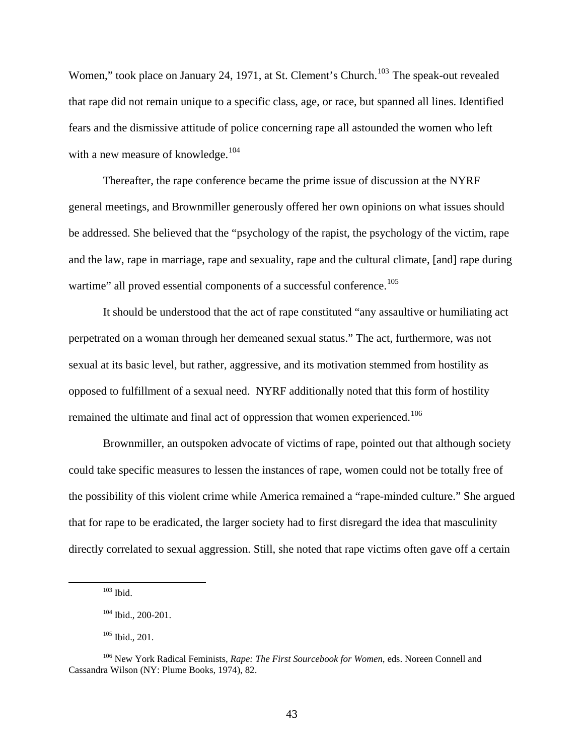Women," took place on January 24, 1971, at St. Clement's Church.<sup>[103](#page-43-0)</sup> The speak-out revealed that rape did not remain unique to a specific class, age, or race, but spanned all lines. Identified fears and the dismissive attitude of police concerning rape all astounded the women who left with a new measure of knowledge.<sup>[104](#page-43-1)</sup>

 Thereafter, the rape conference became the prime issue of discussion at the NYRF general meetings, and Brownmiller generously offered her own opinions on what issues should be addressed. She believed that the "psychology of the rapist, the psychology of the victim, rape and the law, rape in marriage, rape and sexuality, rape and the cultural climate, [and] rape during wartime" all proved essential components of a successful conference.<sup>[105](#page-43-2)</sup>

 It should be understood that the act of rape constituted "any assaultive or humiliating act perpetrated on a woman through her demeaned sexual status." The act, furthermore, was not sexual at its basic level, but rather, aggressive, and its motivation stemmed from hostility as opposed to fulfillment of a sexual need. NYRF additionally noted that this form of hostility remained the ultimate and final act of oppression that women experienced.<sup>[106](#page-43-3)</sup>

 Brownmiller, an outspoken advocate of victims of rape, pointed out that although society could take specific measures to lessen the instances of rape, women could not be totally free of the possibility of this violent crime while America remained a "rape-minded culture." She argued that for rape to be eradicated, the larger society had to first disregard the idea that masculinity directly correlated to sexual aggression. Still, she noted that rape victims often gave off a certain

 $103$  Ibid.

<sup>104</sup> Ibid., 200-201.

<sup>105</sup> Ibid., 201.

<span id="page-43-3"></span><span id="page-43-2"></span><span id="page-43-1"></span><span id="page-43-0"></span><sup>106</sup> New York Radical Feminists, *Rape: The First Sourcebook for Women*, eds. Noreen Connell and Cassandra Wilson (NY: Plume Books, 1974), 82.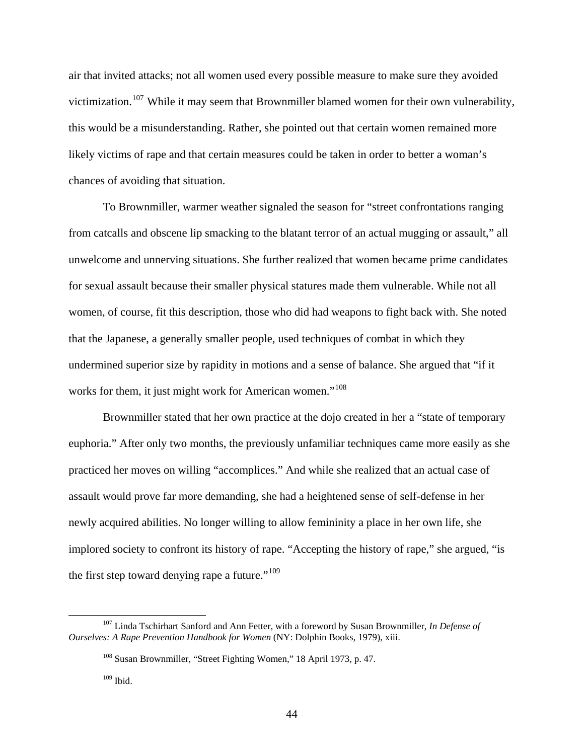air that invited attacks; not all women used every possible measure to make sure they avoided victimization.<sup>[107](#page-44-0)</sup> While it may seem that Brownmiller blamed women for their own vulnerability, this would be a misunderstanding. Rather, she pointed out that certain women remained more likely victims of rape and that certain measures could be taken in order to better a woman's chances of avoiding that situation.

 To Brownmiller, warmer weather signaled the season for "street confrontations ranging from catcalls and obscene lip smacking to the blatant terror of an actual mugging or assault," all unwelcome and unnerving situations. She further realized that women became prime candidates for sexual assault because their smaller physical statures made them vulnerable. While not all women, of course, fit this description, those who did had weapons to fight back with. She noted that the Japanese, a generally smaller people, used techniques of combat in which they undermined superior size by rapidity in motions and a sense of balance. She argued that "if it works for them, it just might work for American women."<sup>[108](#page-44-1)</sup>

 Brownmiller stated that her own practice at the dojo created in her a "state of temporary euphoria." After only two months, the previously unfamiliar techniques came more easily as she practiced her moves on willing "accomplices." And while she realized that an actual case of assault would prove far more demanding, she had a heightened sense of self-defense in her newly acquired abilities. No longer willing to allow femininity a place in her own life, she implored society to confront its history of rape. "Accepting the history of rape," she argued, "is the first step toward denying rape a future."<sup>[109](#page-44-2)</sup>

<span id="page-44-2"></span><span id="page-44-1"></span><span id="page-44-0"></span> <sup>107</sup> Linda Tschirhart Sanford and Ann Fetter, with a foreword by Susan Brownmiller, *In Defense of Ourselves: A Rape Prevention Handbook for Women* (NY: Dolphin Books, 1979), xiii.

<sup>108</sup> Susan Brownmiller, "Street Fighting Women," 18 April 1973, p. 47.

 $109$  Ibid.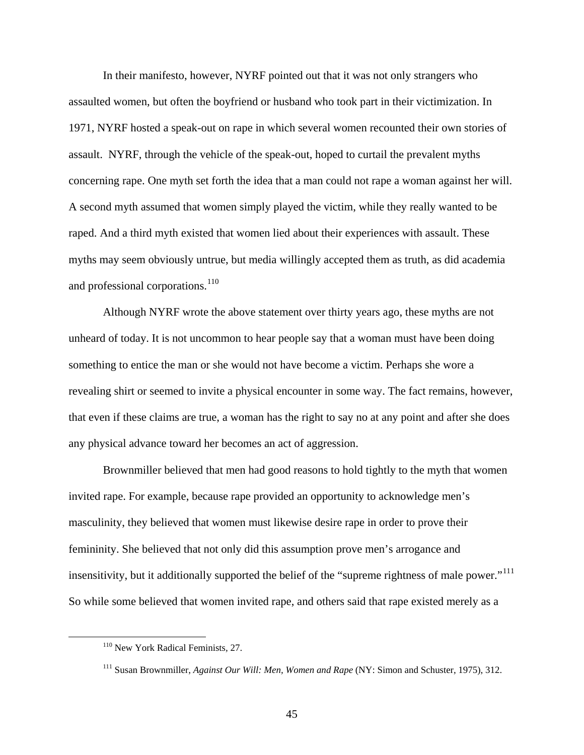In their manifesto, however, NYRF pointed out that it was not only strangers who assaulted women, but often the boyfriend or husband who took part in their victimization. In 1971, NYRF hosted a speak-out on rape in which several women recounted their own stories of assault. NYRF, through the vehicle of the speak-out, hoped to curtail the prevalent myths concerning rape. One myth set forth the idea that a man could not rape a woman against her will. A second myth assumed that women simply played the victim, while they really wanted to be raped. And a third myth existed that women lied about their experiences with assault. These myths may seem obviously untrue, but media willingly accepted them as truth, as did academia and professional corporations.<sup>[110](#page-45-0)</sup>

 Although NYRF wrote the above statement over thirty years ago, these myths are not unheard of today. It is not uncommon to hear people say that a woman must have been doing something to entice the man or she would not have become a victim. Perhaps she wore a revealing shirt or seemed to invite a physical encounter in some way. The fact remains, however, that even if these claims are true, a woman has the right to say no at any point and after she does any physical advance toward her becomes an act of aggression.

 Brownmiller believed that men had good reasons to hold tightly to the myth that women invited rape. For example, because rape provided an opportunity to acknowledge men's masculinity, they believed that women must likewise desire rape in order to prove their femininity. She believed that not only did this assumption prove men's arrogance and insensitivity, but it additionally supported the belief of the "supreme rightness of male power."<sup>[111](#page-45-1)</sup> So while some believed that women invited rape, and others said that rape existed merely as a

<span id="page-45-0"></span> <sup>110</sup> New York Radical Feminists*,* 27.

<span id="page-45-1"></span><sup>111</sup> Susan Brownmiller, *Against Our Will: Men, Women and Rape* (NY: Simon and Schuster, 1975), 312.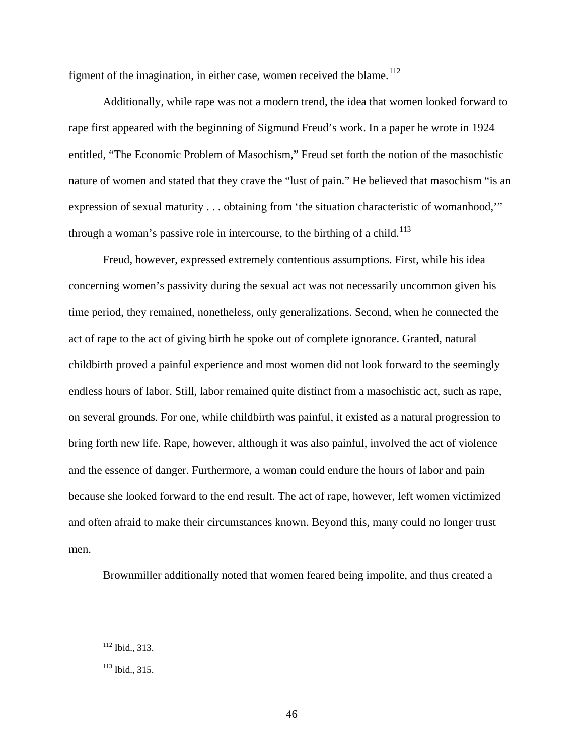figment of the imagination, in either case, women received the blame. $112$ 

 Additionally, while rape was not a modern trend, the idea that women looked forward to rape first appeared with the beginning of Sigmund Freud's work. In a paper he wrote in 1924 entitled, "The Economic Problem of Masochism," Freud set forth the notion of the masochistic nature of women and stated that they crave the "lust of pain." He believed that masochism "is an expression of sexual maturity . . . obtaining from 'the situation characteristic of womanhood,'" through a woman's passive role in intercourse, to the birthing of a child.<sup>[113](#page-46-1)</sup>

 Freud, however, expressed extremely contentious assumptions. First, while his idea concerning women's passivity during the sexual act was not necessarily uncommon given his time period, they remained, nonetheless, only generalizations. Second, when he connected the act of rape to the act of giving birth he spoke out of complete ignorance. Granted, natural childbirth proved a painful experience and most women did not look forward to the seemingly endless hours of labor. Still, labor remained quite distinct from a masochistic act, such as rape, on several grounds. For one, while childbirth was painful, it existed as a natural progression to bring forth new life. Rape, however, although it was also painful, involved the act of violence and the essence of danger. Furthermore, a woman could endure the hours of labor and pain because she looked forward to the end result. The act of rape, however, left women victimized and often afraid to make their circumstances known. Beyond this, many could no longer trust men.

Brownmiller additionally noted that women feared being impolite, and thus created a

<span id="page-46-0"></span> <sup>112</sup> Ibid., 313.

<span id="page-46-1"></span><sup>113</sup> Ibid., 315.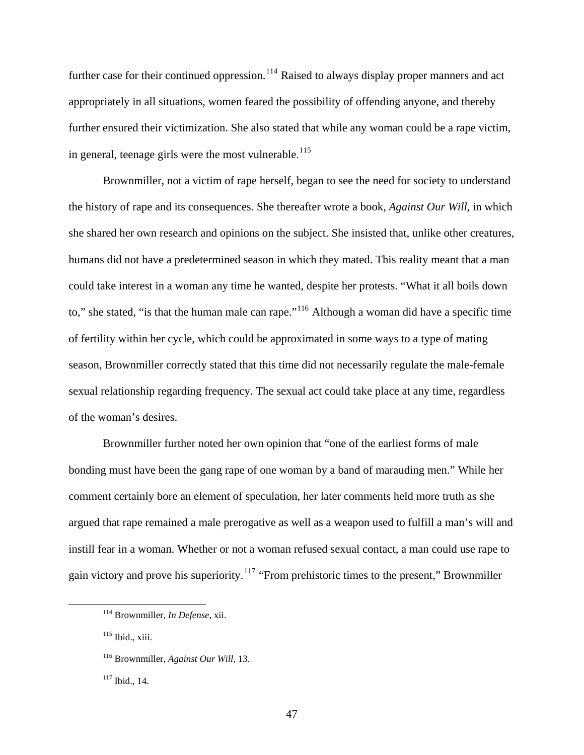further case for their continued oppression.<sup>[114](#page-47-0)</sup> Raised to always display proper manners and act appropriately in all situations, women feared the possibility of offending anyone, and thereby further ensured their victimization. She also stated that while any woman could be a rape victim, in general, teenage girls were the most vulnerable.<sup>[115](#page-47-1)</sup>

 Brownmiller, not a victim of rape herself, began to see the need for society to understand the history of rape and its consequences. She thereafter wrote a book, *Against Our Will*, in which she shared her own research and opinions on the subject. She insisted that, unlike other creatures, humans did not have a predetermined season in which they mated. This reality meant that a man could take interest in a woman any time he wanted, despite her protests. "What it all boils down to," she stated, "is that the human male can rape."<sup>[116](#page-47-2)</sup> Although a woman did have a specific time of fertility within her cycle, which could be approximated in some ways to a type of mating season, Brownmiller correctly stated that this time did not necessarily regulate the male-female sexual relationship regarding frequency. The sexual act could take place at any time, regardless of the woman's desires.

 Brownmiller further noted her own opinion that "one of the earliest forms of male bonding must have been the gang rape of one woman by a band of marauding men." While her comment certainly bore an element of speculation, her later comments held more truth as she argued that rape remained a male prerogative as well as a weapon used to fulfill a man's will and instill fear in a woman. Whether or not a woman refused sexual contact, a man could use rape to gain victory and prove his superiority.<sup>[117](#page-47-3)</sup> "From prehistoric times to the present," Brownmiller

<span id="page-47-0"></span> <sup>114</sup> Brownmiller, *In Defense*, xii.

<span id="page-47-1"></span><sup>115</sup> Ibid., xiii.

<span id="page-47-2"></span><sup>116</sup> Brownmiller, *Against Our Will,* 13.

<span id="page-47-3"></span><sup>117</sup> Ibid., 14.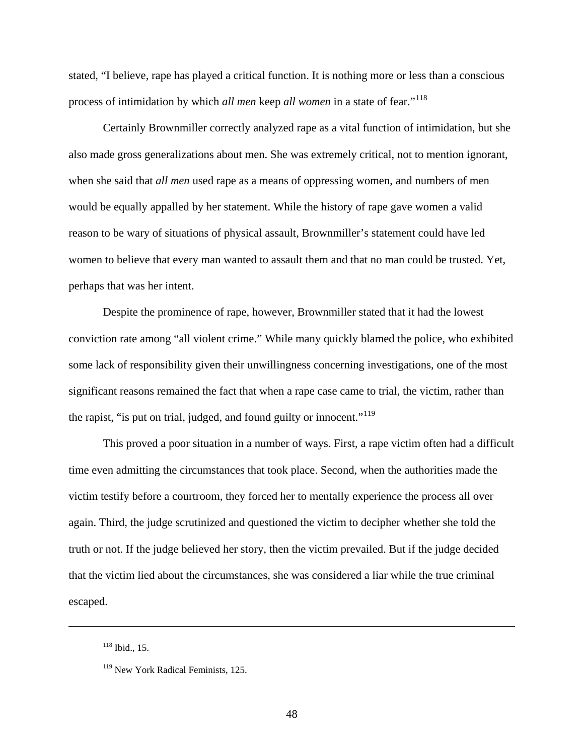stated, "I believe, rape has played a critical function. It is nothing more or less than a conscious process of intimidation by which *all men* keep *all women* in a state of fear."[118](#page-48-0)

Certainly Brownmiller correctly analyzed rape as a vital function of intimidation, but she also made gross generalizations about men. She was extremely critical, not to mention ignorant, when she said that *all men* used rape as a means of oppressing women, and numbers of men would be equally appalled by her statement. While the history of rape gave women a valid reason to be wary of situations of physical assault, Brownmiller's statement could have led women to believe that every man wanted to assault them and that no man could be trusted. Yet, perhaps that was her intent.

Despite the prominence of rape, however, Brownmiller stated that it had the lowest conviction rate among "all violent crime." While many quickly blamed the police, who exhibited some lack of responsibility given their unwillingness concerning investigations, one of the most significant reasons remained the fact that when a rape case came to trial, the victim, rather than the rapist, "is put on trial, judged, and found guilty or innocent."<sup>[119](#page-48-1)</sup>

This proved a poor situation in a number of ways. First, a rape victim often had a difficult time even admitting the circumstances that took place. Second, when the authorities made the victim testify before a courtroom, they forced her to mentally experience the process all over again. Third, the judge scrutinized and questioned the victim to decipher whether she told the truth or not. If the judge believed her story, then the victim prevailed. But if the judge decided that the victim lied about the circumstances, she was considered a liar while the true criminal escaped.

<span id="page-48-1"></span><span id="page-48-0"></span> $\overline{a}$ 

<sup>118</sup> Ibid., 15.

<sup>&</sup>lt;sup>119</sup> New York Radical Feminists, 125.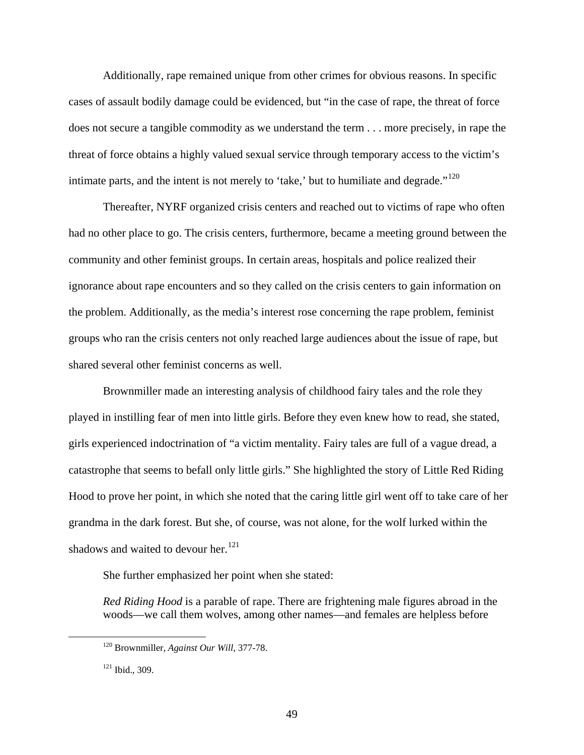Additionally, rape remained unique from other crimes for obvious reasons. In specific cases of assault bodily damage could be evidenced, but "in the case of rape, the threat of force does not secure a tangible commodity as we understand the term . . . more precisely, in rape the threat of force obtains a highly valued sexual service through temporary access to the victim's intimate parts, and the intent is not merely to 'take,' but to humiliate and degrade."<sup>[120](#page-49-0)</sup>

Thereafter, NYRF organized crisis centers and reached out to victims of rape who often had no other place to go. The crisis centers, furthermore, became a meeting ground between the community and other feminist groups. In certain areas, hospitals and police realized their ignorance about rape encounters and so they called on the crisis centers to gain information on the problem. Additionally, as the media's interest rose concerning the rape problem, feminist groups who ran the crisis centers not only reached large audiences about the issue of rape, but shared several other feminist concerns as well.

Brownmiller made an interesting analysis of childhood fairy tales and the role they played in instilling fear of men into little girls. Before they even knew how to read, she stated, girls experienced indoctrination of "a victim mentality. Fairy tales are full of a vague dread, a catastrophe that seems to befall only little girls." She highlighted the story of Little Red Riding Hood to prove her point, in which she noted that the caring little girl went off to take care of her grandma in the dark forest. But she, of course, was not alone, for the wolf lurked within the shadows and waited to devour her. $121$ 

She further emphasized her point when she stated:

*Red Riding Hood* is a parable of rape. There are frightening male figures abroad in the woods—we call them wolves, among other names—and females are helpless before

<span id="page-49-0"></span> <sup>120</sup> Brownmiller, *Against Our Will*, 377-78.

<span id="page-49-1"></span><sup>121</sup> Ibid., 309.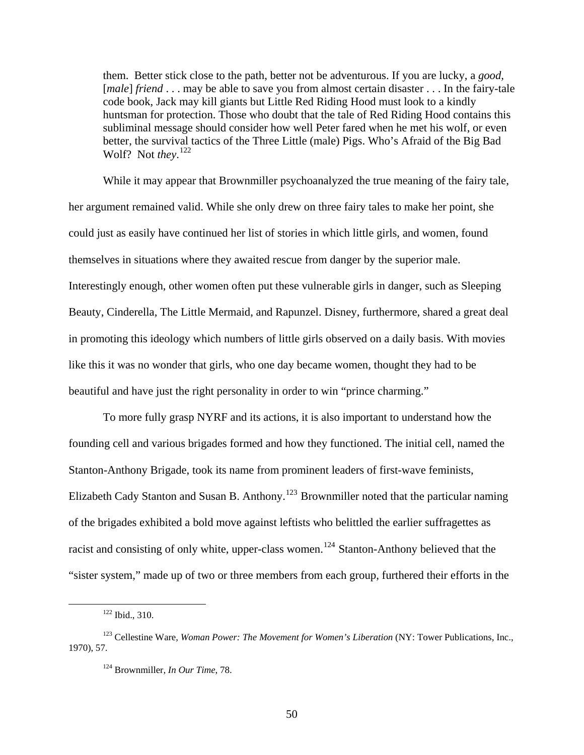them. Better stick close to the path, better not be adventurous. If you are lucky, a *good,*  [*male*] *friend* . . . may be able to save you from almost certain disaster . . . In the fairy-tale code book, Jack may kill giants but Little Red Riding Hood must look to a kindly huntsman for protection. Those who doubt that the tale of Red Riding Hood contains this subliminal message should consider how well Peter fared when he met his wolf, or even better, the survival tactics of the Three Little (male) Pigs. Who's Afraid of the Big Bad Wolf? Not *they*. [122](#page-50-0)

 While it may appear that Brownmiller psychoanalyzed the true meaning of the fairy tale, her argument remained valid. While she only drew on three fairy tales to make her point, she could just as easily have continued her list of stories in which little girls, and women, found themselves in situations where they awaited rescue from danger by the superior male. Interestingly enough, other women often put these vulnerable girls in danger, such as Sleeping Beauty, Cinderella, The Little Mermaid, and Rapunzel. Disney, furthermore, shared a great deal in promoting this ideology which numbers of little girls observed on a daily basis. With movies like this it was no wonder that girls, who one day became women, thought they had to be beautiful and have just the right personality in order to win "prince charming."

 To more fully grasp NYRF and its actions, it is also important to understand how the founding cell and various brigades formed and how they functioned. The initial cell, named the Stanton-Anthony Brigade, took its name from prominent leaders of first-wave feminists, Elizabeth Cady Stanton and Susan B. Anthony.<sup>[123](#page-50-1)</sup> Brownmiller noted that the particular naming of the brigades exhibited a bold move against leftists who belittled the earlier suffragettes as racist and consisting of only white, upper-class women.<sup>[124](#page-50-2)</sup> Stanton-Anthony believed that the "sister system," made up of two or three members from each group, furthered their efforts in the

 <sup>122</sup> Ibid., 310.

<span id="page-50-2"></span><span id="page-50-1"></span><span id="page-50-0"></span><sup>&</sup>lt;sup>123</sup> Cellestine Ware, *Woman Power: The Movement for Women's Liberation* (NY: Tower Publications, Inc., 1970), 57.

<sup>124</sup> Brownmiller, *In Our Time*, 78.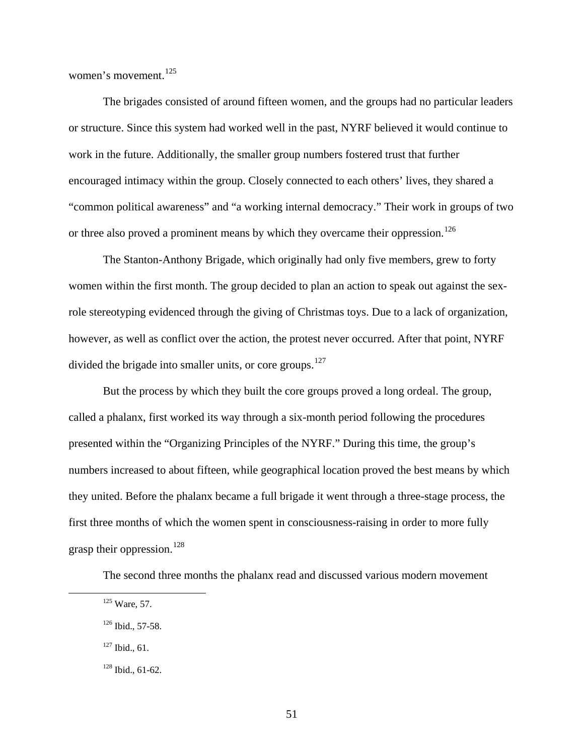women's movement.<sup>[125](#page-51-0)</sup>

 The brigades consisted of around fifteen women, and the groups had no particular leaders or structure. Since this system had worked well in the past, NYRF believed it would continue to work in the future. Additionally, the smaller group numbers fostered trust that further encouraged intimacy within the group. Closely connected to each others' lives, they shared a "common political awareness" and "a working internal democracy." Their work in groups of two or three also proved a prominent means by which they overcame their oppression.<sup>[126](#page-51-1)</sup>

 The Stanton-Anthony Brigade, which originally had only five members, grew to forty women within the first month. The group decided to plan an action to speak out against the sexrole stereotyping evidenced through the giving of Christmas toys. Due to a lack of organization, however, as well as conflict over the action, the protest never occurred. After that point, NYRF divided the brigade into smaller units, or core groups.<sup>[127](#page-51-2)</sup>

 But the process by which they built the core groups proved a long ordeal. The group, called a phalanx, first worked its way through a six-month period following the procedures presented within the "Organizing Principles of the NYRF." During this time, the group's numbers increased to about fifteen, while geographical location proved the best means by which they united. Before the phalanx became a full brigade it went through a three-stage process, the first three months of which the women spent in consciousness-raising in order to more fully grasp their oppression.<sup>[128](#page-51-3)</sup>

The second three months the phalanx read and discussed various modern movement

<span id="page-51-0"></span> <sup>125</sup> Ware, 57.

<span id="page-51-1"></span> $126$  Ibid., 57-58.

<span id="page-51-2"></span> $127$  Ibid., 61.

<span id="page-51-3"></span><sup>128</sup> Ibid., 61-62.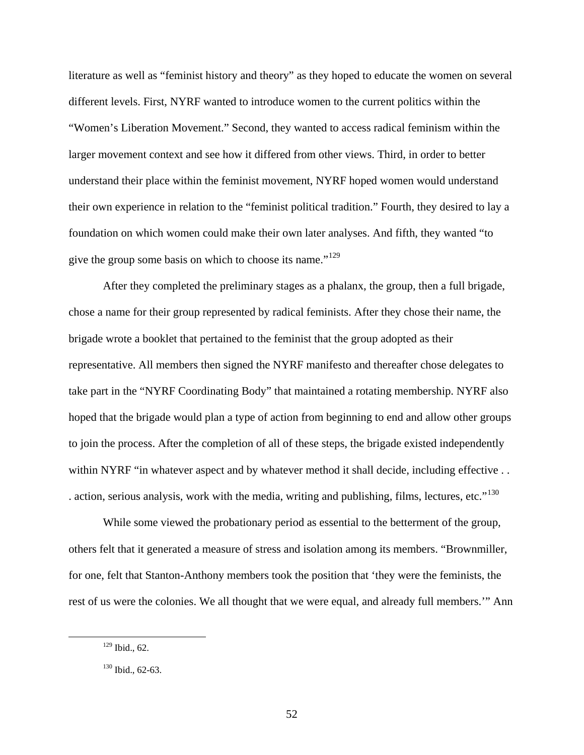literature as well as "feminist history and theory" as they hoped to educate the women on several different levels. First, NYRF wanted to introduce women to the current politics within the "Women's Liberation Movement." Second, they wanted to access radical feminism within the larger movement context and see how it differed from other views. Third, in order to better understand their place within the feminist movement, NYRF hoped women would understand their own experience in relation to the "feminist political tradition." Fourth, they desired to lay a foundation on which women could make their own later analyses. And fifth, they wanted "to give the group some basis on which to choose its name."<sup>[129](#page-52-0)</sup>

 After they completed the preliminary stages as a phalanx, the group, then a full brigade, chose a name for their group represented by radical feminists. After they chose their name, the brigade wrote a booklet that pertained to the feminist that the group adopted as their representative. All members then signed the NYRF manifesto and thereafter chose delegates to take part in the "NYRF Coordinating Body" that maintained a rotating membership. NYRF also hoped that the brigade would plan a type of action from beginning to end and allow other groups to join the process. After the completion of all of these steps, the brigade existed independently within NYRF "in whatever aspect and by whatever method it shall decide, including effective . . . action, serious analysis, work with the media, writing and publishing, films, lectures, etc."<sup>[130](#page-52-1)</sup>

 While some viewed the probationary period as essential to the betterment of the group, others felt that it generated a measure of stress and isolation among its members. "Brownmiller, for one, felt that Stanton-Anthony members took the position that 'they were the feminists, the rest of us were the colonies. We all thought that we were equal, and already full members.'" Ann

<span id="page-52-0"></span> <sup>129</sup> Ibid., 62.

<span id="page-52-1"></span> $130$  Ibid., 62-63.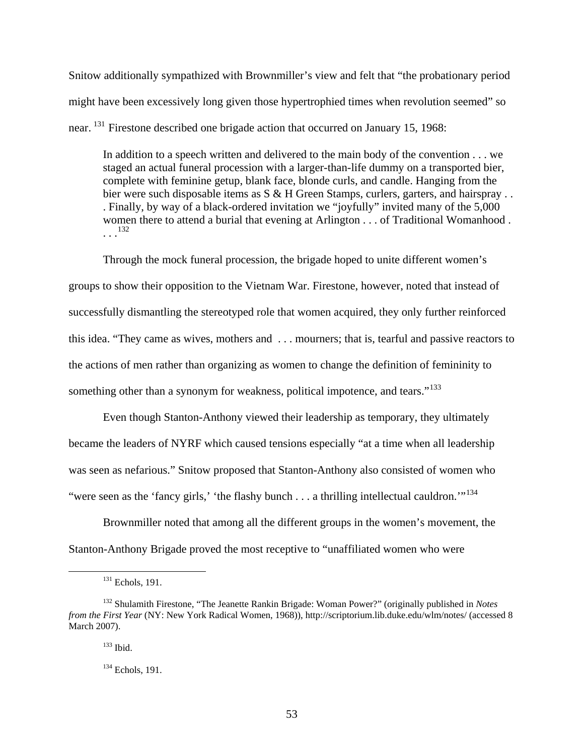Snitow additionally sympathized with Brownmiller's view and felt that "the probationary period might have been excessively long given those hypertrophied times when revolution seemed" so near. [131](#page-53-0) Firestone described one brigade action that occurred on January 15, 1968:

In addition to a speech written and delivered to the main body of the convention . . . we staged an actual funeral procession with a larger-than-life dummy on a transported bier, complete with feminine getup, blank face, blonde curls, and candle. Hanging from the bier were such disposable items as S & H Green Stamps, curlers, garters, and hairspray . . . Finally, by way of a black-ordered invitation we "joyfully" invited many of the 5,000 women there to attend a burial that evening at Arlington . . . of Traditional Womanhood .  $\frac{132}{1}$  $\frac{132}{1}$  $\frac{132}{1}$ 

 Through the mock funeral procession, the brigade hoped to unite different women's groups to show their opposition to the Vietnam War. Firestone, however, noted that instead of successfully dismantling the stereotyped role that women acquired, they only further reinforced this idea. "They came as wives, mothers and . . . mourners; that is, tearful and passive reactors to the actions of men rather than organizing as women to change the definition of femininity to something other than a synonym for weakness, political impotence, and tears."<sup>[133](#page-53-2)</sup>

 Even though Stanton-Anthony viewed their leadership as temporary, they ultimately became the leaders of NYRF which caused tensions especially "at a time when all leadership was seen as nefarious." Snitow proposed that Stanton-Anthony also consisted of women who "were seen as the 'fancy girls,' 'the flashy bunch . . . a thrilling intellectual cauldron."<sup>[134](#page-53-3)</sup>

 Brownmiller noted that among all the different groups in the women's movement, the Stanton-Anthony Brigade proved the most receptive to "unaffiliated women who were

<sup>&</sup>lt;sup>131</sup> Echols, 191.

<span id="page-53-3"></span><span id="page-53-2"></span><span id="page-53-1"></span><span id="page-53-0"></span><sup>132</sup> Shulamith Firestone, "The Jeanette Rankin Brigade: Woman Power?" (originally published in *Notes from the First Year* (NY: New York Radical Women, 1968)), http://scriptorium.lib.duke.edu/wlm/notes/ (accessed 8 March 2007).

<sup>133</sup> Ibid.

<sup>&</sup>lt;sup>134</sup> Echols, 191.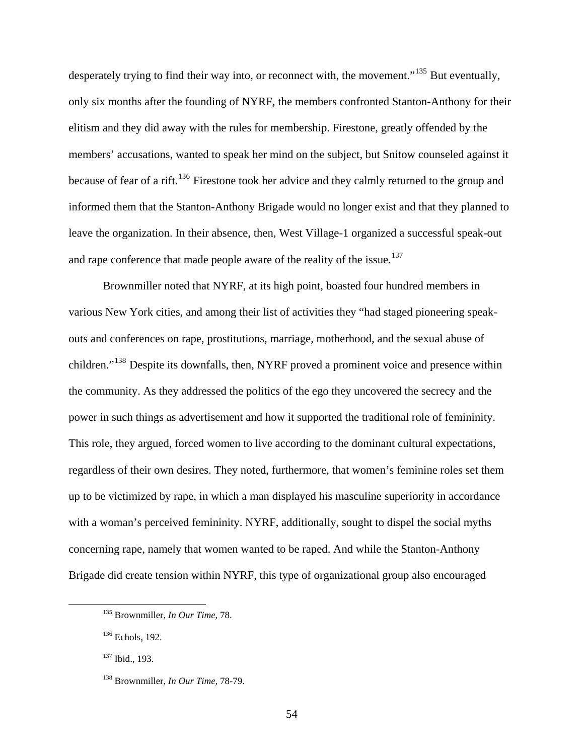desperately trying to find their way into, or reconnect with, the movement."<sup>[135](#page-54-0)</sup> But eventually, only six months after the founding of NYRF, the members confronted Stanton-Anthony for their elitism and they did away with the rules for membership. Firestone, greatly offended by the members' accusations, wanted to speak her mind on the subject, but Snitow counseled against it because of fear of a rift.<sup>[136](#page-54-1)</sup> Firestone took her advice and they calmly returned to the group and informed them that the Stanton-Anthony Brigade would no longer exist and that they planned to leave the organization. In their absence, then, West Village-1 organized a successful speak-out and rape conference that made people aware of the reality of the issue.<sup>[137](#page-54-2)</sup>

 Brownmiller noted that NYRF, at its high point, boasted four hundred members in various New York cities, and among their list of activities they "had staged pioneering speakouts and conferences on rape, prostitutions, marriage, motherhood, and the sexual abuse of children."[138](#page-54-3) Despite its downfalls, then, NYRF proved a prominent voice and presence within the community. As they addressed the politics of the ego they uncovered the secrecy and the power in such things as advertisement and how it supported the traditional role of femininity. This role, they argued, forced women to live according to the dominant cultural expectations, regardless of their own desires. They noted, furthermore, that women's feminine roles set them up to be victimized by rape, in which a man displayed his masculine superiority in accordance with a woman's perceived femininity. NYRF, additionally, sought to dispel the social myths concerning rape, namely that women wanted to be raped. And while the Stanton-Anthony Brigade did create tension within NYRF, this type of organizational group also encouraged

54

<span id="page-54-0"></span> <sup>135</sup> Brownmiller, *In Our Time*, 78.

<span id="page-54-1"></span><sup>136</sup> Echols, 192.

<span id="page-54-2"></span><sup>137</sup> Ibid., 193.

<span id="page-54-3"></span><sup>138</sup> Brownmiller, *In Our Time*, 78-79.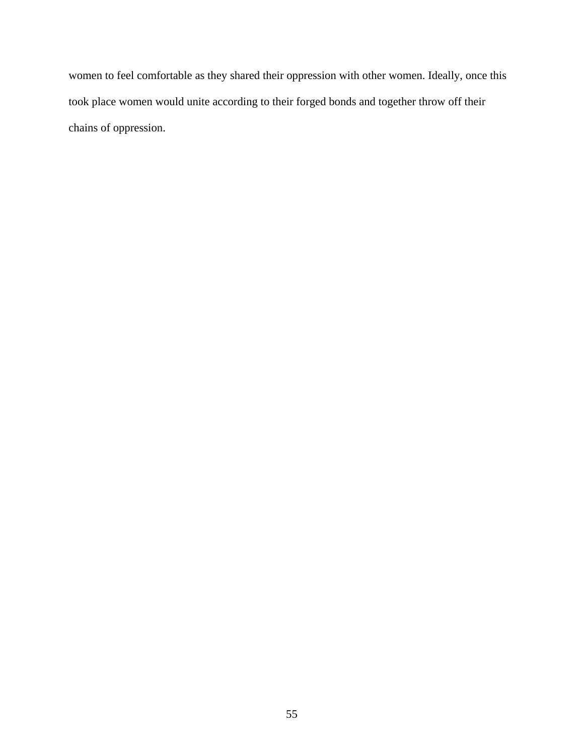women to feel comfortable as they shared their oppression with other women. Ideally, once this took place women would unite according to their forged bonds and together throw off their chains of oppression.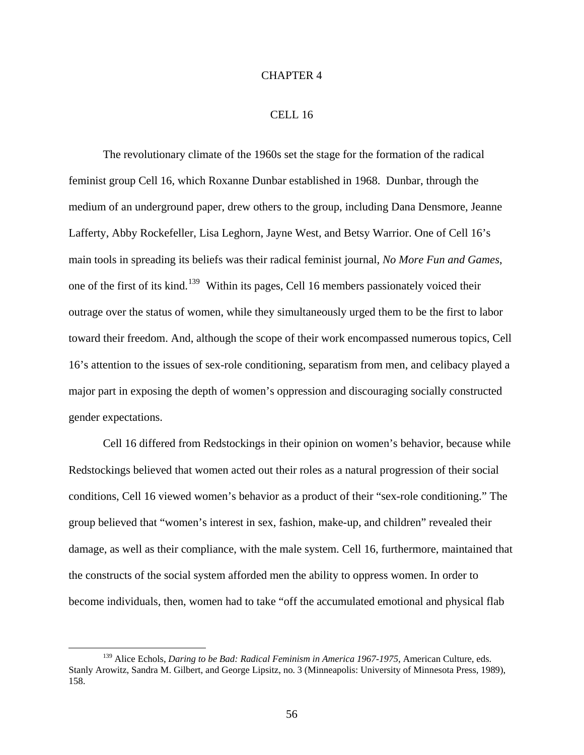## CHAPTER 4

## CELL 16

The revolutionary climate of the 1960s set the stage for the formation of the radical feminist group Cell 16, which Roxanne Dunbar established in 1968. Dunbar, through the medium of an underground paper, drew others to the group, including Dana Densmore, Jeanne Lafferty, Abby Rockefeller, Lisa Leghorn, Jayne West, and Betsy Warrior. One of Cell 16's main tools in spreading its beliefs was their radical feminist journal, *No More Fun and Games*, one of the first of its kind.<sup>[139](#page-56-0)</sup> Within its pages, Cell 16 members passionately voiced their outrage over the status of women, while they simultaneously urged them to be the first to labor toward their freedom. And, although the scope of their work encompassed numerous topics, Cell 16's attention to the issues of sex-role conditioning, separatism from men, and celibacy played a major part in exposing the depth of women's oppression and discouraging socially constructed gender expectations.

Cell 16 differed from Redstockings in their opinion on women's behavior, because while Redstockings believed that women acted out their roles as a natural progression of their social conditions, Cell 16 viewed women's behavior as a product of their "sex-role conditioning." The group believed that "women's interest in sex, fashion, make-up, and children" revealed their damage, as well as their compliance, with the male system. Cell 16, furthermore, maintained that the constructs of the social system afforded men the ability to oppress women. In order to become individuals, then, women had to take "off the accumulated emotional and physical flab

<span id="page-56-0"></span><sup>&</sup>lt;sup>139</sup> Alice Echols, *Daring to be Bad: Radical Feminism in America 1967-1975*, American Culture, eds. Stanly Arowitz, Sandra M. Gilbert, and George Lipsitz, no. 3 (Minneapolis: University of Minnesota Press, 1989), 158.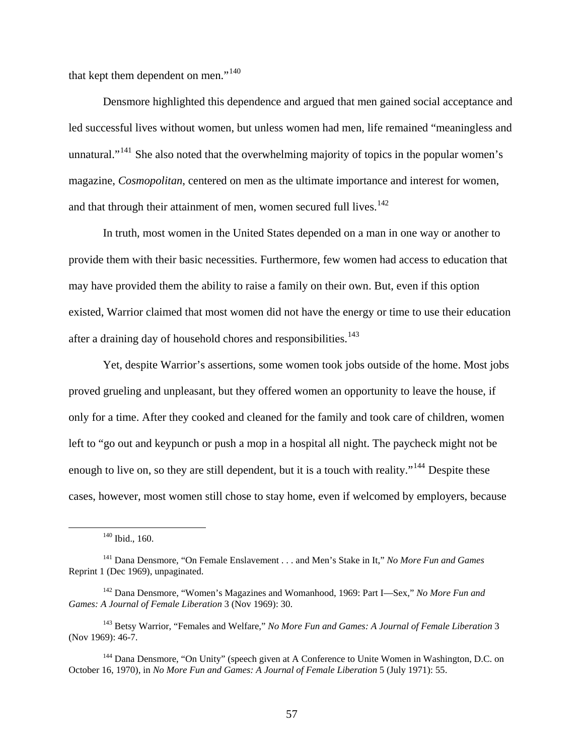that kept them dependent on men."<sup>[140](#page-57-0)</sup>

Densmore highlighted this dependence and argued that men gained social acceptance and led successful lives without women, but unless women had men, life remained "meaningless and unnatural."<sup>[141](#page-57-1)</sup> She also noted that the overwhelming majority of topics in the popular women's magazine, *Cosmopolitan*, centered on men as the ultimate importance and interest for women, and that through their attainment of men, women secured full lives.<sup>[142](#page-57-2)</sup>

In truth, most women in the United States depended on a man in one way or another to provide them with their basic necessities. Furthermore, few women had access to education that may have provided them the ability to raise a family on their own. But, even if this option existed, Warrior claimed that most women did not have the energy or time to use their education after a draining day of household chores and responsibilities.<sup>[143](#page-57-3)</sup>

Yet, despite Warrior's assertions, some women took jobs outside of the home. Most jobs proved grueling and unpleasant, but they offered women an opportunity to leave the house, if only for a time. After they cooked and cleaned for the family and took care of children, women left to "go out and keypunch or push a mop in a hospital all night. The paycheck might not be enough to live on, so they are still dependent, but it is a touch with reality."<sup>[144](#page-57-4)</sup> Despite these cases, however, most women still chose to stay home, even if welcomed by employers, because

 <sup>140</sup> Ibid., 160.

<span id="page-57-1"></span><span id="page-57-0"></span><sup>141</sup> Dana Densmore, "On Female Enslavement . . . and Men's Stake in It," *No More Fun and Games*  Reprint 1 (Dec 1969), unpaginated.

<span id="page-57-2"></span><sup>142</sup> Dana Densmore, "Women's Magazines and Womanhood, 1969: Part I—Sex," *No More Fun and Games: A Journal of Female Liberation* 3 (Nov 1969): 30.

<span id="page-57-3"></span><sup>143</sup> Betsy Warrior, "Females and Welfare," *No More Fun and Games: A Journal of Female Liberation* 3 (Nov 1969): 46-7.

<span id="page-57-4"></span><sup>&</sup>lt;sup>144</sup> Dana Densmore, "On Unity" (speech given at A Conference to Unite Women in Washington, D.C. on October 16, 1970), in *No More Fun and Games: A Journal of Female Liberation* 5 (July 1971): 55.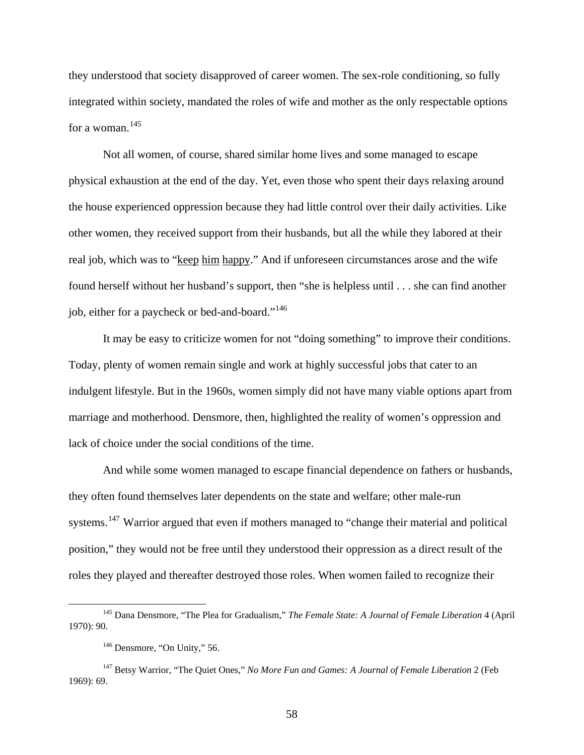they understood that society disapproved of career women. The sex-role conditioning, so fully integrated within society, mandated the roles of wife and mother as the only respectable options for a woman.<sup>[145](#page-58-0)</sup>

Not all women, of course, shared similar home lives and some managed to escape physical exhaustion at the end of the day. Yet, even those who spent their days relaxing around the house experienced oppression because they had little control over their daily activities. Like other women, they received support from their husbands, but all the while they labored at their real job, which was to "keep him happy." And if unforeseen circumstances arose and the wife found herself without her husband's support, then "she is helpless until . . . she can find another job, either for a paycheck or bed-and-board."[146](#page-58-1)

It may be easy to criticize women for not "doing something" to improve their conditions. Today, plenty of women remain single and work at highly successful jobs that cater to an indulgent lifestyle. But in the 1960s, women simply did not have many viable options apart from marriage and motherhood. Densmore, then, highlighted the reality of women's oppression and lack of choice under the social conditions of the time.

And while some women managed to escape financial dependence on fathers or husbands, they often found themselves later dependents on the state and welfare; other male-run systems.<sup>[147](#page-58-2)</sup> Warrior argued that even if mothers managed to "change their material and political position," they would not be free until they understood their oppression as a direct result of the roles they played and thereafter destroyed those roles. When women failed to recognize their

<span id="page-58-0"></span> <sup>145</sup> Dana Densmore, "The Plea for Gradualism," *The Female State: A Journal of Female Liberation* 4 (April 1970): 90.

<sup>&</sup>lt;sup>146</sup> Densmore, "On Unity," 56.

<span id="page-58-2"></span><span id="page-58-1"></span><sup>147</sup> Betsy Warrior, "The Quiet Ones," *No More Fun and Games: A Journal of Female Liberation* 2 (Feb 1969): 69.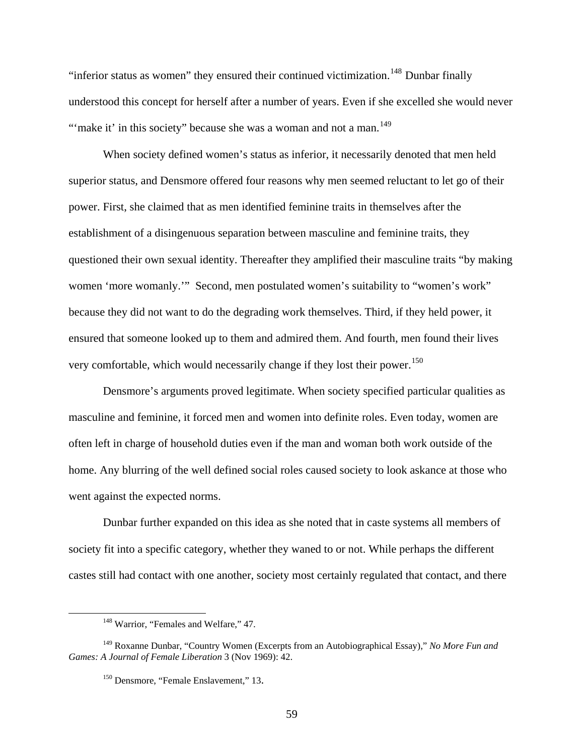"inferior status as women" they ensured their continued victimization.<sup>[148](#page-59-0)</sup> Dunbar finally understood this concept for herself after a number of years. Even if she excelled she would neve r "'make it' in this society" because she was a woman and not a man.<sup>149</sup>

When society defined women's status as inferior, it necessarily denoted that men held superior status, and Densmore offered four reasons why men seemed reluctant to let go of their power. First, she claimed that as men identified feminine traits in themselves after the establishment of a disingenuous separation between masculine and feminine traits, they questioned their own sexual identity. Thereafter they amplified their masculine traits "by making women 'more womanly.'" Second, men postulated women's suitability to "women's work" because they did not want to do the degrading work themselves. Third, if they held power, it ensured that someone looked up to them and admired them. And fourth, men found their lives very comfortable, which would necessarily change if they lost their power.<sup>[150](#page-59-1)</sup>

Densmore's arguments proved legitimate. When society specified particular qualities as masculine and feminine, it forced men and women into definite roles. Even today, women are often left in charge of household duties even if the man and woman both work outside of the home. Any blurring of the well defined social roles caused society to look askance at those who went against the expected norms.

Dunbar further expanded on this idea as she noted that in caste systems all members of society fit into a specific category, whether they waned to or not. While perhaps the different castes still had contact with one another, society most certainly regulated that contact, and there

<span id="page-59-0"></span> $\overline{a}$ 

<sup>&</sup>lt;sup>148</sup> Warrior, "Females and Welfare," 47.

<span id="page-59-1"></span><sup>149</sup> Roxanne Dunbar, "Country Women (Excerpts from an Autobiographical Essay)," *No More Fun and Games: A Journal of Female Liberation* 3 (Nov 1969): 42.

<sup>&</sup>lt;sup>150</sup> Densmore, "Female Enslavement," 13.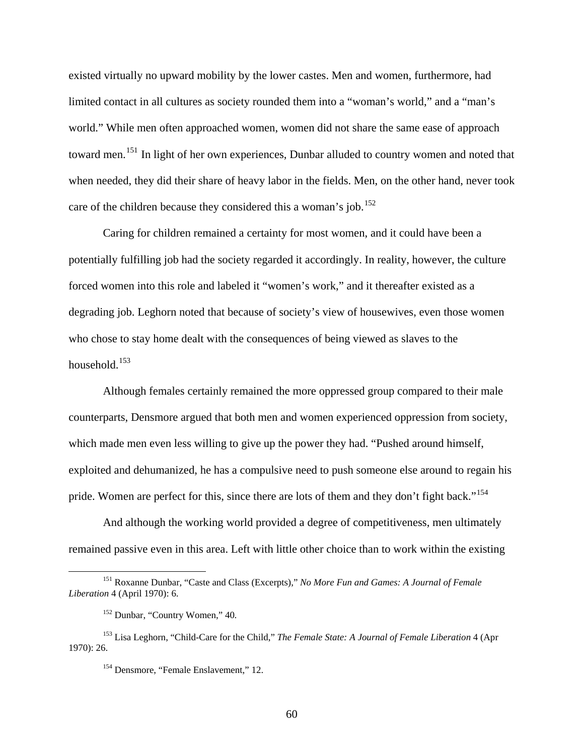existed virtually no upward mobility by the lower castes. Men and women, furthermore, had limited contact in all cultures as society rounded them into a "woman's world," and a "man's world." While men often approached women, women did not share the same ease of approach toward men.<sup>[151](#page-60-0)</sup> In light of her own experiences, Dunbar alluded to country women and noted that when needed, they did their share of heavy labor in the fields. Men, on the other hand, never took care of the children because they considered this a woman's job.<sup>[152](#page-60-1)</sup>

Caring for children remained a certainty for most women, and it could have been a potentially fulfilling job had the society regarded it accordingly. In reality, however, the culture forced women into this role and labeled it "women's work," and it thereafter existed as a degrading job. Leghorn noted that because of society's view of housewives, even those women who chose to stay home dealt with the consequences of being viewed as slaves to the household. $153$ 

Although females certainly remained the more oppressed group compared to their male counterparts, Densmore argued that both men and women experienced oppression from society, which made men even less willing to give up the power they had. "Pushed around himself, exploited and dehumanized, he has a compulsive need to push someone else around to regain his pride. Women are perfect for this, since there are lots of them and they don't fight back."<sup>[154](#page-60-3)</sup>

And although the working world provided a degree of competitiveness, men ultimately remained passive even in this area. Left with little other choice than to work within the existing

<span id="page-60-0"></span> <sup>151</sup> Roxanne Dunbar, "Caste and Class (Excerpts)," *No More Fun and Games: A Journal of Female Liberation* 4 (April 1970): 6.

<sup>152</sup> Dunbar, "Country Women," 40*.* 

<span id="page-60-3"></span><span id="page-60-2"></span><span id="page-60-1"></span><sup>153</sup> Lisa Leghorn, "Child-Care for the Child," *The Female State: A Journal of Female Liberation* 4 (Apr 1970): 26.

<sup>&</sup>lt;sup>154</sup> Densmore, "Female Enslavement," 12.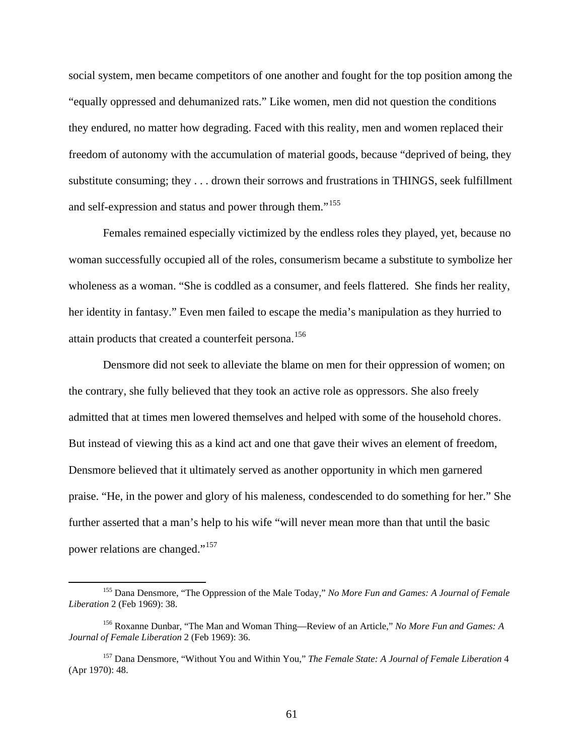social system, men became competitors of one another and fought for the top position among the "equally oppressed and dehumanized rats." Like women, men did not question the conditions they endured, no matter how degrading. Faced with this reality, men and women replaced their freedom of autonomy with the accumulation of material goods, because "deprived of being, they substitute consuming; they . . . drown their sorrows and frustrations in THINGS, seek fulfillment and self-expression and status and power through them."[155](#page-61-0)

Females remained especially victimized by the endless roles they played, yet, because no woman successfully occupied all of the roles, consumerism became a substitute to symbolize her wholeness as a woman. "She is coddled as a consumer, and feels flattered. She finds her reality, her identity in fantasy." Even men failed to escape the media's manipulation as they hurried to attain products that created a counterfeit persona.<sup>[156](#page-61-1)</sup>

Densmore did not seek to alleviate the blame on men for their oppression of women; on the contrary, she fully believed that they took an active role as oppressors. She also freely admitted that at times men lowered themselves and helped with some of the household chores. But instead of viewing this as a kind act and one that gave their wives an element of freedom, Densmore believed that it ultimately served as another opportunity in which men garnered praise. "He, in the power and glory of his maleness, condescended to do something for her." She further asserted that a man's help to his wife "will never mean more than that until the basic power relations are changed."[157](#page-61-2)

<span id="page-61-0"></span> <sup>155</sup> Dana Densmore, "The Oppression of the Male Today," *No More Fun and Games: A Journal of Female Liberation* 2 (Feb 1969): 38.

<span id="page-61-1"></span><sup>156</sup> Roxanne Dunbar, "The Man and Woman Thing—Review of an Article," *No More Fun and Games: A Journal of Female Liberation* 2 (Feb 1969): 36.

<span id="page-61-2"></span><sup>157</sup> Dana Densmore, "Without You and Within You," *The Female State: A Journal of Female Liberation* 4 (Apr 1970): 48.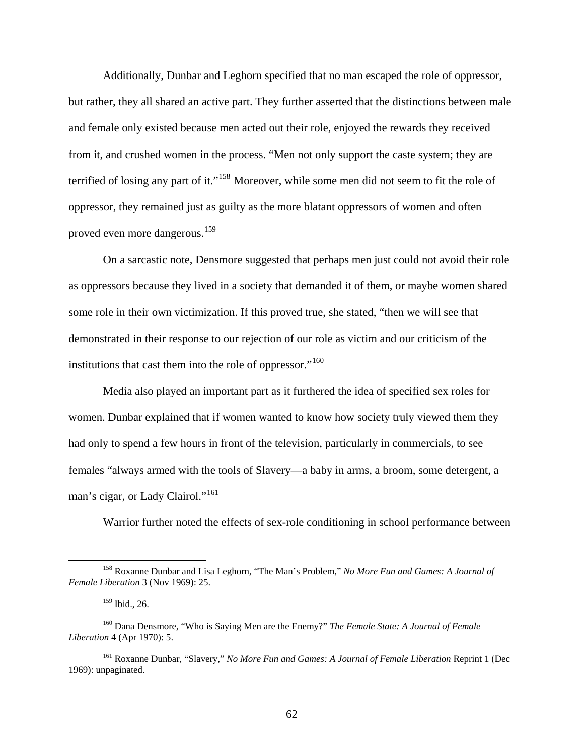Additionally, Dunbar and Leghorn specified that no man escaped the role of oppressor, but rather, they all shared an active part. They further asserted that the distinctions between male and female only existed because men acted out their role, enjoyed the rewards they received from it, and crushed women in the process. "Men not only support the caste system; they are terrified of losing any part of it."<sup>[158](#page-62-0)</sup> Moreover, while some men did not seem to fit the role of oppressor, they remained just as guilty as the more blatant oppressors of women and often proved even more dangerous.<sup>[159](#page-62-1)</sup>

On a sarcastic note, Densmore suggested that perhaps men just could not avoid their role as oppressors because they lived in a society that demanded it of them, or maybe women shared some role in their own victimization. If this proved true, she stated, "then we will see that demonstrated in their response to our rejection of our role as victim and our criticism of the institutions that cast them into the role of oppressor."<sup>[160](#page-62-2)</sup>

Media also played an important part as it furthered the idea of specified sex roles for women. Dunbar explained that if women wanted to know how society truly viewed them they had only to spend a few hours in front of the television, particularly in commercials, to see females "always armed with the tools of Slavery—a baby in arms, a broom, some detergent, a man's cigar, or Lady Clairol."<sup>[161](#page-62-3)</sup>

Warrior further noted the effects of sex-role conditioning in school performance between

<span id="page-62-0"></span> <sup>158</sup> Roxanne Dunbar and Lisa Leghorn, "The Man's Problem," *No More Fun and Games: A Journal of Female Liberation* 3 (Nov 1969): 25.

<sup>159</sup> Ibid., 26.

<span id="page-62-2"></span><span id="page-62-1"></span><sup>160</sup> Dana Densmore, "Who is Saying Men are the Enemy?" *The Female State: A Journal of Female Liberation* 4 (Apr 1970): 5.

<span id="page-62-3"></span><sup>161</sup> Roxanne Dunbar, "Slavery," *No More Fun and Games: A Journal of Female Liberation* Reprint 1 (Dec 1969): unpaginated.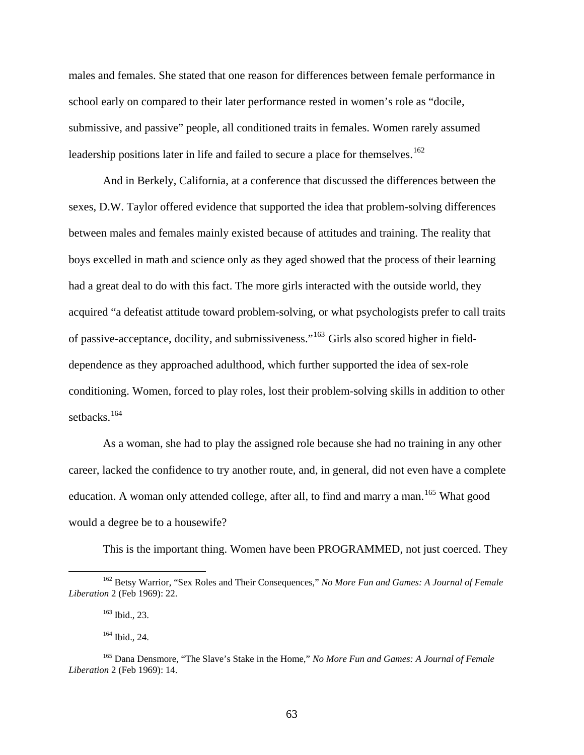males and females. She stated that one reason for differences between female performance in school early on compared to their later performance rested in women's role as "docile, submissive, and passive" people, all conditioned traits in females. Women rarely assumed leadership positions later in life and failed to secure a place for themselves.<sup>[162](#page-63-0)</sup>

And in Berkely, California, at a conference that discussed the differences between the sexes, D.W. Taylor offered evidence that supported the idea that problem-solving differences between males and females mainly existed because of attitudes and training. The reality that boys excelled in math and science only as they aged showed that the process of their learning had a great deal to do with this fact. The more girls interacted with the outside world, they acquired "a defeatist attitude toward problem-solving, or what psychologists prefer to call traits of passive-acceptance, docility, and submissiveness."[163](#page-63-1) Girls also scored higher in fielddependence as they approached adulthood, which further supported the idea of sex-role conditioning. Women, forced to play roles, lost their problem-solving skills in addition to other setbacks.<sup>[164](#page-63-2)</sup>

As a woman, she had to play the assigned role because she had no training in any other career, lacked the confidence to try another route, and, in general, did not even have a complete education. A woman only attended college, after all, to find and marry a man.<sup>[165](#page-63-3)</sup> What good would a degree be to a housewife?

This is the important thing. Women have been PROGRAMMED, not just coerced. They

<span id="page-63-1"></span><span id="page-63-0"></span> <sup>162</sup> Betsy Warrior, "Sex Roles and Their Consequences," *No More Fun and Games: A Journal of Female Liberation* 2 (Feb 1969): 22.

<sup>163</sup> Ibid., 23.

<sup>164</sup> Ibid., 24.

<span id="page-63-3"></span><span id="page-63-2"></span><sup>165</sup> Dana Densmore, "The Slave's Stake in the Home," *No More Fun and Games: A Journal of Female Liberation* 2 (Feb 1969): 14.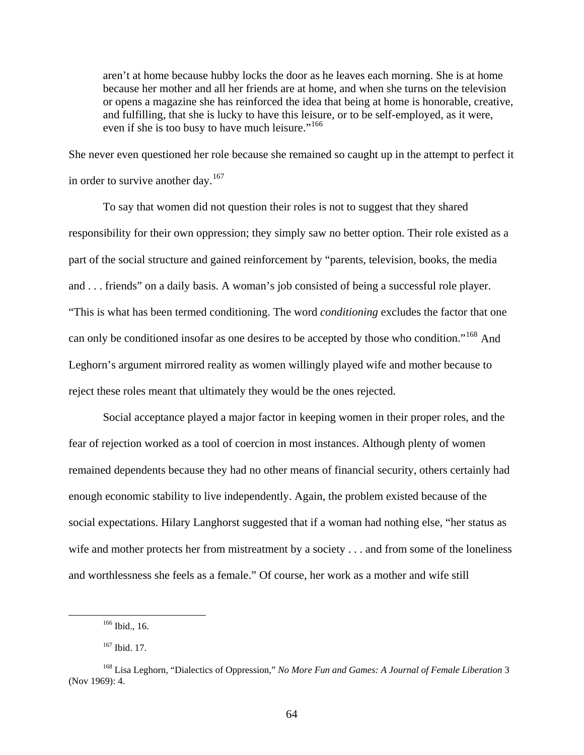aren't at home because hubby locks the door as he leaves each morning. She is at home because her mother and all her friends are at home, and when she turns on the television or opens a magazine she has reinforced the idea that being at home is honorable, creative, and fulfilling, that she is lucky to have this leisure, or to be self-employed, as it were, even if she is too busy to have much leisure."<sup>[166](#page-64-0)</sup>

She never even questioned her role because she remained so caught up in the attempt to perfect it in order to survive another day.<sup>[167](#page-64-1)</sup>

To say that women did not question their roles is not to suggest that they shared responsibility for their own oppression; they simply saw no better option. Their role existed as a part of the social structure and gained reinforcement by "parents, television, books, the media and . . . friends" on a daily basis. A woman's job consisted of being a successful role player. "This is what has been termed conditioning. The word *conditioning* excludes the factor that one can only be conditioned insofar as one desires to be accepted by those who condition."[168](#page-64-2) And Leghorn's argument mirrored reality as women willingly played wife and mother because to reject these roles meant that ultimately they would be the ones rejected.

Social acceptance played a major factor in keeping women in their proper roles, and the fear of rejection worked as a tool of coercion in most instances. Although plenty of women remained dependents because they had no other means of financial security, others certainly had enough economic stability to live independently. Again, the problem existed because of the social expectations. Hilary Langhorst suggested that if a woman had nothing else, "her status as wife and mother protects her from mistreatment by a society . . . and from some of the loneliness and worthlessness she feels as a female." Of course, her work as a mother and wife still

 <sup>166</sup> Ibid., 16.

<sup>167</sup> Ibid. 17.

<span id="page-64-2"></span><span id="page-64-1"></span><span id="page-64-0"></span><sup>168</sup> Lisa Leghorn, "Dialectics of Oppression," *No More Fun and Games: A Journal of Female Liberation* 3 (Nov 1969): 4.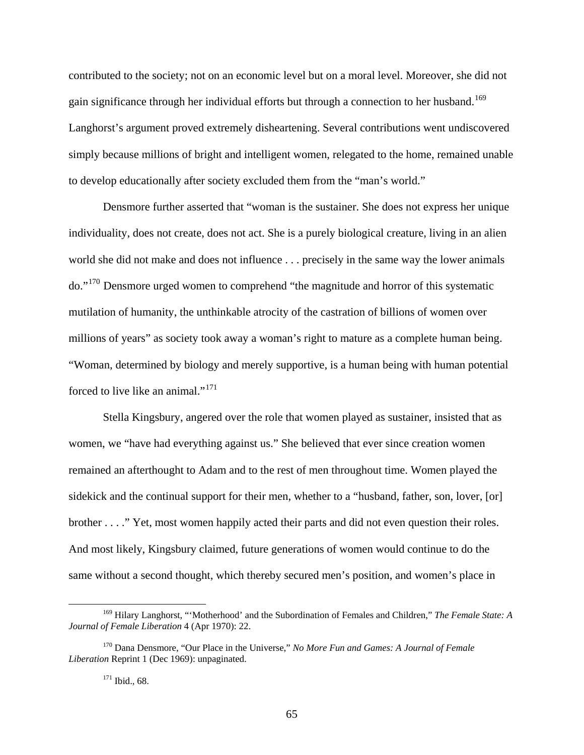contributed to the society; not on an economic level but on a moral level. Moreover, she did not gain significance through her individual efforts but through a connection to her husband.<sup>[169](#page-65-0)</sup> Langhorst's argument proved extremely disheartening. Several contributions went undiscovered simply because millions of bright and intelligent women, relegated to the home, remained unable to develop educationally after society excluded them from the "man's world."

Densmore further asserted that "woman is the sustainer. She does not express her unique individuality, does not create, does not act. She is a purely biological creature, living in an alien world she did not make and does not influence . . . precisely in the same way the lower animals do."[170](#page-65-1) Densmore urged women to comprehend "the magnitude and horror of this systematic mutilation of humanity, the unthinkable atrocity of the castration of billions of women over millions of years" as society took away a woman's right to mature as a complete human being. "Woman, determined by biology and merely supportive, is a human being with human potential forced to live like an animal."<sup>[171](#page-65-2)</sup>

Stella Kingsbury, angered over the role that women played as sustainer, insisted that as women, we "have had everything against us." She believed that ever since creation women remained an afterthought to Adam and to the rest of men throughout time. Women played the sidekick and the continual support for their men, whether to a "husband, father, son, lover, [or] brother . . . ." Yet, most women happily acted their parts and did not even question their roles. And most likely, Kingsbury claimed, future generations of women would continue to do the same without a second thought, which thereby secured men's position, and women's place in

<span id="page-65-0"></span> <sup>169</sup> Hilary Langhorst, "'Motherhood' and the Subordination of Females and Children," *The Female State: A Journal of Female Liberation* 4 (Apr 1970): 22.

<span id="page-65-2"></span><span id="page-65-1"></span><sup>170</sup> Dana Densmore, "Our Place in the Universe," *No More Fun and Games: A Journal of Female Liberation* Reprint 1 (Dec 1969): unpaginated.

<sup>171</sup> Ibid., 68.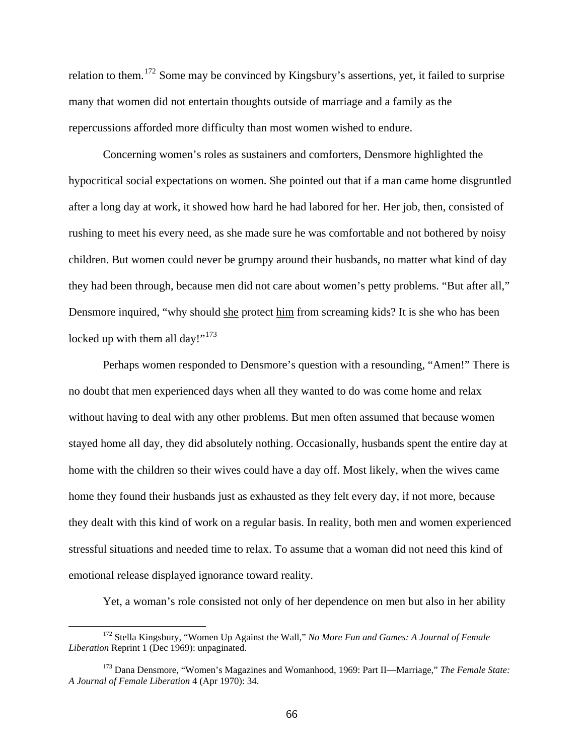relation to them.[172](#page-66-0) Some may be convinced by Kingsbury's assertions, yet, it failed to surprise many that women did not entertain thoughts outside of marriage and a family as the repercussions afforded more difficulty than most women wished to endure.

Concerning women's roles as sustainers and comforters, Densmore highlighted the hypocritical social expectations on women. She pointed out that if a man came home disgruntled after a long day at work, it showed how hard he had labored for her. Her job, then, consisted of rushing to meet his every need, as she made sure he was comfortable and not bothered by noisy children. But women could never be grumpy around their husbands, no matter what kind of day they had been through, because men did not care about women's petty problems. "But after all," Densmore inquired, "why should she protect him from screaming kids? It is she who has been locked up with them all day!"<sup>[173](#page-66-1)</sup>

Perhaps women responded to Densmore's question with a resounding, "Amen!" There is no doubt that men experienced days when all they wanted to do was come home and relax without having to deal with any other problems. But men often assumed that because women stayed home all day, they did absolutely nothing. Occasionally, husbands spent the entire day at home with the children so their wives could have a day off. Most likely, when the wives came home they found their husbands just as exhausted as they felt every day, if not more, because they dealt with this kind of work on a regular basis. In reality, both men and women experienced stressful situations and needed time to relax. To assume that a woman did not need this kind of emotional release displayed ignorance toward reality.

Yet, a woman's role consisted not only of her dependence on men but also in her ability

<span id="page-66-0"></span> <sup>172</sup> Stella Kingsbury, "Women Up Against the Wall," *No More Fun and Games: A Journal of Female Liberation* Reprint 1 (Dec 1969): unpaginated.

<span id="page-66-1"></span><sup>173</sup> Dana Densmore, "Women's Magazines and Womanhood, 1969: Part II—Marriage," *The Female State: A Journal of Female Liberation* 4 (Apr 1970): 34.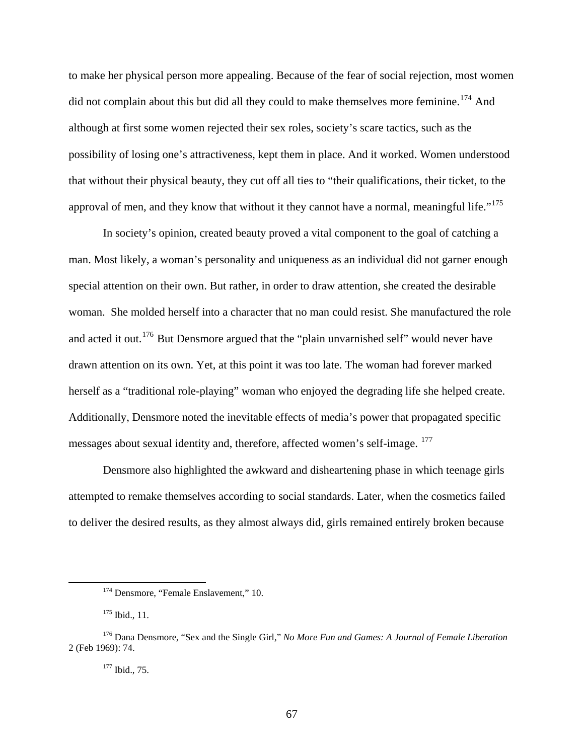to make her physical person more appealing. Because of the fear of social rejection, most women did not complain about this but did all they could to make themselves more feminine.<sup>[174](#page-67-0)</sup> And although at first some women rejected their sex roles, society's scare tactics, such as the possibility of losing one's attractiveness, kept them in place. And it worked. Women understood that without their physical beauty, they cut off all ties to "their qualifications, their ticket, to the approval of men, and they know that without it they cannot have a normal, meaningful life." $175$ 

In society's opinion, created beauty proved a vital component to the goal of catching a man. Most likely, a woman's personality and uniqueness as an individual did not garner enough special attention on their own. But rather, in order to draw attention, she created the desirable woman. She molded herself into a character that no man could resist. She manufactured the role and acted it out.<sup>[176](#page-67-2)</sup> But Densmore argued that the "plain unvarnished self" would never have drawn attention on its own. Yet, at this point it was too late. The woman had forever marked herself as a "traditional role-playing" woman who enjoyed the degrading life she helped create. Additionally, Densmore noted the inevitable effects of media's power that propagated specific messages about sexual identity and, therefore, affected women's self-image. [177](#page-67-3)

Densmore also highlighted the awkward and disheartening phase in which teenage girls attempted to remake themselves according to social standards. Later, when the cosmetics failed to deliver the desired results, as they almost always did, girls remained entirely broken because

<sup>&</sup>lt;sup>174</sup> Densmore, "Female Enslavement," 10.

<sup>&</sup>lt;sup>175</sup> Ibid., 11.

<span id="page-67-3"></span><span id="page-67-2"></span><span id="page-67-1"></span><span id="page-67-0"></span><sup>176</sup> Dana Densmore, "Sex and the Single Girl," *No More Fun and Games: A Journal of Female Liberation*  2 (Feb 1969): 74.

<sup>177</sup> Ibid., 75.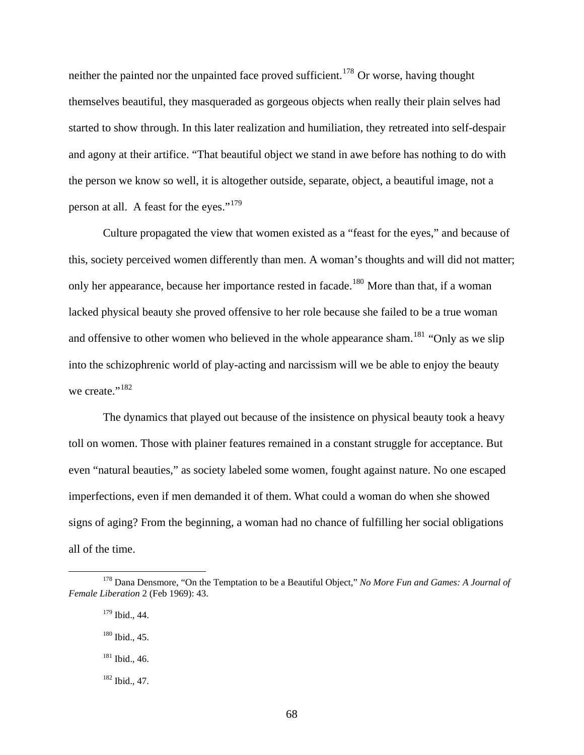neither the painted nor the unpainted face proved sufficient.<sup>[178](#page-68-0)</sup> Or worse, having thought themselves beautiful, they masqueraded as gorgeous objects when really their plain selves had started to show through. In this later realization and humiliation, they retreated into self-despair and agony at their artifice. "That beautiful object we stand in awe before has nothing to do with the person we know so well, it is altogether outside, separate, object, a beautiful image, not a person at all. A feast for the eyes."[179](#page-68-1)

Culture propagated the view that women existed as a "feast for the eyes," and because of this, society perceived women differently than men. A woman's thoughts and will did not matter; only her appearance, because her importance rested in facade.<sup>[180](#page-68-2)</sup> More than that, if a woman lacked physical beauty she proved offensive to her role because she failed to be a true woman and offensive to other women who believed in the whole appearance sham.<sup>[181](#page-68-3)</sup> "Only as we slip" into the schizophrenic world of play-acting and narcissism will we be able to enjoy the beauty we create."<sup>[182](#page-68-4)</sup>

The dynamics that played out because of the insistence on physical beauty took a heavy toll on women. Those with plainer features remained in a constant struggle for acceptance. But even "natural beauties," as society labeled some women, fought against nature. No one escaped imperfections, even if men demanded it of them. What could a woman do when she showed signs of aging? From the beginning, a woman had no chance of fulfilling her social obligations all of the time.

<span id="page-68-3"></span><span id="page-68-2"></span><span id="page-68-1"></span><span id="page-68-0"></span> <sup>178</sup> Dana Densmore, "On the Temptation to be a Beautiful Object," *No More Fun and Games: A Journal of Female Liberation* 2 (Feb 1969): 43.

<sup>179</sup> Ibid., 44.

<sup>180</sup> Ibid., 45.

<sup>181</sup> Ibid., 46.

<span id="page-68-4"></span><sup>182</sup> Ibid., 47.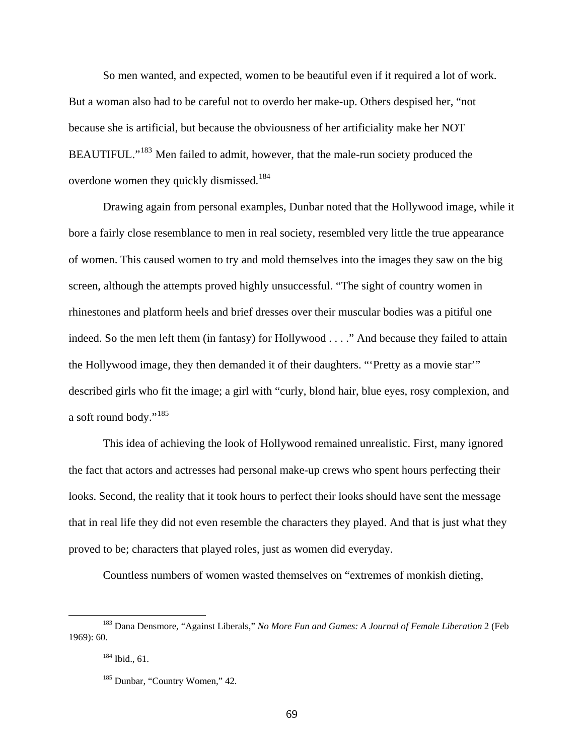So men wanted, and expected, women to be beautiful even if it required a lot of work. But a woman also had to be careful not to overdo her make-up. Others despised her, "not because she is artificial, but because the obviousness of her artificiality make her NOT BEAUTIFUL."<sup>[183](#page-69-0)</sup> Men failed to admit, however, that the male-run society produced the overdone women they quickly dismissed.<sup>[184](#page-69-1)</sup>

Drawing again from personal examples, Dunbar noted that the Hollywood image, while it bore a fairly close resemblance to men in real society, resembled very little the true appearance of women. This caused women to try and mold themselves into the images they saw on the big screen, although the attempts proved highly unsuccessful. "The sight of country women in rhinestones and platform heels and brief dresses over their muscular bodies was a pitiful one indeed. So the men left them (in fantasy) for Hollywood . . . ." And because they failed to attain the Hollywood image, they then demanded it of their daughters. "'Pretty as a movie star'" described girls who fit the image; a girl with "curly, blond hair, blue eyes, rosy complexion, and a soft round body."<sup>[185](#page-69-2)</sup>

This idea of achieving the look of Hollywood remained unrealistic. First, many ignored the fact that actors and actresses had personal make-up crews who spent hours perfecting their looks. Second, the reality that it took hours to perfect their looks should have sent the message that in real life they did not even resemble the characters they played. And that is just what they proved to be; characters that played roles, just as women did everyday.

Countless numbers of women wasted themselves on "extremes of monkish dieting,

<span id="page-69-2"></span><span id="page-69-1"></span><span id="page-69-0"></span> <sup>183</sup> Dana Densmore, "Against Liberals," *No More Fun and Games: A Journal of Female Liberation* 2 (Feb 1969): 60.

 $184$  Ibid., 61.

<sup>&</sup>lt;sup>185</sup> Dunbar, "Country Women," 42.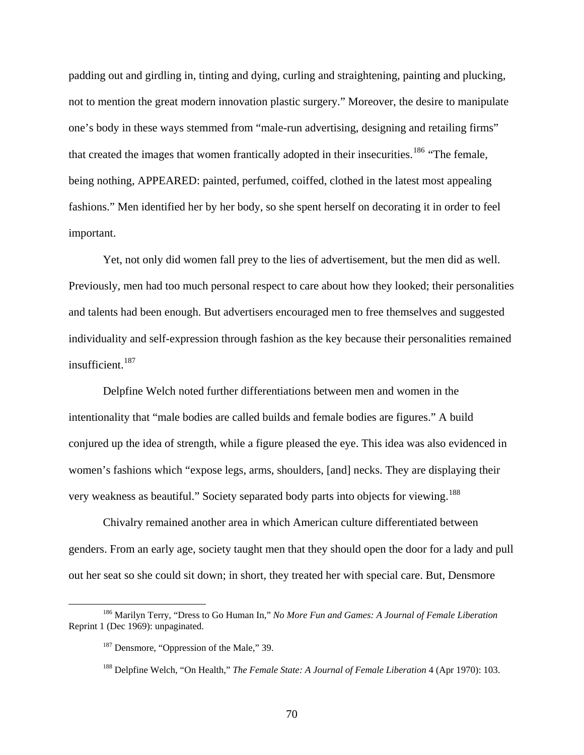padding out and girdling in, tinting and dying, curling and straightening, painting and plucking, not to mention the great modern innovation plastic surgery." Moreover, the desire to manipulate one's body in these ways stemmed from "male-run advertising, designing and retailing firms" that created the images that women frantically adopted in their insecurities.<sup>[186](#page-70-0)</sup> "The female, being nothing, APPEARED: painted, perfumed, coiffed, clothed in the latest most appealing fashions." Men identified her by her body, so she spent herself on decorating it in order to feel important.

Yet, not only did women fall prey to the lies of advertisement, but the men did as well. Previously, men had too much personal respect to care about how they looked; their personalities and talents had been enough. But advertisers encouraged men to free themselves and suggested individuality and self-expression through fashion as the key because their personalities remained insufficient.<sup>[187](#page-70-1)</sup>

Delpfine Welch noted further differentiations between men and women in the intentionality that "male bodies are called builds and female bodies are figures." A build conjured up the idea of strength, while a figure pleased the eye. This idea was also evidenced in women's fashions which "expose legs, arms, shoulders, [and] necks. They are displaying their very weakness as beautiful." Society separated body parts into objects for viewing.<sup>[188](#page-70-2)</sup>

Chivalry remained another area in which American culture differentiated between genders. From an early age, society taught men that they should open the door for a lady and pull out her seat so she could sit down; in short, they treated her with special care. But, Densmore

<span id="page-70-2"></span><span id="page-70-1"></span><span id="page-70-0"></span> <sup>186</sup> Marilyn Terry, "Dress to Go Human In," *No More Fun and Games: A Journal of Female Liberation*  Reprint 1 (Dec 1969): unpaginated.

<sup>&</sup>lt;sup>187</sup> Densmore, "Oppression of the Male," 39.

<sup>188</sup> Delpfine Welch, "On Health," *The Female State: A Journal of Female Liberation* 4 (Apr 1970): 103.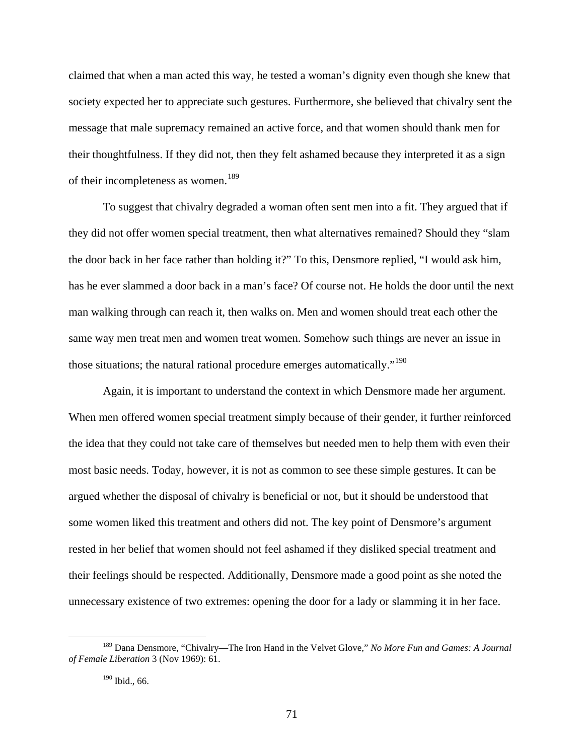claimed that when a man acted this way, he tested a woman's dignity even though she knew that society expected her to appreciate such gestures. Furthermore, she believed that chivalry sent the message that male supremacy remained an active force, and that women should thank men for their thoughtfulness. If they did not, then they felt ashamed because they interpreted it as a sign of their incompleteness as women.<sup>[189](#page-71-0)</sup>

To suggest that chivalry degraded a woman often sent men into a fit. They argued that if they did not offer women special treatment, then what alternatives remained? Should they "slam the door back in her face rather than holding it?" To this, Densmore replied, "I would ask him, has he ever slammed a door back in a man's face? Of course not. He holds the door until the next man walking through can reach it, then walks on. Men and women should treat each other the same way men treat men and women treat women. Somehow such things are never an issue in those situations; the natural rational procedure emerges automatically."<sup>[190](#page-71-1)</sup>

Again, it is important to understand the context in which Densmore made her argument. When men offered women special treatment simply because of their gender, it further reinforced the idea that they could not take care of themselves but needed men to help them with even their most basic needs. Today, however, it is not as common to see these simple gestures. It can be argued whether the disposal of chivalry is beneficial or not, but it should be understood that some women liked this treatment and others did not. The key point of Densmore's argument rested in her belief that women should not feel ashamed if they disliked special treatment and their feelings should be respected. Additionally, Densmore made a good point as she noted the unnecessary existence of two extremes: opening the door for a lady or slamming it in her face.

<span id="page-71-1"></span><span id="page-71-0"></span> <sup>189</sup> Dana Densmore, "Chivalry—The Iron Hand in the Velvet Glove," *No More Fun and Games: A Journal of Female Liberation* 3 (Nov 1969): 61.

<sup>190</sup> Ibid., 66.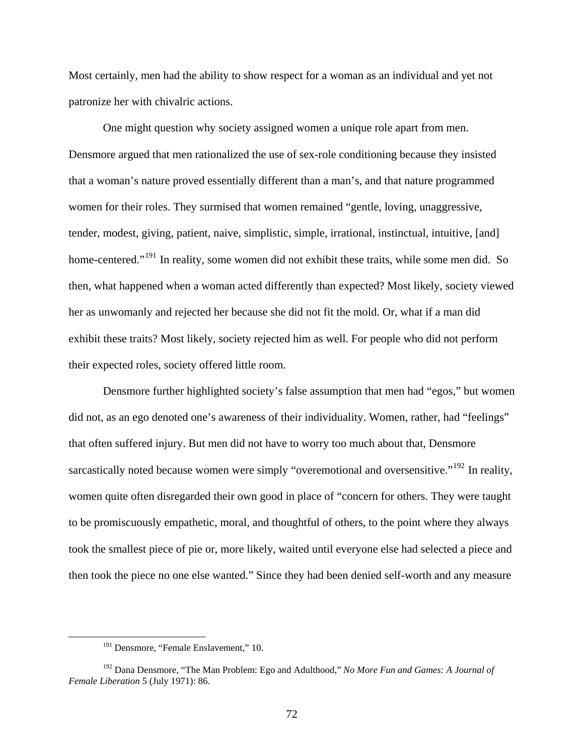Most certainly, men had the ability to show respect for a woman as an individual and yet not patronize her with chivalric actions.

One might question why society assigned women a unique role apart from men. Densmore argued that men rationalized the use of sex-role conditioning because they insisted that a woman's nature proved essentially different than a man's, and that nature programmed women for their roles. They surmised that women remained "gentle, loving, unaggressive, tender, modest, giving, patient, naive, simplistic, simple, irrational, instinctual, intuitive, [and] home-centered."<sup>[191](#page-72-0)</sup> In reality, some women did not exhibit these traits, while some men did. So then, what happened when a woman acted differently than expected? Most likely, society viewed her as unwomanly and rejected her because she did not fit the mold. Or, what if a man did exhibit these traits? Most likely, society rejected him as well. For people who did not perform their expected roles, society offered little room.

Densmore further highlighted society's false assumption that men had "egos," but women did not, as an ego denoted one's awareness of their individuality. Women, rather, had "feelings" that often suffered injury. But men did not have to worry too much about that, Densmore sarcastically noted because women were simply "overemotional and oversensitive."<sup>[192](#page-72-1)</sup> In reality, women quite often disregarded their own good in place of "concern for others. They were taught to be promiscuously empathetic, moral, and thoughtful of others, to the point where they always took the smallest piece of pie or, more likely, waited until everyone else had selected a piece and then took the piece no one else wanted." Since they had been denied self-worth and any measure

<sup>&</sup>lt;sup>191</sup> Densmore, "Female Enslavement," 10.

<span id="page-72-1"></span><span id="page-72-0"></span><sup>192</sup> Dana Densmore, "The Man Problem: Ego and Adulthood," *No More Fun and Games: A Journal of Female Liberation* 5 (July 1971): 86.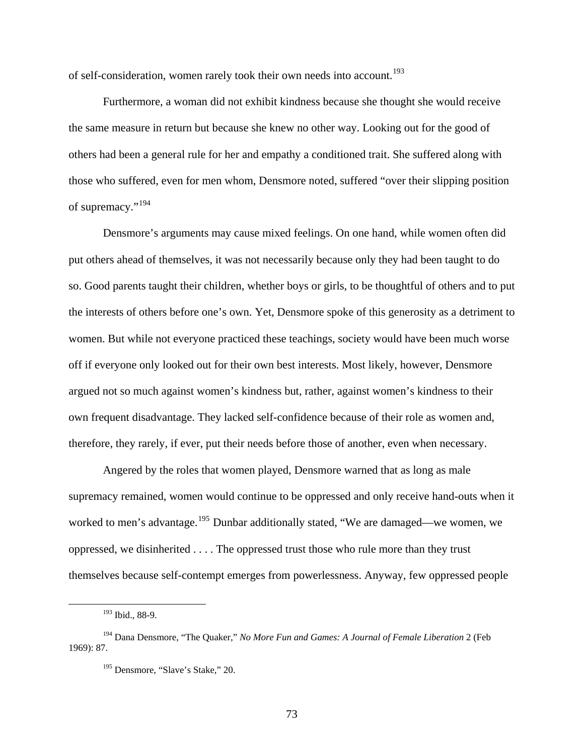of self-consideration, women rarely took their own needs into account.<sup>[193](#page-73-0)</sup>

Furthermore, a woman did not exhibit kindness because she thought she would receive the same measure in return but because she knew no other way. Looking out for the good of others had been a general rule for her and empathy a conditioned trait. She suffered along with those who suffered, even for men whom, Densmore noted, suffered "over their slipping position of supremacy."<sup>[194](#page-73-1)</sup>

Densmore's arguments may cause mixed feelings. On one hand, while women often did put others ahead of themselves, it was not necessarily because only they had been taught to do so. Good parents taught their children, whether boys or girls, to be thoughtful of others and to put the interests of others before one's own. Yet, Densmore spoke of this generosity as a detriment to women. But while not everyone practiced these teachings, society would have been much worse off if everyone only looked out for their own best interests. Most likely, however, Densmore argued not so much against women's kindness but, rather, against women's kindness to their own frequent disadvantage. They lacked self-confidence because of their role as women and, therefore, they rarely, if ever, put their needs before those of another, even when necessary.

Angered by the roles that women played, Densmore warned that as long as male supremacy remained, women would continue to be oppressed and only receive hand-outs when it worked to men's advantage.<sup>[195](#page-73-2)</sup> Dunbar additionally stated, "We are damaged—we women, we oppressed, we disinherited . . . . The oppressed trust those who rule more than they trust themselves because self-contempt emerges from powerlessness. Anyway, few oppressed people

 <sup>193</sup> Ibid., 88-9.

<span id="page-73-2"></span><span id="page-73-1"></span><span id="page-73-0"></span><sup>194</sup> Dana Densmore, "The Quaker," *No More Fun and Games: A Journal of Female Liberation* 2 (Feb 1969): 87.

<sup>&</sup>lt;sup>195</sup> Densmore, "Slave's Stake," 20.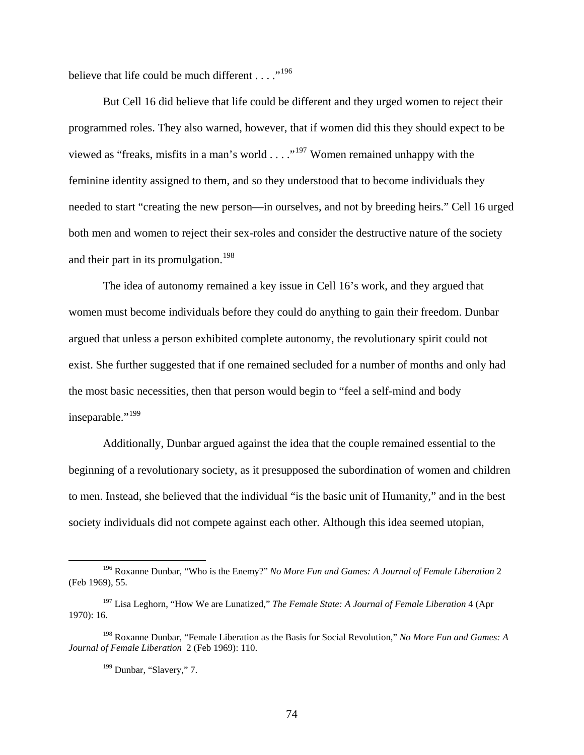believe that life could be much different  $\dots$ ."<sup>[196](#page-74-0)</sup>

But Cell 16 did believe that life could be different and they urged women to reject their programmed roles. They also warned, however, that if women did this they should expect to be viewed as "freaks, misfits in a man's world  $\dots$ ."<sup>[197](#page-74-1)</sup> Women remained unhappy with the feminine identity assigned to them, and so they understood that to become individuals they needed to start "creating the new person—in ourselves, and not by breeding heirs." Cell 16 urged both men and women to reject their sex-roles and consider the destructive nature of the society and their part in its promulgation.<sup>[198](#page-74-2)</sup>

The idea of autonomy remained a key issue in Cell 16's work, and they argued that women must become individuals before they could do anything to gain their freedom. Dunbar argued that unless a person exhibited complete autonomy, the revolutionary spirit could not exist. She further suggested that if one remained secluded for a number of months and only had the most basic necessities, then that person would begin to "feel a self-mind and body inseparable."<sup>[199](#page-74-3)</sup>

Additionally, Dunbar argued against the idea that the couple remained essential to the beginning of a revolutionary society, as it presupposed the subordination of women and children to men. Instead, she believed that the individual "is the basic unit of Humanity," and in the best society individuals did not compete against each other. Although this idea seemed utopian,

<span id="page-74-0"></span> <sup>196</sup> Roxanne Dunbar, "Who is the Enemy?" *No More Fun and Games: A Journal of Female Liberation* <sup>2</sup> (Feb 1969), 55.

<span id="page-74-1"></span><sup>197</sup> Lisa Leghorn, "How We are Lunatized," *The Female State: A Journal of Female Liberation* 4 (Apr 1970): 16.

<span id="page-74-3"></span><span id="page-74-2"></span><sup>198</sup> Roxanne Dunbar, "Female Liberation as the Basis for Social Revolution," *No More Fun and Games: A Journal of Female Liberation* 2 (Feb 1969): 110.

<sup>&</sup>lt;sup>199</sup> Dunbar, "Slavery," 7.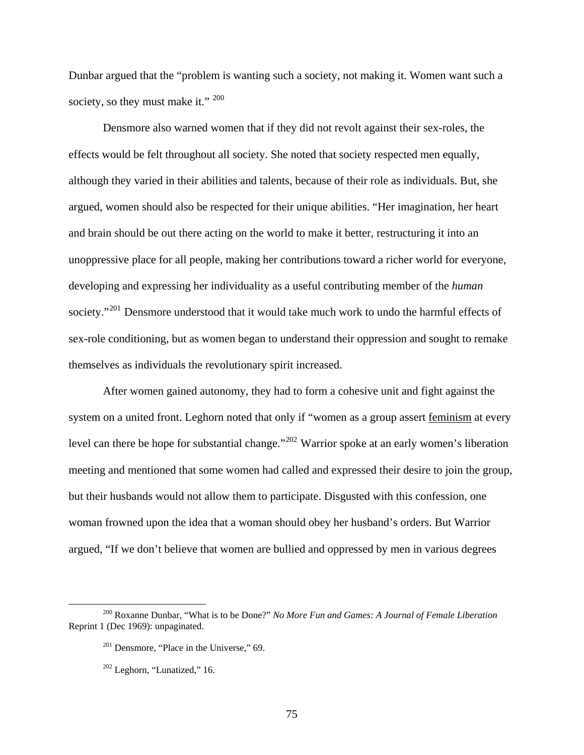Dunbar argued that the "problem is wanting such a society, not making it. Women want such a society, so they must make it." <sup>[200](#page-75-0)</sup>

Densmore also warned women that if they did not revolt against their sex-roles, the effects would be felt throughout all society. She noted that society respected men equally, although they varied in their abilities and talents, because of their role as individuals. But, she argued, women should also be respected for their unique abilities. "Her imagination, her heart and brain should be out there acting on the world to make it better, restructuring it into an unoppressive place for all people, making her contributions toward a richer world for everyone, developing and expressing her individuality as a useful contributing member of the *human*  society."<sup>[201](#page-75-1)</sup> Densmore understood that it would take much work to undo the harmful effects of sex-role conditioning, but as women began to understand their oppression and sought to remake themselves as individuals the revolutionary spirit increased.

After women gained autonomy, they had to form a cohesive unit and fight against the system on a united front. Leghorn noted that only if "women as a group assert feminism at every level can there be hope for substantial change."<sup>[202](#page-75-2)</sup> Warrior spoke at an early women's liberation meeting and mentioned that some women had called and expressed their desire to join the group, but their husbands would not allow them to participate. Disgusted with this confession, one woman frowned upon the idea that a woman should obey her husband's orders. But Warrior argued, "If we don't believe that women are bullied and oppressed by men in various degrees

<span id="page-75-2"></span><span id="page-75-1"></span><span id="page-75-0"></span> <sup>200</sup> Roxanne Dunbar, "What is to be Done?" *No More Fun and Games: A Journal of Female Liberation*  Reprint 1 (Dec 1969): unpaginated.

 $201$  Densmore, "Place in the Universe," 69.

 $202$  Leghorn, "Lunatized," 16.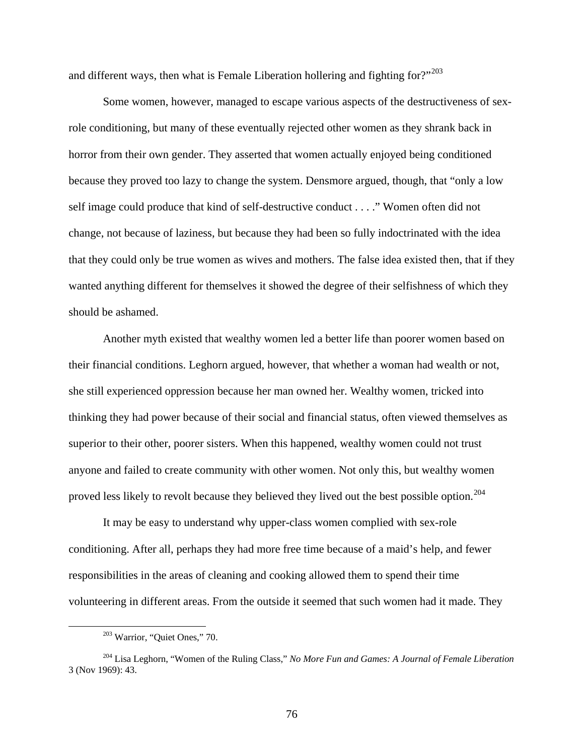and different ways, then what is Female Liberation hollering and fighting for?"<sup>[203](#page-76-0)</sup>

Some women, however, managed to escape various aspects of the destructiveness of sexrole conditioning, but many of these eventually rejected other women as they shrank back in horror from their own gender. They asserted that women actually enjoyed being conditioned because they proved too lazy to change the system. Densmore argued, though, that "only a low self image could produce that kind of self-destructive conduct . . . ." Women often did not change, not because of laziness, but because they had been so fully indoctrinated with the idea that they could only be true women as wives and mothers. The false idea existed then, that if they wanted anything different for themselves it showed the degree of their selfishness of which they should be ashamed.

Another myth existed that wealthy women led a better life than poorer women based on their financial conditions. Leghorn argued, however, that whether a woman had wealth or not, she still experienced oppression because her man owned her. Wealthy women, tricked into thinking they had power because of their social and financial status, often viewed themselves as superior to their other, poorer sisters. When this happened, wealthy women could not trust anyone and failed to create community with other women. Not only this, but wealthy women proved less likely to revolt because they believed they lived out the best possible option.<sup>[204](#page-76-1)</sup>

It may be easy to understand why upper-class women complied with sex-role conditioning. After all, perhaps they had more free time because of a maid's help, and fewer responsibilities in the areas of cleaning and cooking allowed them to spend their time volunteering in different areas. From the outside it seemed that such women had it made. They

 <sup>203</sup> Warrior, "Quiet Ones," 70.

<span id="page-76-1"></span><span id="page-76-0"></span><sup>204</sup> Lisa Leghorn, "Women of the Ruling Class," *No More Fun and Games: A Journal of Female Liberation*  3 (Nov 1969): 43.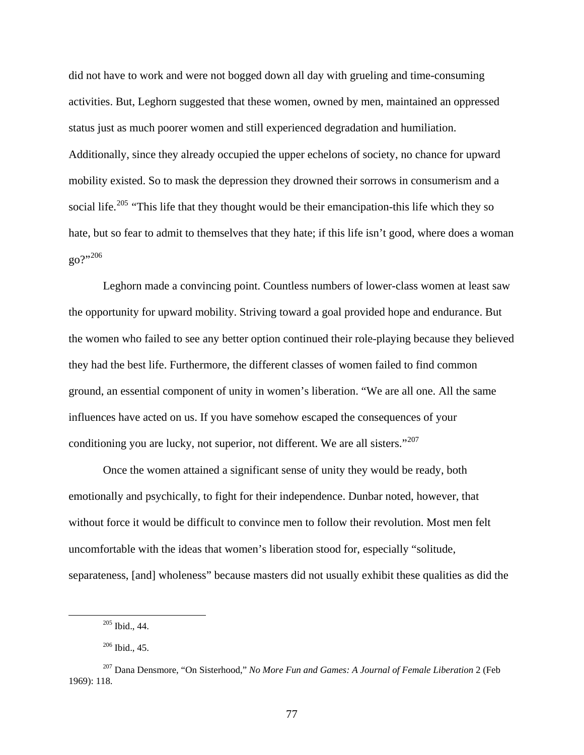did not have to work and were not bogged down all day with grueling and time-consuming activities. But, Leghorn suggested that these women, owned by men, maintained an oppressed status just as much poorer women and still experienced degradation and humiliation. Additionally, since they already occupied the upper echelons of society, no chance for upward mobility existed. So to mask the depression they drowned their sorrows in consumerism and a social life.<sup>[205](#page-77-0)</sup> "This life that they thought would be their emancipation-this life which they so hate, but so fear to admit to themselves that they hate; if this life isn't good, where does a woman go?"[206](#page-77-1)

Leghorn made a convincing point. Countless numbers of lower-class women at least saw the opportunity for upward mobility. Striving toward a goal provided hope and endurance. But the women who failed to see any better option continued their role-playing because they believed they had the best life. Furthermore, the different classes of women failed to find common ground, an essential component of unity in women's liberation. "We are all one. All the same influences have acted on us. If you have somehow escaped the consequences of your conditioning you are lucky, not superior, not different. We are all sisters." $207$ 

Once the women attained a significant sense of unity they would be ready, both emotionally and psychically, to fight for their independence. Dunbar noted, however, that without force it would be difficult to convince men to follow their revolution. Most men felt uncomfortable with the ideas that women's liberation stood for, especially "solitude, separateness, [and] wholeness" because masters did not usually exhibit these qualities as did the

 <sup>205</sup> Ibid., 44.

 $206$  Ibid., 45.

<span id="page-77-2"></span><span id="page-77-1"></span><span id="page-77-0"></span><sup>207</sup> Dana Densmore, "On Sisterhood," *No More Fun and Games: A Journal of Female Liberation* 2 (Feb 1969): 118.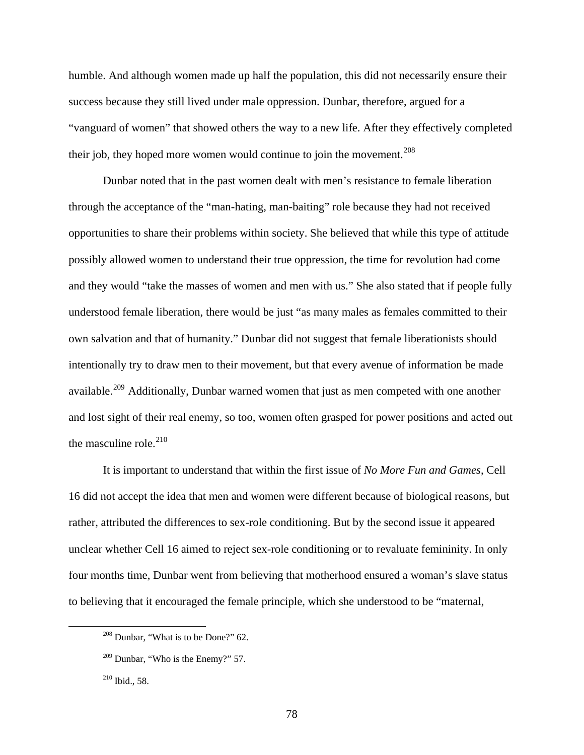humble. And although women made up half the population, this did not necessarily ensure their success because they still lived under male oppression. Dunbar, therefore, argued for a "vanguard of women" that showed others the way to a new life. After they effectively completed their job, they hoped more women would continue to join the movement.<sup>[208](#page-78-0)</sup>

Dunbar noted that in the past women dealt with men's resistance to female liberation through the acceptance of the "man-hating, man-baiting" role because they had not received opportunities to share their problems within society. She believed that while this type of attitude possibly allowed women to understand their true oppression, the time for revolution had come and they would "take the masses of women and men with us." She also stated that if people fully understood female liberation, there would be just "as many males as females committed to their own salvation and that of humanity." Dunbar did not suggest that female liberationists should intentionally try to draw men to their movement, but that every avenue of information be made available.<sup>[209](#page-78-1)</sup> Additionally, Dunbar warned women that just as men competed with one another and lost sight of their real enemy, so too, women often grasped for power positions and acted out the masculine role. $210$ 

It is important to understand that within the first issue of *No More Fun and Games*, Cell 16 did not accept the idea that men and women were different because of biological reasons, but rather, attributed the differences to sex-role conditioning. But by the second issue it appeared unclear whether Cell 16 aimed to reject sex-role conditioning or to revaluate femininity. In only four months time, Dunbar went from believing that motherhood ensured a woman's slave status to believing that it encouraged the female principle, which she understood to be "maternal,

<span id="page-78-0"></span> <sup>208</sup> Dunbar, "What is to be Done?" 62.

<span id="page-78-1"></span> $209$  Dunbar, "Who is the Enemy?" 57.

<span id="page-78-2"></span><sup>210</sup> Ibid., 58.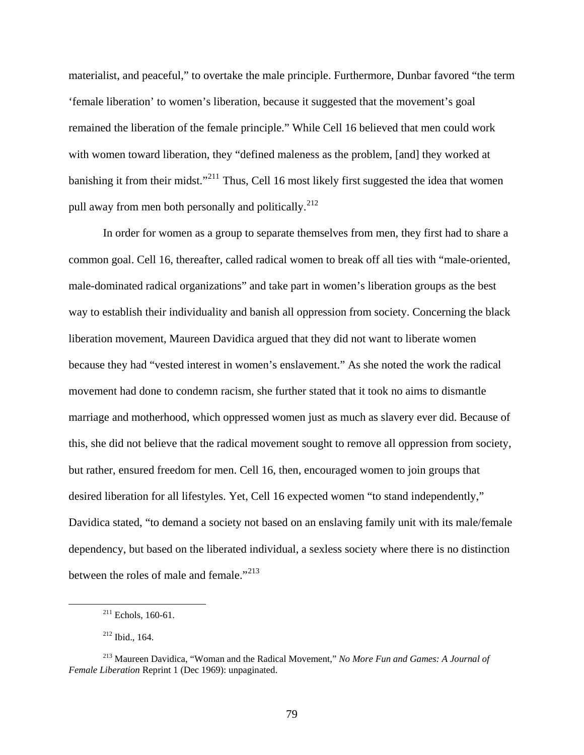materialist, and peaceful," to overtake the male principle. Furthermore, Dunbar favored "the term 'female liberation' to women's liberation, because it suggested that the movement's goal remained the liberation of the female principle." While Cell 16 believed that men could work with women toward liberation, they "defined maleness as the problem, [and] they worked at banishing it from their midst."<sup>[211](#page-79-0)</sup> Thus, Cell 16 most likely first suggested the idea that women pull away from men both personally and politically.<sup>[212](#page-79-1)</sup>

In order for women as a group to separate themselves from men, they first had to share a common goal. Cell 16, thereafter, called radical women to break off all ties with "male-oriented, male-dominated radical organizations" and take part in women's liberation groups as the best way to establish their individuality and banish all oppression from society. Concerning the black liberation movement, Maureen Davidica argued that they did not want to liberate women because they had "vested interest in women's enslavement." As she noted the work the radical movement had done to condemn racism, she further stated that it took no aims to dismantle marriage and motherhood, which oppressed women just as much as slavery ever did. Because of this, she did not believe that the radical movement sought to remove all oppression from society, but rather, ensured freedom for men. Cell 16, then, encouraged women to join groups that desired liberation for all lifestyles. Yet, Cell 16 expected women "to stand independently," Davidica stated, "to demand a society not based on an enslaving family unit with its male/female dependency, but based on the liberated individual, a sexless society where there is no distinction between the roles of male and female."<sup>[213](#page-79-2)</sup>

 $211$  Echols, 160-61.

<sup>212</sup> Ibid., 164.

<span id="page-79-2"></span><span id="page-79-1"></span><span id="page-79-0"></span><sup>213</sup> Maureen Davidica, "Woman and the Radical Movement," *No More Fun and Games: A Journal of Female Liberation* Reprint 1 (Dec 1969): unpaginated.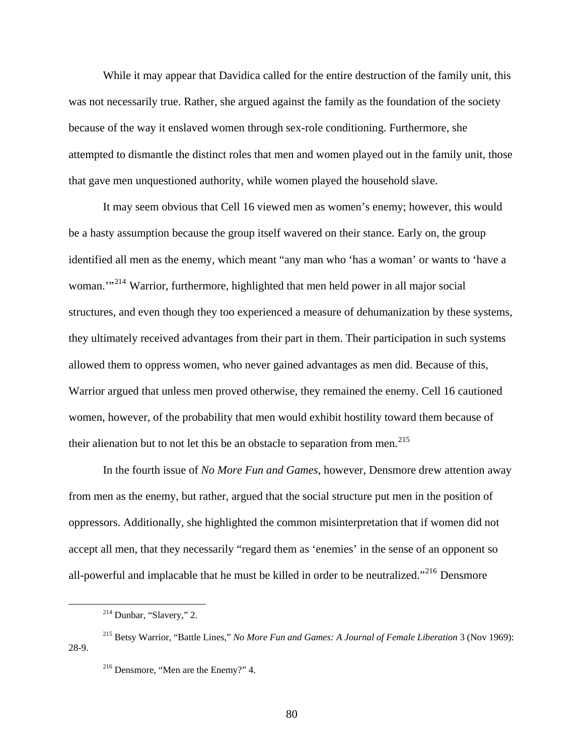While it may appear that Davidica called for the entire destruction of the family unit, this was not necessarily true. Rather, she argued against the family as the foundation of the society because of the way it enslaved women through sex-role conditioning. Furthermore, she attempted to dismantle the distinct roles that men and women played out in the family unit, those that gave men unquestioned authority, while women played the household slave.

It may seem obvious that Cell 16 viewed men as women's enemy; however, this would be a hasty assumption because the group itself wavered on their stance. Early on, the group identified all men as the enemy, which meant "any man who 'has a woman' or wants to 'have a woman."<sup>[214](#page-80-0)</sup> Warrior, furthermore, highlighted that men held power in all major social structures, and even though they too experienced a measure of dehumanization by these syst ems, they ultimately received advantages from their part in them. Their participation in such syst ems allowed them to oppress women, who never gained advantages as men did. Because of this, Warrior argued that unless men proved otherwise, they remained the enemy. Cell 16 cautioned women, however, of the probability that men would exhibit hostility toward them because of their alienation but to not let this be an obstacle to separation from men.<sup>[215](#page-80-1)</sup>

In the fourth issue of *No More Fun and Games*, however, Densmore drew attention away from men as the enemy, but rather, argued that the social structure put men in the position of oppressors. Additionally, she highlighted the common misinterpretation that if women did not accept all men, that they necessarily "regard them as 'enemies' in the sense of an opponent so all-powerful and implacable that he must be killed in order to be neutralized."<sup>[216](#page-80-2)</sup> Densmore

<span id="page-80-0"></span> $\overline{a}$ 

<sup>&</sup>lt;sup>214</sup> Dunbar, "Slavery," 2.

<span id="page-80-2"></span><span id="page-80-1"></span><sup>215</sup> Betsy Warrior, "Battle Lines," *No More Fun and Games: A Journal of Female Liberation* 3 (Nov 1969): 28-9.

<sup>216</sup> Densmore, "Men are the Enemy?" 4.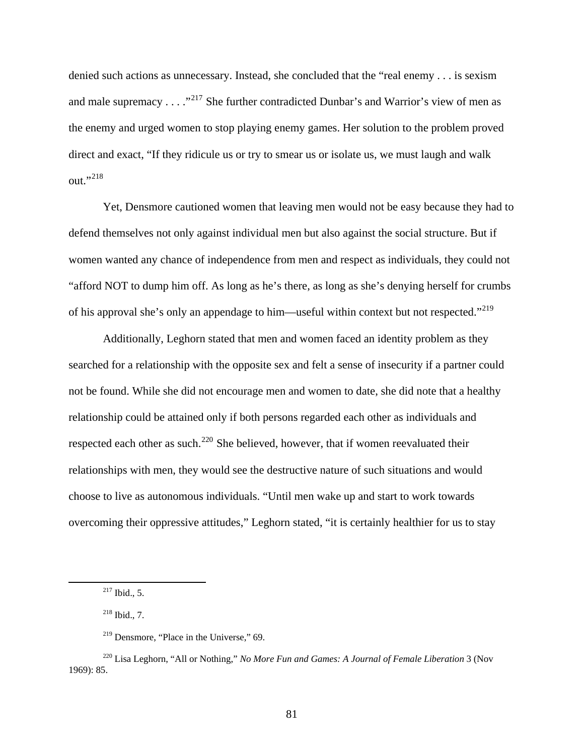denied such actions as unnecessary. Instead, she concluded that the "real enemy . . . is sexism and male supremacy  $\dots$   $\cdot$   $\cdot$   $\cdot$   $\cdot$  She further contradicted Dunbar's and Warrior's view of men as the enemy and urged women to stop playing enemy games. Her solution to the problem proved direct and exact, "If they ridicule us or try to smear us or isolate us, we must laugh and walk out."<sup>[218](#page-81-1)</sup>

Yet, Densmore cautioned women that leaving men would not be easy because they had to defend themselves not only against individual men but also against the social structure. But if women wanted any chance of independence from men and respect as individuals, they could not "afford NOT to dump him off. As long as he's there, as long as she's denying herself for crumbs of his approval she's only an appendage to him—useful within context but not respected."<sup>[219](#page-81-2)</sup>

Additionally, Leghorn stated that men and women faced an identity problem as they searched for a relationship with the opposite sex and felt a sense of insecurity if a partner could not be found. While she did not encourage men and women to date, she did note that a healthy relationship could be attained only if both persons regarded each other as individuals and respected each other as such.<sup>[220](#page-81-3)</sup> She believed, however, that if women reevaluated their relationships with men, they would see the destructive nature of such situations and would choose to live as autonomous individuals. "Until men wake up and start to work towards overcoming their oppressive attitudes," Leghorn stated, "it is certainly healthier for us to stay

 <sup>217</sup> Ibid., 5.

<sup>218</sup> Ibid., 7.

<sup>&</sup>lt;sup>219</sup> Densmore, "Place in the Universe," 69.

<span id="page-81-3"></span><span id="page-81-2"></span><span id="page-81-1"></span><span id="page-81-0"></span><sup>220</sup> Lisa Leghorn, "All or Nothing," *No More Fun and Games: A Journal of Female Liberation* 3 (Nov 1969): 85.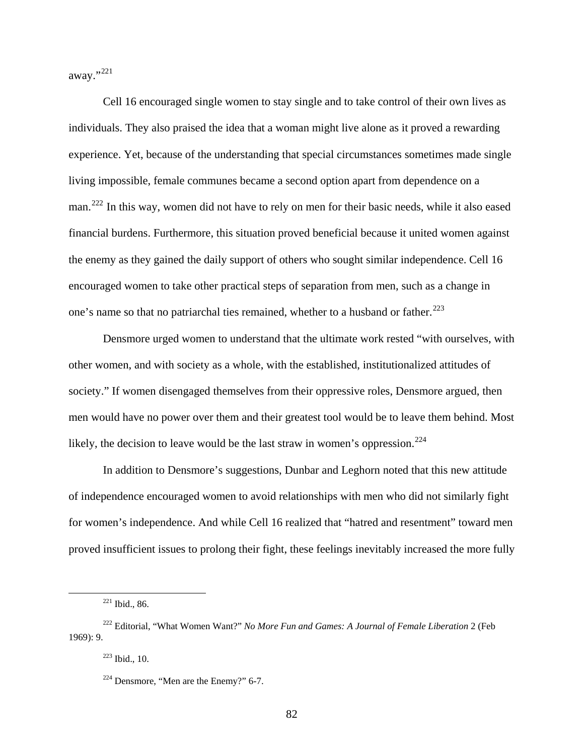away."[221](#page-82-0)

Cell 16 encouraged single women to stay single and to take control of their own lives as individuals. They also praised the idea that a woman might live alone as it proved a rewarding experience. Yet, because of the understanding that special circumstances sometimes made single living impossible, female communes became a second option apart from dependence on a man.<sup>[222](#page-82-1)</sup> In this way, women did not have to rely on men for their basic needs, while it also eased financial burdens. Furthermore, this situation proved beneficial because it united women against the enemy as they gained the daily support of others who sought similar independence. Cell 16 encouraged women to take other practical steps of separation from men, such as a change in one's name so that no patriarchal ties remained, whether to a husband or father.<sup>[223](#page-82-2)</sup>

Densmore urged women to understand that the ultimate work rested "with ourselves, with other women, and with society as a whole, with the established, institutionalized attitudes of society." If women disengaged themselves from their oppressive roles, Densmore argued, then men would have no power over them and their greatest tool would be to leave them behind. Most likely, the decision to leave would be the last straw in women's oppression.<sup>[224](#page-82-3)</sup>

In addition to Densmore's suggestions, Dunbar and Leghorn noted that this new attitude of independence encouraged women to avoid relationships with men who did not similarly fight for women's independence. And while Cell 16 realized that "hatred and resentment" toward men proved insufficient issues to prolong their fight, these feelings inevitably increased the more fully

 <sup>221</sup> Ibid., 86.

<span id="page-82-3"></span><span id="page-82-2"></span><span id="page-82-1"></span><span id="page-82-0"></span><sup>222</sup> Editorial, "What Women Want?" *No More Fun and Games: A Journal of Female Liberation* 2 (Feb 1969): 9.

<sup>223</sup> Ibid., 10.

 $224$  Densmore, "Men are the Enemy?" 6-7.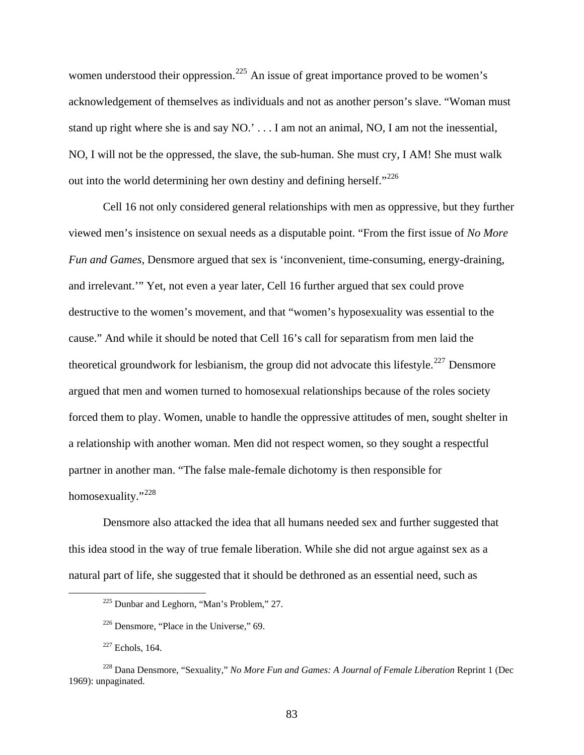women understood their oppression.<sup>[225](#page-83-0)</sup> An issue of great importance proved to be women's acknowledgement of themselves as individuals and not as another person's slave. "Woman must stand up right where she is and say NO.' . . . I am not an animal, NO, I am not the inessential, NO, I will not be the oppressed, the slave, the sub-human. She must cry, I AM! She must walk out into the world determining her own destiny and defining herself."<sup>[226](#page-83-1)</sup>

Cell 16 not only considered general relationships with men as oppressive, but they further viewed men's insistence on sexual needs as a disputable point. "From the first issue of *No More Fun and Games*, Densmore argued that sex is 'inconvenient, time-consuming, energy-draining, and irrelevant.'" Yet, not even a year later, Cell 16 further argued that sex could prove destructive to the women's movement, and that "women's hyposexuality was essential to the cause." And while it should be noted that Cell 16's call for separatism from men laid the theoretical groundwork for lesbianism, the group did not advocate this lifestyle.<sup>[227](#page-83-2)</sup> Densmore argued that men and women turned to homosexual relationships because of the roles society forced them to play. Women, unable to handle the oppressive attitudes of men, sought shelter in a relationship with another woman. Men did not respect women, so they sought a respectful partner in another man. "The false male-female dichotomy is then responsible for homosexuality."<sup>[228](#page-83-3)</sup>

Densmore also attacked the idea that all humans needed sex and further suggested that this idea stood in the way of true female liberation. While she did not argue against sex as a natural part of life, she suggested that it should be dethroned as an essential need, such as

83

 <sup>225</sup> Dunbar and Leghorn, "Man's Problem," 27.

 $226$  Densmore, "Place in the Universe," 69.

 $227$  Echols, 164.

<span id="page-83-3"></span><span id="page-83-2"></span><span id="page-83-1"></span><span id="page-83-0"></span><sup>228</sup> Dana Densmore, "Sexuality," *No More Fun and Games: A Journal of Female Liberation* Reprint 1 (Dec 1969): unpaginated.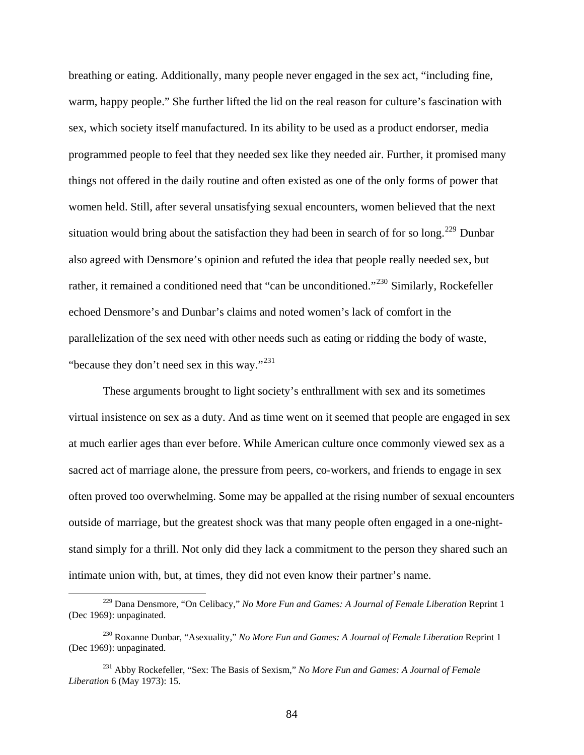breathing or eating. Additionally, many people never engaged in the sex act, "including fine, warm, happy people." She further lifted the lid on the real reason for culture's fascination with sex, which society itself manufactured. In its ability to be used as a product endorser, media programmed people to feel that they needed sex like they needed air. Further, it promised many things not offered in the daily routine and often existed as one of the only forms of power that women held. Still, after several unsatisfying sexual encounters, women believed that the next situation would bring about the satisfaction they had been in search of for so long.<sup>[229](#page-84-0)</sup> Dunbar also agreed with Densmore's opinion and refuted the idea that people really needed sex, but rather, it remained a conditioned need that "can be unconditioned."<sup>[230](#page-84-1)</sup> Similarly, Rockefeller echoed Densmore's and Dunbar's claims and noted women's lack of comfort in the parallelization of the sex need with other needs such as eating or ridding the body of waste, "because they don't need sex in this way."<sup>231</sup>

These arguments brought to light society's enthrallment with sex and its sometimes virtual insistence on sex as a duty. And as time went on it seemed that people are engaged in sex at much earlier ages than ever before. While American culture once commonly viewed sex as a sacred act of marriage alone, the pressure from peers, co-workers, and friends to engage in sex often proved too overwhelming. Some may be appalled at the rising number of sexual encounters outside of marriage, but the greatest shock was that many people often engaged in a one-nightstand simply for a thrill. Not only did they lack a commitment to the person they shared such an intimate union with, but, at times, they did not even know their partner's name.

1

<span id="page-84-0"></span><sup>229</sup> Dana Densmore, "On Celibacy," *No More Fun and Games: A Journal of Female Liberation* Reprint 1 (Dec 1969): unpaginated.

<span id="page-84-1"></span><sup>230</sup> Roxanne Dunbar, "Asexuality," *No More Fun and Games: A Journal of Female Liberation* Reprint 1 (Dec 1969): unpaginated.

<sup>231</sup> Abby Rockefeller, "Sex: The Basis of Sexism," *No More Fun and Games: A Journal of Female Liberation* 6 (May 1973): 15.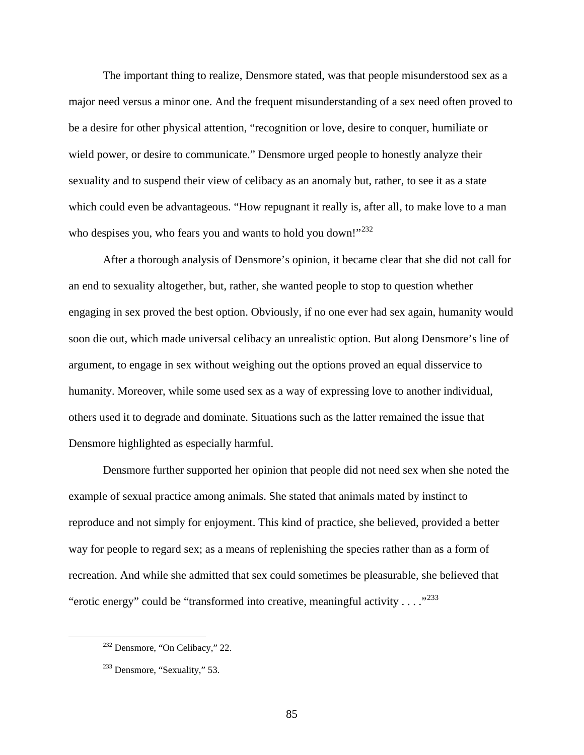The important thing to realize, Densmore stated, was that people misunderstood sex as a major need versus a minor one. And the frequent misunderstanding of a sex need often proved to be a desire for other physical attention, "recognition or love, desire to conquer, humiliate or wield power, or desire to communicate." Densmore urged people to honestly analyze their sexuality and to suspend their view of celibacy as an anomaly but, rather, to see it as a state which could even be advantageous. "How repugnant it really is, after all, to make love to a man who despises you, who fears you and wants to hold you down!" $^{232}$  $^{232}$  $^{232}$ 

After a thorough analysis of Densmore's opinion, it became clear that she did not call for an end to sexuality altogether, but, rather, she wanted people to stop to question whether engaging in sex proved the best option. Obviously, if no one ever had sex again, humanity would soon die out, which made universal celibacy an unrealistic option. But along Densmore's line of argument, to engage in sex without weighing out the options proved an equal disservice to humanity. Moreover, while some used sex as a way of expressing love to another individual, others used it to degrade and dominate. Situations such as the latter remained the issue that Densmore highlighted as especially harmful.

Densmore further supported her opinion that people did not need sex when she noted the example of sexual practice among animals. She stated that animals mated by instinct to reproduce and not simply for enjoyment. This kind of practice, she believed, provided a better way for people to regard sex; as a means of replenishing the species rather than as a form of recreation. And while she admitted that sex could sometimes be pleasurable, she believed that "erotic energy" could be "transformed into creative, meaningful activity . . . ."[233](#page-85-1)

<span id="page-85-0"></span> <sup>232</sup> Densmore, "On Celibacy," 22.

<span id="page-85-1"></span><sup>&</sup>lt;sup>233</sup> Densmore, "Sexuality," 53.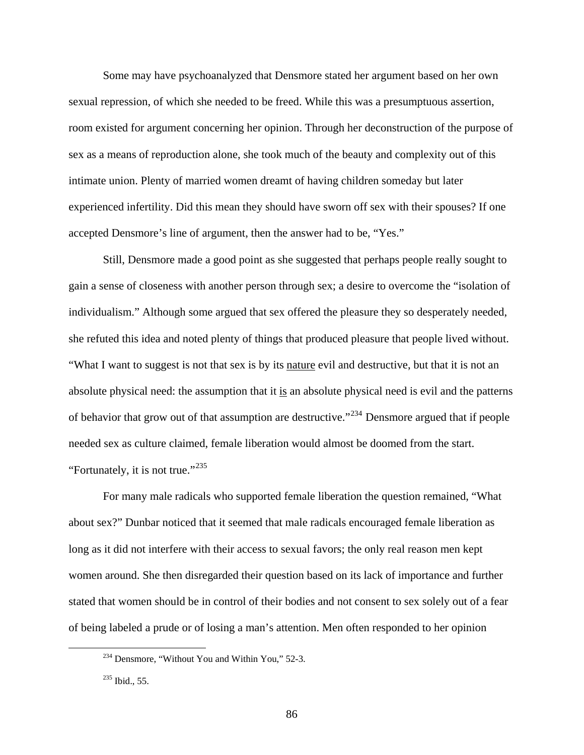Some may have psychoanalyzed that Densmore stated her argument based on her own sexual repression, of which she needed to be freed. While this was a presumptuous assertion, room existed for argument concerning her opinion. Through her deconstruction of the purpose of sex as a means of reproduction alone, she took much of the beauty and complexity out of this intimate union. Plenty of married women dreamt of having children someday but later experienced infertility. Did this mean they should have sworn off sex with their spouses? If one accepted Densmore's line of argument, then the answer had to be, "Yes."

Still, Densmore made a good point as she suggested that perhaps people really sought to gain a sense of closeness with another person through sex; a desire to overcome the "isolation of individualism." Although some argued that sex offered the pleasure they so desperately needed, she refuted this idea and noted plenty of things that produced pleasure that people lived without. "What I want to suggest is not that sex is by its nature evil and destructive, but that it is not an absolute physical need: the assumption that it is an absolute physical need is evil and the patterns of behavior that grow out of that assumption are destructive."[234](#page-86-0) Densmore argued that if people needed sex as culture claimed, female liberation would almost be doomed from the start. "Fortunately, it is not true."<sup>[235](#page-86-1)</sup>

For many male radicals who supported female liberation the question remained, "What about sex?" Dunbar noticed that it seemed that male radicals encouraged female liberation as long as it did not interfere with their access to sexual favors; the only real reason men kept women around. She then disregarded their question based on its lack of importance and further stated that women should be in control of their bodies and not consent to sex solely out of a fear of being labeled a prude or of losing a man's attention. Men often responded to her opinion

<span id="page-86-0"></span><sup>&</sup>lt;sup>234</sup> Densmore, "Without You and Within You," 52-3.

<span id="page-86-1"></span><sup>&</sup>lt;sup>235</sup> Ibid., 55.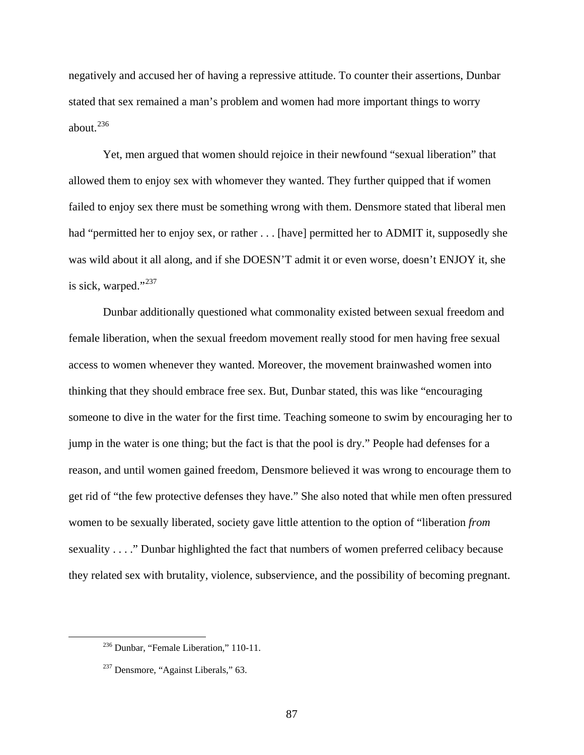negatively and accused her of having a repressive attitude. To counter their assertions, Dunbar stated that sex remained a man's problem and women had more important things to worry about. $236$ 

Yet, men argued that women should rejoice in their newfound "sexual liberation" that allowed them to enjoy sex with whomever they wanted. They further quipped that if women failed to enjoy sex there must be something wrong with them. Densmore stated that liberal men had "permitted her to enjoy sex, or rather . . . [have] permitted her to ADMIT it, supposedly she was wild about it all along, and if she DOESN'T admit it or even worse, doesn't ENJOY it, she is sick, warped."<sup>[237](#page-87-1)</sup>

Dunbar additionally questioned what commonality existed between sexual freedom and female liberation, when the sexual freedom movement really stood for men having free sexual access to women whenever they wanted. Moreover, the movement brainwashed women into thinking that they should embrace free sex. But, Dunbar stated, this was like "encouraging someone to dive in the water for the first time. Teaching someone to swim by encouraging her to jump in the water is one thing; but the fact is that the pool is dry." People had defenses for a reason, and until women gained freedom, Densmore believed it was wrong to encourage them to get rid of "the few protective defenses they have." She also noted that while men often pressured women to be sexually liberated, society gave little attention to the option of "liberation *from*  sexuality . . . ." Dunbar highlighted the fact that numbers of women preferred celibacy because they related sex with brutality, violence, subservience, and the possibility of becoming pregnant.

<span id="page-87-0"></span> <sup>236</sup> Dunbar, "Female Liberation," 110-11.

<span id="page-87-1"></span><sup>&</sup>lt;sup>237</sup> Densmore, "Against Liberals," 63.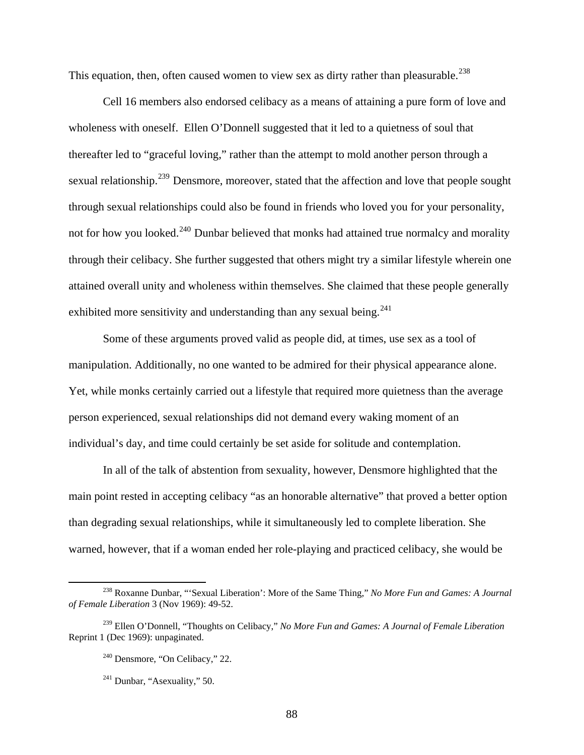This equation, then, often caused women to view sex as dirty rather than pleasurable.<sup>[238](#page-88-0)</sup>

Cell 16 members also endorsed celibacy as a means of attaining a pure form of love and wholeness with oneself. Ellen O'Donnell suggested that it led to a quietness of soul that thereafter led to "graceful loving," rather than the attempt to mold another person through a sexual relationship.<sup>[239](#page-88-1)</sup> Densmore, moreover, stated that the affection and love that people sought through sexual relationships could also be found in friends who loved you for your personality, not for how you looked.<sup>[240](#page-88-2)</sup> Dunbar believed that monks had attained true normalcy and morality through their celibacy. She further suggested that others might try a similar lifestyle wherein one attained overall unity and wholeness within themselves. She claimed that these people generally exhibited more sensitivity and understanding than any sexual being.  $241$ 

Some of these arguments proved valid as people did, at times, use sex as a tool of manipulation. Additionally, no one wanted to be admired for their physical appearance alone. Yet, while monks certainly carried out a lifestyle that required more quietness than the average person experienced, sexual relationships did not demand every waking moment of an individual's day, and time could certainly be set aside for solitude and contemplation.

In all of the talk of abstention from sexuality, however, Densmore highlighted that the main point rested in accepting celibacy "as an honorable alternative" that proved a better option than degrading sexual relationships, while it simultaneously led to complete liberation. She warned, however, that if a woman ended her role-playing and practiced celibacy, she would be

<span id="page-88-0"></span> <sup>238</sup> Roxanne Dunbar, "'Sexual Liberation': More of the Same Thing," *No More Fun and Games: A Journal of Female Liberation* 3 (Nov 1969): 49-52.

<span id="page-88-3"></span><span id="page-88-2"></span><span id="page-88-1"></span><sup>239</sup> Ellen O'Donnell, "Thoughts on Celibacy," *No More Fun and Games: A Journal of Female Liberation*  Reprint 1 (Dec 1969): unpaginated.

<sup>240</sup> Densmore, "On Celibacy," 22.

 $241$  Dunbar, "Asexuality," 50.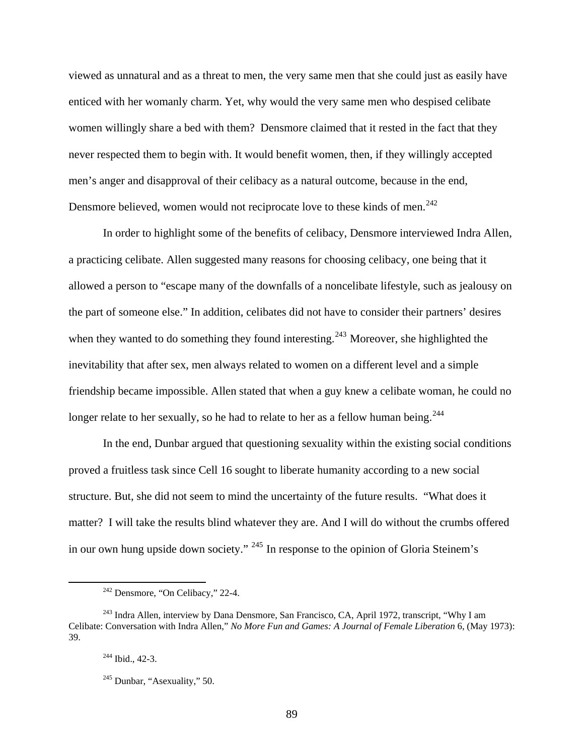viewed as unnatural and as a threat to men, the very same men that she could just as easily have enticed with her womanly charm. Yet, why would the very same men who despised celibate women willingly share a bed with them? Densmore claimed that it rested in the fact that they never respected them to begin with. It would benefit women, then, if they willingly accepted men's anger and disapproval of their celibacy as a natural outcome, because in the end, Densmore believed, women would not reciprocate love to these kinds of men.<sup>[242](#page-89-0)</sup>

In order to highlight some of the benefits of celibacy, Densmore interviewed Indra Allen, a practicing celibate. Allen suggested many reasons for choosing celibacy, one being that it allowed a person to "escape many of the downfalls of a noncelibate lifestyle, such as jealousy on the part of someone else." In addition, celibates did not have to consider their partners' desires when they wanted to do something they found interesting.<sup>[243](#page-89-1)</sup> Moreover, she highlighted the inevitability that after sex, men always related to women on a different level and a simple friendship became impossible. Allen stated that when a guy knew a celibate woman, he could no longer relate to her sexually, so he had to relate to her as a fellow human being.<sup>[244](#page-89-2)</sup>

In the end, Dunbar argued that questioning sexuality within the existing social conditions proved a fruitless task since Cell 16 sought to liberate humanity according to a new social structure. But, she did not seem to mind the uncertainty of the future results. "What does it matter? I will take the results blind whatever they are. And I will do without the crumbs offered in our own hung upside down society." [245](#page-89-3) In response to the opinion of Gloria Steinem's

 <sup>242</sup> Densmore, "On Celibacy," 22-4.

<span id="page-89-3"></span><span id="page-89-2"></span><span id="page-89-1"></span><span id="page-89-0"></span><sup>&</sup>lt;sup>243</sup> Indra Allen, interview by Dana Densmore, San Francisco, CA, April 1972, transcript, "Why I am Celibate: Conversation with Indra Allen," *No More Fun and Games: A Journal of Female Liberation* 6, (May 1973): 39.

<sup>&</sup>lt;sup>244</sup> Ibid., 42-3.

 $245$  Dunbar, "Asexuality," 50.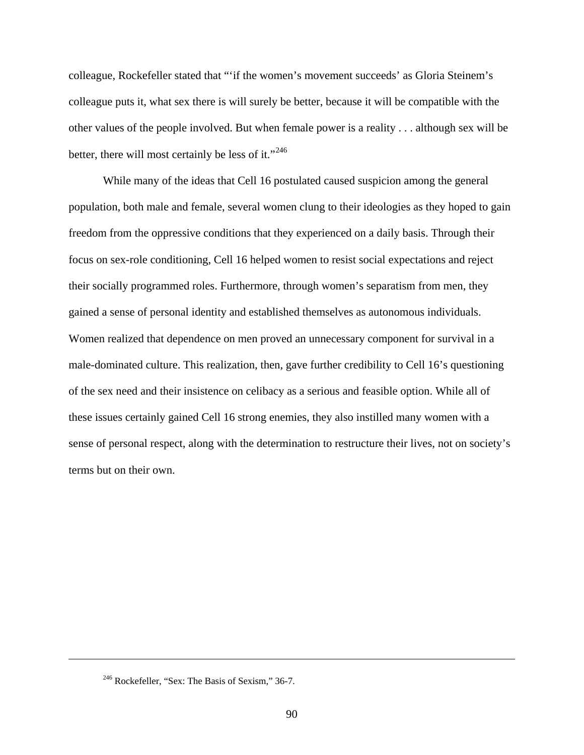colleague, Rockefeller stated that "'if the women's movement succeeds' as Gloria Steinem's colleague puts it, what sex there is will surely be better, because it will be compatible with the other values of the people involved. But when female power is a reality . . . although sex will be better, there will most certainly be less of it."<sup>[246](#page-90-0)</sup>

While many of the ideas that Cell 16 postulated caused suspicion among the general population, both male and female, several women clung to their ideologies as they hoped to gain freedom from the oppressive conditions that they experienced on a daily basis. Through their focus on sex-role conditioning, Cell 16 helped women to resist social expectations and reject their socially programmed roles. Furthermore, through women's separatism from men, they gained a sense of personal identity and established themselves as autonomous individuals. Women realized that dependence on men proved an unnecessary component for survival in a male-dominated culture. This realization, then, gave further credibility to Cell 16's questioning of the sex need and their insistence on celibacy as a serious and feasible option. While all of these issues certainly gained Cell 16 strong enemies, they also instilled many women with a sense of personal respect, along with the determination to restructure their lives, not on society's terms but on their own.

<span id="page-90-0"></span> $\overline{a}$ 

<sup>&</sup>lt;sup>246</sup> Rockefeller, "Sex: The Basis of Sexism," 36-7.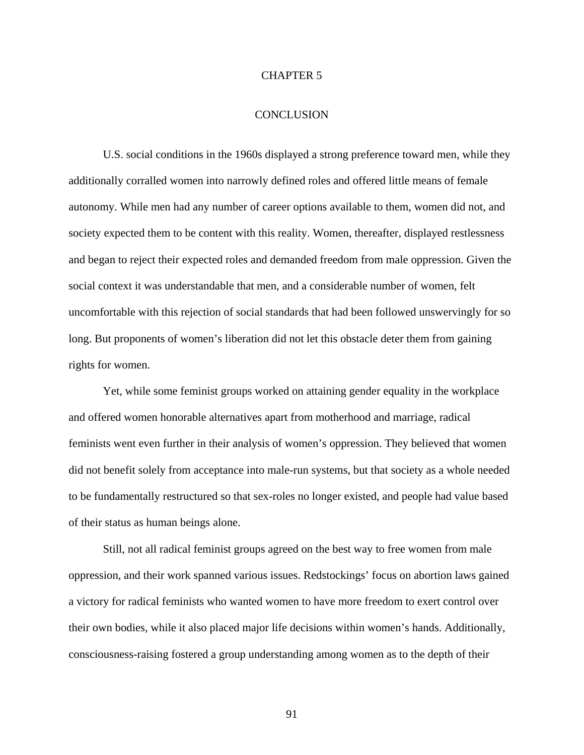#### CHAPTER 5

#### **CONCLUSION**

U.S. social conditions in the 1960s displayed a strong preference toward men, while they additionally corralled women into narrowly defined roles and offered little means of female autonomy. While men had any number of career options available to them, women did not, and society expected them to be content with this reality. Women, thereafter, displayed restlessness and began to reject their expected roles and demanded freedom from male oppression. Given the social context it was understandable that men, and a considerable number of women, felt uncomfortable with this rejection of social standards that had been followed unswervingly for so long. But proponents of women's liberation did not let this obstacle deter them from gaining rights for women.

Yet, while some feminist groups worked on attaining gender equality in the workplace and offered women honorable alternatives apart from motherhood and marriage, radical feminists went even further in their analysis of women's oppression. They believed that women did not benefit solely from acceptance into male-run systems, but that society as a whole needed to be fundamentally restructured so that sex-roles no longer existed, and people had value based of their status as human beings alone.

Still, not all radical feminist groups agreed on the best way to free women from male oppression, and their work spanned various issues. Redstockings' focus on abortion laws gained a victory for radical feminists who wanted women to have more freedom to exert control over their own bodies, while it also placed major life decisions within women's hands. Additionally, consciousness-raising fostered a group understanding among women as to the depth of their

91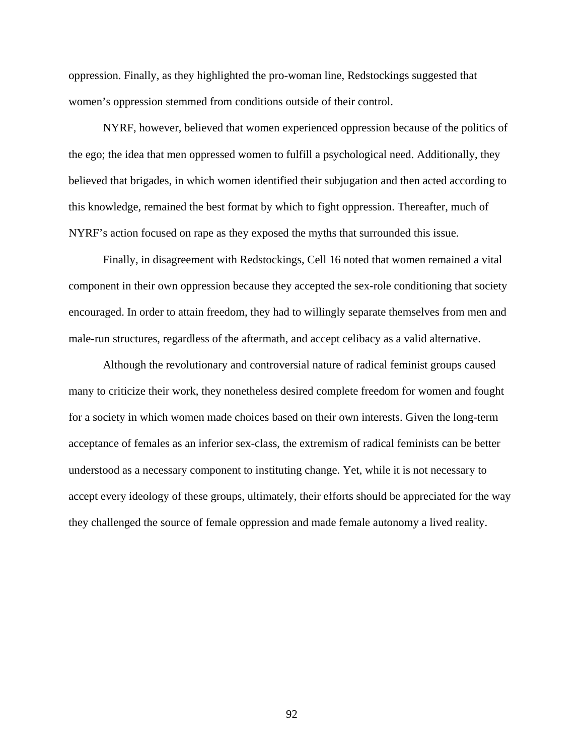oppression. Finally, as they highlighted the pro-woman line, Redstockings suggested that women's oppression stemmed from conditions outside of their control.

NYRF, however, believed that women experienced oppression because of the politics of the ego; the idea that men oppressed women to fulfill a psychological need. Additionally, they believed that brigades, in which women identified their subjugation and then acted according to this knowledge, remained the best format by which to fight oppression. Thereafter, much of NYRF's action focused on rape as they exposed the myths that surrounded this issue.

Finally, in disagreement with Redstockings, Cell 16 noted that women remained a vital component in their own oppression because they accepted the sex-role conditioning that society encouraged. In order to attain freedom, they had to willingly separate themselves from men and male-run structures, regardless of the aftermath, and accept celibacy as a valid alternative.

Although the revolutionary and controversial nature of radical feminist groups caused many to criticize their work, they nonetheless desired complete freedom for women and fought for a society in which women made choices based on their own interests. Given the long-term acceptance of females as an inferior sex-class, the extremism of radical feminists can be better understood as a necessary component to instituting change. Yet, while it is not necessary to accept every ideology of these groups, ultimately, their efforts should be appreciated for the way they challenged the source of female oppression and made female autonomy a lived reality.

92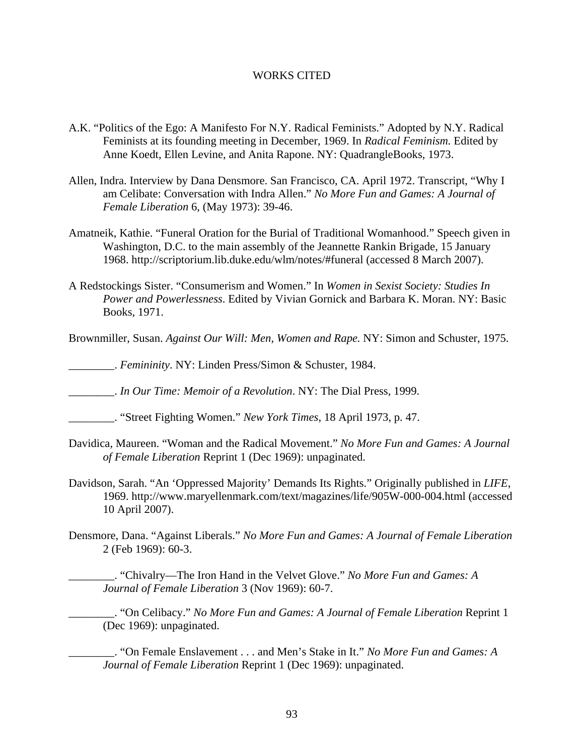### WORKS CITED

- A.K. "Politics of the Ego: A Manifesto For N.Y. Radical Feminists." Adopted by N.Y. Radical Feminists at its founding meeting in December, 1969. In *Radical Feminism.* Edited by Anne Koedt, Ellen Levine, and Anita Rapone. NY: QuadrangleBooks, 1973.
- Allen, Indra. Interview by Dana Densmore. San Francisco, CA. April 1972. Transcript, "Why I am Celibate: Conversation with Indra Allen." *No More Fun and Games: A Journal of Female Liberation* 6, (May 1973): 39-46.
- Amatneik, Kathie. "Funeral Oration for the Burial of Traditional Womanhood." Speech given in Washington, D.C. to the main assembly of the Jeannette Rankin Brigade, 15 January 1968. http://scriptorium.lib.duke.edu/wlm/notes/#funeral (accessed 8 March 2007).
- A Redstockings Sister. "Consumerism and Women." In *Women in Sexist Society: Studies In Power and Powerlessness*. Edited by Vivian Gornick and Barbara K. Moran. NY: Basic Books, 1971.
- Brownmiller, Susan. *Against Our Will: Men, Women and Rape.* NY: Simon and Schuster, 1975.
- \_\_\_\_\_\_\_\_. *Femininity*. NY: Linden Press/Simon & Schuster, 1984.

\_\_\_\_\_\_\_\_. *In Our Time: Memoir of a Revolution*. NY: The Dial Press, 1999.

- \_\_\_\_\_\_\_\_. "Street Fighting Women." *New York Times*, 18 April 1973, p. 47.
- Davidica, Maureen. "Woman and the Radical Movement." *No More Fun and Games: A Journal of Female Liberation* Reprint 1 (Dec 1969): unpaginated.
- Davidson, Sarah. "An 'Oppressed Majority' Demands Its Rights." Originally published in *LIFE*, 1969. http://www.maryellenmark.com/text/magazines/life/905W-000-004.html (accessed 10 April 2007).
- Densmore, Dana. "Against Liberals." *No More Fun and Games: A Journal of Female Liberation*  2 (Feb 1969): 60-3.
	- \_\_\_\_\_\_\_\_. "Chivalry—The Iron Hand in the Velvet Glove." *No More Fun and Games: A Journal of Female Liberation* 3 (Nov 1969): 60-7.

\_\_\_\_\_\_\_\_. "On Celibacy." *No More Fun and Games: A Journal of Female Liberation* Reprint 1 (Dec 1969): unpaginated.

\_\_\_\_\_\_\_\_. "On Female Enslavement . . . and Men's Stake in It." *No More Fun and Games: A Journal of Female Liberation* Reprint 1 (Dec 1969): unpaginated.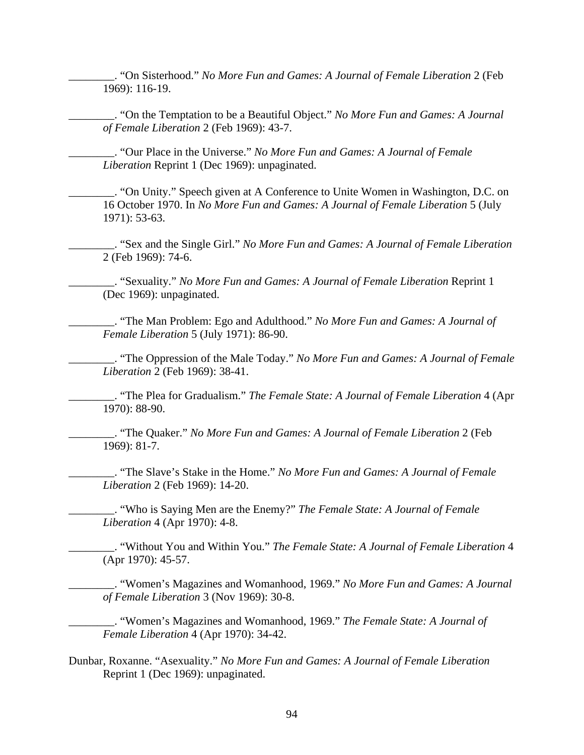\_\_\_\_\_\_\_\_. "On Sisterhood." *No More Fun and Games: A Journal of Female Liberation* 2 (Feb 1969): 116-19.

\_\_\_\_\_\_\_\_. "On the Temptation to be a Beautiful Object." *No More Fun and Games: A Journal of Female Liberation* 2 (Feb 1969): 43-7.

\_\_\_\_\_\_\_\_. "Our Place in the Universe." *No More Fun and Games: A Journal of Female Liberation* Reprint 1 (Dec 1969): unpaginated.

\_\_\_\_\_\_\_\_. "On Unity." Speech given at A Conference to Unite Women in Washington, D.C. on 16 October 1970. In *No More Fun and Games: A Journal of Female Liberation* 5 (July 1971): 53-63.

\_\_\_\_\_\_\_\_. "Sex and the Single Girl." *No More Fun and Games: A Journal of Female Liberation*  2 (Feb 1969): 74-6.

\_\_\_\_\_\_\_\_. "Sexuality." *No More Fun and Games: A Journal of Female Liberation* Reprint 1 (Dec 1969): unpaginated.

\_\_\_\_\_\_\_\_. "The Man Problem: Ego and Adulthood." *No More Fun and Games: A Journal of Female Liberation* 5 (July 1971): 86-90.

\_\_\_\_\_\_\_\_. "The Oppression of the Male Today." *No More Fun and Games: A Journal of Female Liberation* 2 (Feb 1969): 38-41.

\_\_\_\_\_\_\_\_. "The Plea for Gradualism." *The Female State: A Journal of Female Liberation* 4 (Apr 1970): 88-90.

\_\_\_\_\_\_\_\_. "The Quaker." *No More Fun and Games: A Journal of Female Liberation* 2 (Feb 1969): 81-7.

\_\_\_\_\_\_\_\_. "The Slave's Stake in the Home." *No More Fun and Games: A Journal of Female Liberation* 2 (Feb 1969): 14-20.

\_\_\_\_\_\_\_\_. "Who is Saying Men are the Enemy?" *The Female State: A Journal of Female Liberation* 4 (Apr 1970): 4-8.

\_\_\_\_\_\_\_\_. "Without You and Within You." *The Female State: A Journal of Female Liberation* 4 (Apr 1970): 45-57.

\_\_\_\_\_\_\_\_. "Women's Magazines and Womanhood, 1969." *No More Fun and Games: A Journal of Female Liberation* 3 (Nov 1969): 30-8.

\_\_\_\_\_\_\_\_. "Women's Magazines and Womanhood, 1969." *The Female State: A Journal of Female Liberation* 4 (Apr 1970): 34-42.

Dunbar, Roxanne. "Asexuality." *No More Fun and Games: A Journal of Female Liberation*  Reprint 1 (Dec 1969): unpaginated.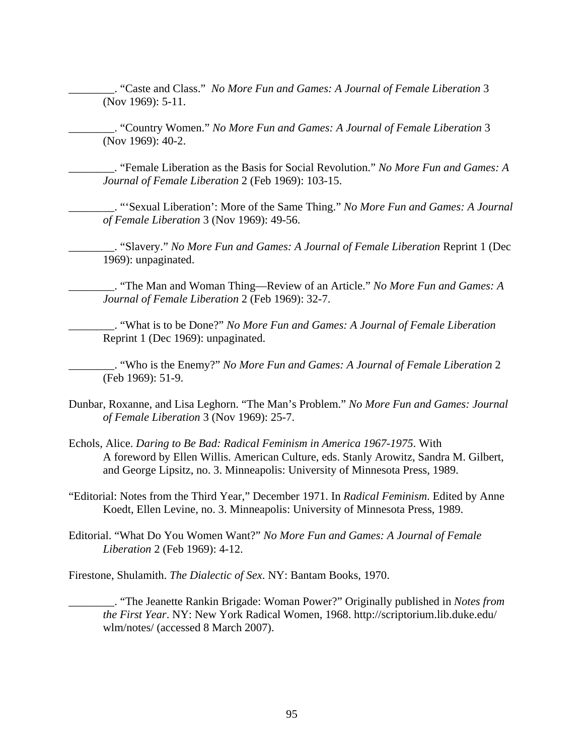\_\_\_\_\_\_\_\_. "Caste and Class." *No More Fun and Games: A Journal of Female Liberation* 3 (Nov 1969): 5-11.

\_\_\_\_\_\_\_\_. "Country Women." *No More Fun and Games: A Journal of Female Liberation* 3 (Nov 1969): 40-2.

\_\_\_\_\_\_\_\_. "Female Liberation as the Basis for Social Revolution." *No More Fun and Games: A Journal of Female Liberation* 2 (Feb 1969): 103-15.

\_\_\_\_\_\_\_\_. "'Sexual Liberation': More of the Same Thing." *No More Fun and Games: A Journal of Female Liberation* 3 (Nov 1969): 49-56.

\_\_\_\_\_\_\_\_. "Slavery." *No More Fun and Games: A Journal of Female Liberation* Reprint 1 (Dec 1969): unpaginated.

\_\_\_\_\_\_\_\_. "The Man and Woman Thing—Review of an Article." *No More Fun and Games: A Journal of Female Liberation* 2 (Feb 1969): 32-7.

\_\_\_\_\_\_\_\_. "What is to be Done?" *No More Fun and Games: A Journal of Female Liberation*  Reprint 1 (Dec 1969): unpaginated.

\_\_\_\_\_\_\_\_. "Who is the Enemy?" *No More Fun and Games: A Journal of Female Liberation* 2 (Feb 1969): 51-9.

- Dunbar, Roxanne, and Lisa Leghorn. "The Man's Problem." *No More Fun and Games: Journal of Female Liberation* 3 (Nov 1969): 25-7.
- Echols, Alice. *Daring to Be Bad: Radical Feminism in America 1967-1975*. With A foreword by Ellen Willis. American Culture, eds. Stanly Arowitz, Sandra M. Gilbert, and George Lipsitz, no. 3. Minneapolis: University of Minnesota Press, 1989.

"Editorial: Notes from the Third Year," December 1971. In *Radical Feminism*. Edited by Anne Koedt, Ellen Levine, no. 3. Minneapolis: University of Minnesota Press, 1989.

Editorial. "What Do You Women Want?" *No More Fun and Games: A Journal of Female Liberation* 2 (Feb 1969): 4-12.

Firestone, Shulamith. *The Dialectic of Sex*. NY: Bantam Books, 1970.

\_\_\_\_\_\_\_\_. "The Jeanette Rankin Brigade: Woman Power?" Originally published in *Notes from the First Year*. NY: New York Radical Women, 1968. http://scriptorium.lib.duke.edu/ wlm/notes/ (accessed 8 March 2007).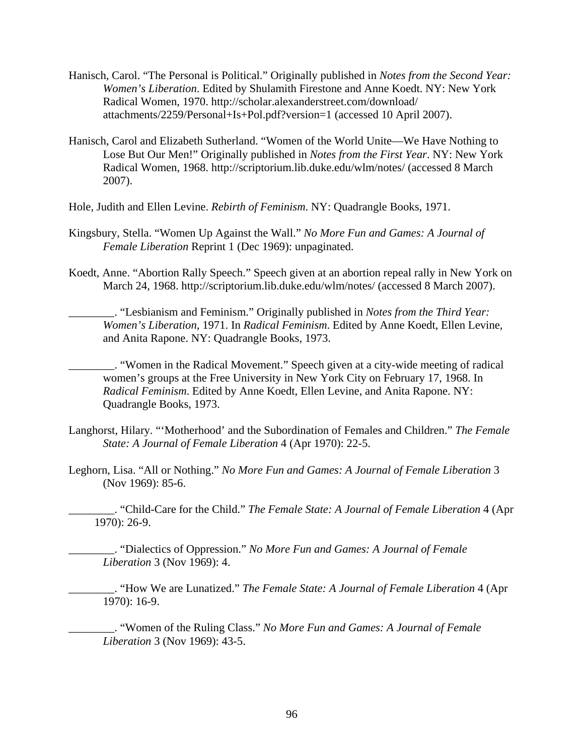- Hanisch, Carol. "The Personal is Political." Originally published in *Notes from the Second Year: Women's Liberation*. Edited by Shulamith Firestone and Anne Koedt. NY: New York Radical Women, 1970. http://scholar.alexanderstreet.com/download/ attachments/2259/Personal+Is+Pol.pdf?version=1 (accessed 10 April 2007).
- Hanisch, Carol and Elizabeth Sutherland. "Women of the World Unite—We Have Nothing to Lose But Our Men!" Originally published in *Notes from the First Year*. NY: New York Radical Women, 1968. http://scriptorium.lib.duke.edu/wlm/notes/ (accessed 8 March 2007).
- Hole, Judith and Ellen Levine. *Rebirth of Feminism*. NY: Quadrangle Books, 1971.
- Kingsbury, Stella. "Women Up Against the Wall." *No More Fun and Games: A Journal of Female Liberation* Reprint 1 (Dec 1969): unpaginated.
- Koedt, Anne. "Abortion Rally Speech." Speech given at an abortion repeal rally in New York on March 24, 1968. http://scriptorium.lib.duke.edu/wlm/notes/ (accessed 8 March 2007).
	- \_\_\_\_\_\_\_\_. "Lesbianism and Feminism." Originally published in *Notes from the Third Year: Women's Liberation*, 1971. In *Radical Feminism*. Edited by Anne Koedt, Ellen Levine, and Anita Rapone. NY: Quadrangle Books, 1973.
	- \_\_\_\_\_\_\_\_. "Women in the Radical Movement." Speech given at a city-wide meeting of radical women's groups at the Free University in New York City on February 17, 1968. In *Radical Feminism*. Edited by Anne Koedt, Ellen Levine, and Anita Rapone. NY: Quadrangle Books, 1973.
- Langhorst, Hilary. "'Motherhood' and the Subordination of Females and Children." *The Female State: A Journal of Female Liberation* 4 (Apr 1970): 22-5.
- Leghorn, Lisa. "All or Nothing." *No More Fun and Games: A Journal of Female Liberation* 3 (Nov 1969): 85-6.

\_\_\_\_\_\_\_\_. "Child-Care for the Child." *The Female State: A Journal of Female Liberation* 4 (Apr 1970): 26-9.

\_\_\_\_\_\_\_\_. "Dialectics of Oppression." *No More Fun and Games: A Journal of Female Liberation* 3 (Nov 1969): 4.

\_\_\_\_\_\_\_\_. "How We are Lunatized." *The Female State: A Journal of Female Liberation* 4 (Apr 1970): 16-9.

\_\_\_\_\_\_\_\_. "Women of the Ruling Class." *No More Fun and Games: A Journal of Female Liberation* 3 (Nov 1969): 43-5.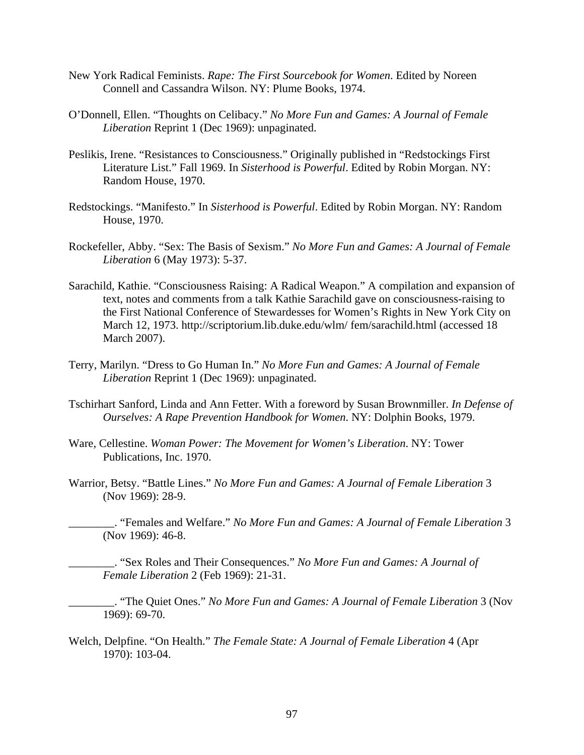- New York Radical Feminists. *Rape: The First Sourcebook for Women*. Edited by Noreen Connell and Cassandra Wilson. NY: Plume Books, 1974.
- O'Donnell, Ellen. "Thoughts on Celibacy." *No More Fun and Games: A Journal of Female Liberation* Reprint 1 (Dec 1969): unpaginated.
- Peslikis, Irene. "Resistances to Consciousness." Originally published in "Redstockings First Literature List." Fall 1969. In *Sisterhood is Powerful*. Edited by Robin Morgan. NY: Random House, 1970.
- Redstockings. "Manifesto." In *Sisterhood is Powerful*. Edited by Robin Morgan. NY: Random House, 1970.
- Rockefeller, Abby. "Sex: The Basis of Sexism." *No More Fun and Games: A Journal of Female Liberation* 6 (May 1973): 5-37.
- Sarachild, Kathie. "Consciousness Raising: A Radical Weapon." A compilation and expansion of text, notes and comments from a talk Kathie Sarachild gave on consciousness-raising to the First National Conference of Stewardesses for Women's Rights in New York City on March 12, 1973. http://scriptorium.lib.duke.edu/wlm/ fem/sarachild.html (accessed 18 March 2007).
- Terry, Marilyn. "Dress to Go Human In." *No More Fun and Games: A Journal of Female Liberation* Reprint 1 (Dec 1969): unpaginated.
- Tschirhart Sanford, Linda and Ann Fetter. With a foreword by Susan Brownmiller. *In Defense of Ourselves: A Rape Prevention Handbook for Women*. NY: Dolphin Books, 1979.
- Ware, Cellestine. *Woman Power: The Movement for Women's Liberation*. NY: Tower Publications, Inc. 1970.
- Warrior, Betsy. "Battle Lines." *No More Fun and Games: A Journal of Female Liberation* 3 (Nov 1969): 28-9.

\_\_\_\_\_\_\_\_. "Females and Welfare." *No More Fun and Games: A Journal of Female Liberation* 3 (Nov 1969): 46-8.

\_\_\_\_\_\_\_\_. "Sex Roles and Their Consequences." *No More Fun and Games: A Journal of Female Liberation* 2 (Feb 1969): 21-31.

\_\_\_\_\_\_\_\_. "The Quiet Ones." *No More Fun and Games: A Journal of Female Liberation* 3 (Nov 1969): 69-70.

Welch, Delpfine. "On Health." *The Female State: A Journal of Female Liberation* 4 (Apr 1970): 103-04.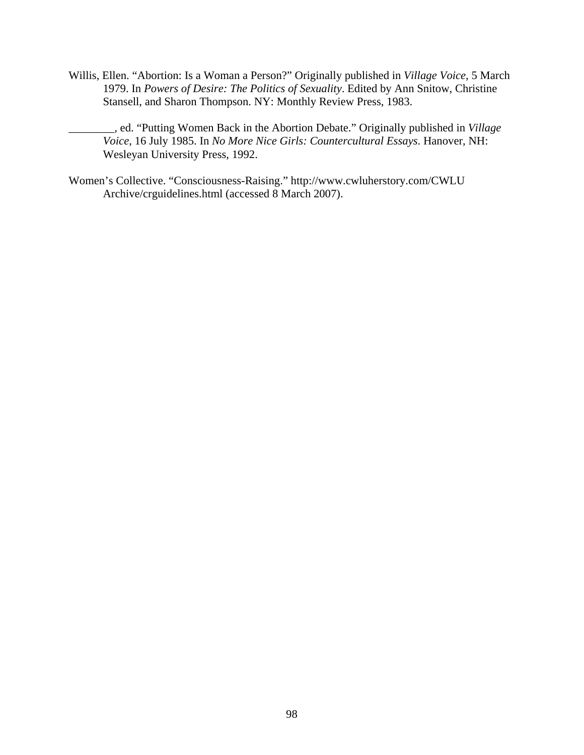- Willis, Ellen. "Abortion: Is a Woman a Person?" Originally published in *Village Voice*, 5 March 1979. In *Powers of Desire: The Politics of Sexuality*. Edited by Ann Snitow, Christine Stansell, and Sharon Thompson. NY: Monthly Review Press, 1983.
	- \_\_\_\_\_\_\_\_, ed. "Putting Women Back in the Abortion Debate." Originally published in *Village Voice*, 16 July 1985. In *No More Nice Girls: Countercultural Essays*. Hanover, NH: Wesleyan University Press, 1992.
- Women's Collective. "Consciousness-Raising." http://www.cwluherstory.com/CWLU Archive/crguidelines.html (accessed 8 March 2007).